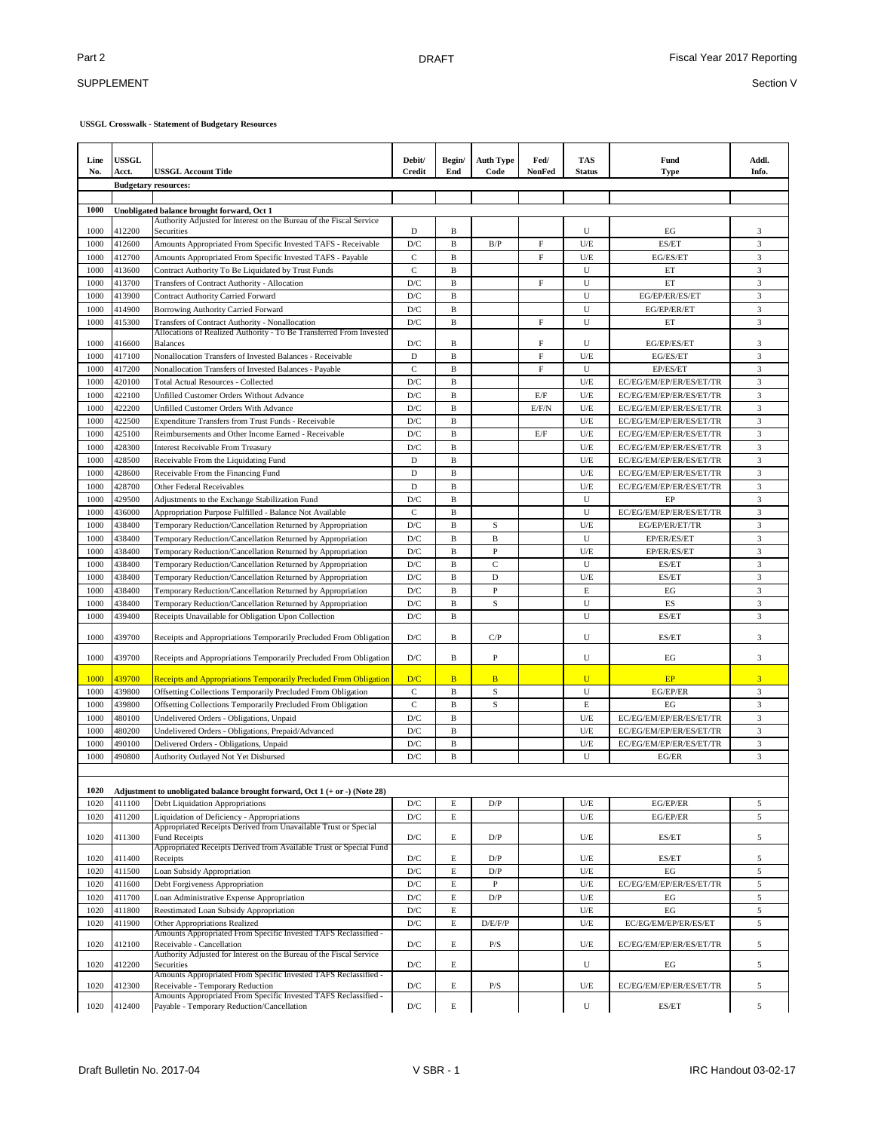## SUPPLEMENT

| Line<br>No.  | <b>USSGL</b><br>Acct.       | <b>USSGL Account Title</b>                                                                                             | Debit/<br><b>Credit</b> | Begin/<br>End     | <b>Auth Type</b><br>Code | Fed/<br><b>NonFed</b> | TAS<br><b>Status</b> | Fund<br><b>Type</b>     | Addl.<br>Info.          |
|--------------|-----------------------------|------------------------------------------------------------------------------------------------------------------------|-------------------------|-------------------|--------------------------|-----------------------|----------------------|-------------------------|-------------------------|
|              | <b>Budgetary resources:</b> |                                                                                                                        |                         |                   |                          |                       |                      |                         |                         |
| 1000         |                             |                                                                                                                        |                         |                   |                          |                       |                      |                         |                         |
|              |                             | Unobligated balance brought forward, Oct 1<br>Authority Adjusted for Interest on the Bureau of the Fiscal Service      |                         |                   |                          |                       |                      |                         |                         |
| 1000         | 412200                      | Securities                                                                                                             | D                       | B                 |                          |                       | U                    | EG                      | 3                       |
| 1000         | 412600                      | Amounts Appropriated From Specific Invested TAFS - Receivable                                                          | D/C                     | B                 | B/P                      | $\mathbf F$           | U/E                  | ES/ET                   | $\mathfrak{Z}$          |
| 1000         | 412700                      | Amounts Appropriated From Specific Invested TAFS - Payable                                                             | $\mathbf C$             | $\, {\bf B}$      |                          | F                     | U/E                  | EG/ES/ET                | $\overline{\mathbf{3}}$ |
| 1000         | 413600                      | Contract Authority To Be Liquidated by Trust Funds                                                                     | $\mathbf C$             | $\, {\bf B}$      |                          |                       | U                    | ET                      | $\overline{\mathbf{3}}$ |
| 1000         | 413700                      | Transfers of Contract Authority - Allocation                                                                           | D/C                     | B                 |                          | F                     | U                    | ET                      | 3                       |
| 1000<br>1000 | 413900                      | <b>Contract Authority Carried Forward</b>                                                                              | D/C<br>D/C              | B<br>B            |                          |                       | U<br>U               | EG/EP/ER/ES/ET          | 3<br>3                  |
| 1000         | 414900                      | Borrowing Authority Carried Forward                                                                                    | D/C                     | $\, {\bf B}$      |                          | F                     | U                    | EG/EP/ER/ET<br>ET       | $\sqrt{3}$              |
|              | 415300                      | Transfers of Contract Authority - Nonallocation<br>Allocations of Realized Authority - To Be Transferred From Invested |                         |                   |                          |                       |                      |                         |                         |
| 1000         | 416600                      | <b>Balances</b>                                                                                                        | D/C                     | B                 |                          | F                     | U                    | EG/EP/ES/ET             | 3                       |
| 1000         | 417100                      | Nonallocation Transfers of Invested Balances - Receivable                                                              | D                       | B                 |                          | F                     | U/E                  | EG/ES/ET                | 3                       |
| 1000         | 417200                      | Nonallocation Transfers of Invested Balances - Payable                                                                 | C                       | B                 |                          | F                     | U                    | EP/ES/ET                | 3                       |
| 1000         | 420100                      | <b>Total Actual Resources - Collected</b>                                                                              | D/C                     | B                 |                          |                       | U/E                  | EC/EG/EM/EP/ER/ES/ET/TR | 3                       |
| 1000         | 422100                      | Unfilled Customer Orders Without Advance                                                                               | D/C                     | $\, {\bf B}$      |                          | E/F                   | U/E                  | EC/EG/EM/EP/ER/ES/ET/TR | 3                       |
| 1000         | 422200                      | Unfilled Customer Orders With Advance                                                                                  | D/C                     | B                 |                          | E/F/N                 | U/E                  | EC/EG/EM/EP/ER/ES/ET/TR | $\sqrt{3}$              |
| 1000         | 422500                      | <b>Expenditure Transfers from Trust Funds - Receivable</b>                                                             | D/C                     | $\, {\bf B}$      |                          |                       | U/E                  | EC/EG/EM/EP/ER/ES/ET/TR | 3                       |
| 1000         | 425100                      | Reimbursements and Other Income Earned - Receivable                                                                    | D/C                     | $\, {\bf B}$      |                          | $\rm E/F$             | U/E                  | EC/EG/EM/EP/ER/ES/ET/TR | $\sqrt{3}$              |
| 1000         | 428300                      | <b>Interest Receivable From Treasury</b>                                                                               | D/C                     | B                 |                          |                       | U/E                  | EC/EG/EM/EP/ER/ES/ET/TR | 3                       |
| 1000         | 428500                      | Receivable From the Liquidating Fund                                                                                   | D                       | $\mathbf{B}$      |                          |                       | U/E                  | EC/EG/EM/EP/ER/ES/ET/TR | $\sqrt{3}$              |
| 1000         | 428600                      | Receivable From the Financing Fund                                                                                     | $\mathbf D$             | $\, {\bf B}$      |                          |                       | U/E                  | EC/EG/EM/EP/ER/ES/ET/TR | 3                       |
| 1000         | 428700                      | Other Federal Receivables                                                                                              | $\mathbf D$             | B                 |                          |                       | U/E                  | EC/EG/EM/EP/ER/ES/ET/TR | 3                       |
| 1000         | 429500                      | Adjustments to the Exchange Stabilization Fund                                                                         | D/C                     | $\mathbf{B}$      |                          |                       | U                    | EP                      | $\mathfrak{Z}$          |
| 1000         | 436000                      | Appropriation Purpose Fulfilled - Balance Not Available                                                                | $\mathbf C$             | $\mathbf{B}$      |                          |                       | U                    | EC/EG/EM/EP/ER/ES/ET/TR | 3                       |
| 1000         | 438400                      | Temporary Reduction/Cancellation Returned by Appropriation                                                             | D/C                     | B                 | S                        |                       | U/E                  | EG/EP/ER/ET/TR          | 3                       |
| 1000         | 438400                      | Temporary Reduction/Cancellation Returned by Appropriation                                                             | D/C                     | B                 | B                        |                       | U                    | EP/ER/ES/ET             | 3                       |
| 1000         | 438400                      | Temporary Reduction/Cancellation Returned by Appropriation                                                             | D/C                     | B                 | P                        |                       | U/E                  | EP/ER/ES/ET             | 3                       |
| 1000         | 438400                      | Temporary Reduction/Cancellation Returned by Appropriation                                                             | D/C                     | B                 | $\mathbf C$              |                       | U                    | ES/ET                   | 3                       |
| 1000         | 438400                      | Temporary Reduction/Cancellation Returned by Appropriation                                                             | D/C                     | B<br>$\mathbf{B}$ | D<br>$\mathbf{P}$        |                       | U/E                  | ES/ET                   | 3                       |
| 1000         | 438400                      | Temporary Reduction/Cancellation Returned by Appropriation                                                             | D/C                     |                   |                          |                       | $\mathbf E$          | EG                      | 3                       |
| 1000<br>1000 | 438400<br>439400            | Temporary Reduction/Cancellation Returned by Appropriation                                                             | D/C<br>D/C              | B<br>B            | S                        |                       | U<br>U               | <b>ES</b><br>ES/ET      | 3<br>3                  |
|              |                             | Receipts Unavailable for Obligation Upon Collection                                                                    |                         |                   |                          |                       |                      |                         |                         |
| 1000         | 439700                      | Receipts and Appropriations Temporarily Precluded From Obligation                                                      | D/C                     | B                 | C/P                      |                       | U                    | ES/ET                   | 3                       |
| 1000         | 439700                      | Receipts and Appropriations Temporarily Precluded From Obligation                                                      | D/C                     | B                 | P                        |                       | U                    | EG                      | 3                       |
| 1000         | 439700                      | <b>Receipts and Appropriations Temporarily Precluded From Obligation</b>                                               | D/C                     | B                 | B                        |                       | $\mathbf{U}$         | EP                      | $\overline{3}$          |
| 1000         | 439800                      | Offsetting Collections Temporarily Precluded From Obligation                                                           | $\mathbf C$             | $\mathbf{B}$      | $\mathbf S$              |                       | U                    | EG/EP/ER                | 3                       |
| 1000         | 439800                      | Offsetting Collections Temporarily Precluded From Obligation                                                           | $\mathbf{C}$            | $\, {\bf B}$      | $\rm S$                  |                       | $\mathbf E$          | EG                      | $\overline{3}$          |
| 1000         | 480100                      | Undelivered Orders - Obligations, Unpaid                                                                               | D/C                     | $\mathbf{B}$      |                          |                       | U/E                  | EC/EG/EM/EP/ER/ES/ET/TR | 3                       |
| 1000         | 480200                      | Undelivered Orders - Obligations, Prepaid/Advanced                                                                     | D/C                     | $\mathbf{B}$      |                          |                       | U/E                  | EC/EG/EM/EP/ER/ES/ET/TR | 3                       |
| 1000         | 490100                      | Delivered Orders - Obligations, Unpaid                                                                                 | D/C                     | $\mathbf{B}$      |                          |                       | U/E                  | EC/EG/EM/EP/ER/ES/ET/TR | 3                       |
| 1000         | 490800                      | Authority Outlayed Not Yet Disbursed                                                                                   | D/C                     | B                 |                          |                       | U                    | EG/ER                   | 3                       |
|              |                             |                                                                                                                        |                         |                   |                          |                       |                      |                         |                         |
| 1020         |                             | Adjustment to unobligated balance brought forward, Oct $1 (+ or -)$ (Note 28)                                          |                         |                   |                          |                       |                      |                         |                         |
| 1020         | 411100                      | Debt Liquidation Appropriations                                                                                        | D/C                     | E                 | D/P                      |                       | U/E                  | EG/EP/ER                | 5                       |
| 1020         | 411200                      | Liquidation of Deficiency - Appropriations<br>Appropriated Receipts Derived from Unavailable Trust or Special          | $\mathbf{D}/\mathbf{C}$ | E                 |                          |                       | U/E                  | EG/EP/ER                | 5                       |
| 1020         | 411300                      | <b>Fund Receipts</b><br>Appropriated Receipts Derived from Available Trust or Special Fund                             | $\mathbf{D}/\mathbf{C}$ | E                 | D/P                      |                       | U/E                  | ES/ET                   | 5                       |
| 1020         | 411400                      | Receipts                                                                                                               | $\mathbf{D}/\mathbf{C}$ | E                 | D/P                      |                       | U/E                  | ES/ET                   | 5                       |
| 1020         | 411500                      | Loan Subsidy Appropriation                                                                                             | D/C                     | E                 | $\mathbf{D}/\mathbf{P}$  |                       | U/E                  | EG                      | $\sqrt{5}$              |
| 1020         | 411600                      | Debt Forgiveness Appropriation                                                                                         | D/C                     | E                 | $\, {\bf P}$             |                       | U/E                  | EC/EG/EM/EP/ER/ES/ET/TR | $\sqrt{5}$              |
| 1020         | 411700                      | Loan Administrative Expense Appropriation                                                                              | D/C                     | E                 | D/P                      |                       | U/E                  | EG                      | $5\,$                   |
| 1020         | 411800                      | Reestimated Loan Subsidy Appropriation                                                                                 | D/C                     | E                 |                          |                       | U/E                  | EG                      | 5                       |
| 1020         | 411900                      | Other Appropriations Realized                                                                                          | $\mathbf{D}/\mathbf{C}$ | $\mathbf E$       | D/E/F/P                  |                       | U/E                  | EC/EG/EM/EP/ER/ES/ET    | 5                       |
| 1020         | 412100                      | Amounts Appropriated From Specific Invested TAFS Reclassified -<br>Receivable - Cancellation                           | $\mathbf{D}/\mathbf{C}$ | E                 | P/S                      |                       | U/E                  | EC/EG/EM/EP/ER/ES/ET/TR | $\sqrt{5}$              |
|              |                             | Authority Adjusted for Interest on the Bureau of the Fiscal Service                                                    |                         |                   |                          |                       |                      |                         |                         |
| 1020         | 412200                      | Securities                                                                                                             | D/C                     | E                 |                          |                       | U                    | EG                      | 5                       |
| 1020         | 412300                      | Amounts Appropriated From Specific Invested TAFS Reclassified -<br>Receivable - Temporary Reduction                    | $\mathbf{D}/\mathbf{C}$ | E                 | P/S                      |                       | U/E                  | EC/EG/EM/EP/ER/ES/ET/TR | 5                       |
|              |                             | Amounts Appropriated From Specific Invested TAFS Reclassified -                                                        |                         |                   |                          |                       |                      |                         |                         |
| 1020         | 412400                      | Payable - Temporary Reduction/Cancellation                                                                             | $\mathbf{D}/\mathbf{C}$ | $\mathbf E$       |                          |                       | U                    | ES/ET                   | $\sqrt{5}$              |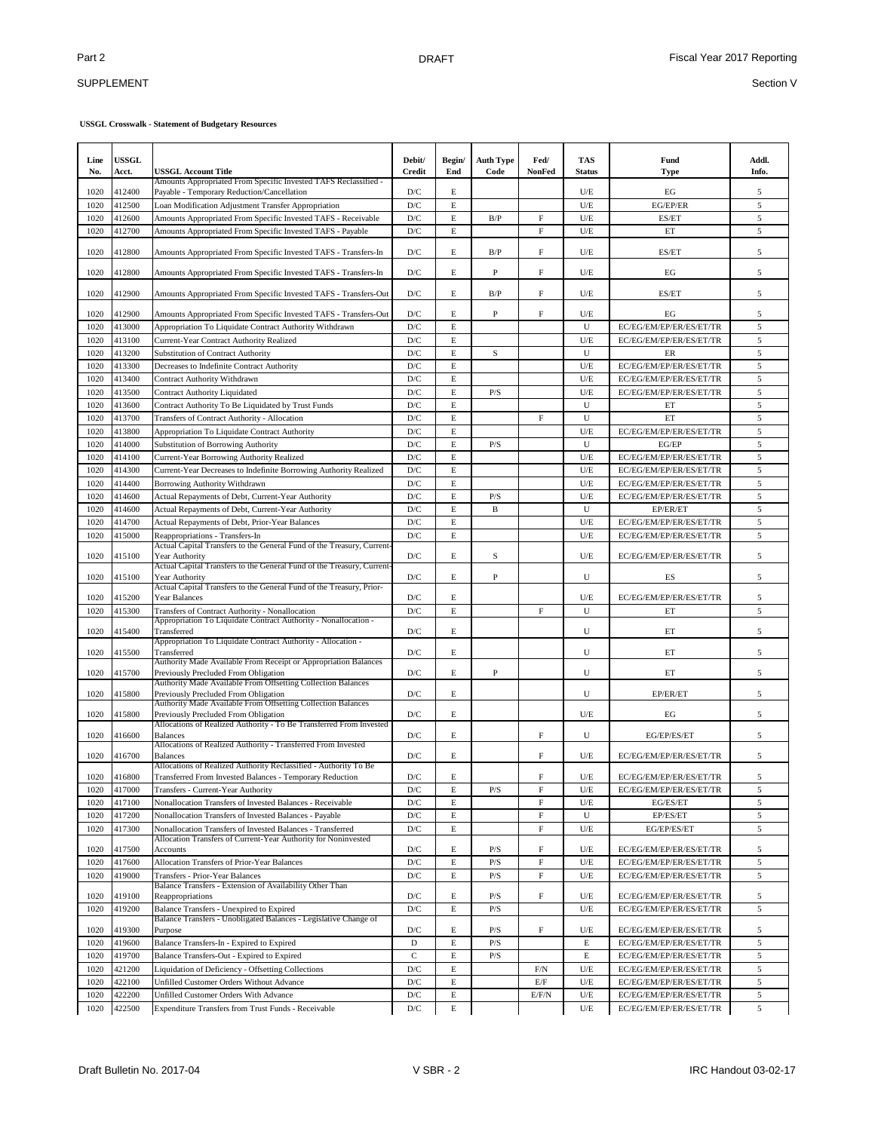## SUPPLEMENT

| Line<br>No. | <b>USSGL</b><br>Acct. | <b>USSGL Account Title</b>                                                                                                   | Debit/<br>Credit        | Begin/<br>End | <b>Auth Type</b><br>Code | Fed/<br><b>NonFed</b>     | TAS<br><b>Status</b> | Fund<br>Type            | Addl.<br>Info. |
|-------------|-----------------------|------------------------------------------------------------------------------------------------------------------------------|-------------------------|---------------|--------------------------|---------------------------|----------------------|-------------------------|----------------|
| 1020        | 412400                | Amounts Appropriated From Specific Invested TAFS Reclassified -<br>Payable - Temporary Reduction/Cancellation                | D/C                     | E             |                          |                           | U/E                  | EG                      | 5              |
| 1020        | 412500                | Loan Modification Adjustment Transfer Appropriation                                                                          | $\mathbf{D}/\mathbf{C}$ | E             |                          |                           | U/E                  | EG/EP/ER                | 5              |
| 1020        | 412600                | Amounts Appropriated From Specific Invested TAFS - Receivable                                                                | $\mathbf{D}/\mathbf{C}$ | E             | B/P                      | F                         | U/E                  | ES/ET                   | 5              |
| 1020        | 412700                | Amounts Appropriated From Specific Invested TAFS - Payable                                                                   | $\mathbf{D}/\mathbf{C}$ | E             |                          | F                         | U/E                  | ET                      | 5              |
| 1020        | 412800                | Amounts Appropriated From Specific Invested TAFS - Transfers-In                                                              | D/C                     | Е             | B/P                      | F                         | U/E                  | ES/ET                   | 5              |
| 1020        | 412800                | Amounts Appropriated From Specific Invested TAFS - Transfers-In                                                              | D/C                     | E             | P                        | F                         | U/E                  | EG                      | 5              |
| 1020        | 412900                | Amounts Appropriated From Specific Invested TAFS - Transfers-Out                                                             | D/C                     | Е             | B/P                      | F                         | U/E                  | ES/ET                   | $\sqrt{5}$     |
| 1020        | 412900                | Amounts Appropriated From Specific Invested TAFS - Transfers-Out                                                             | D/C                     | E             | P                        | F                         | U/E                  | EG                      | 5              |
| 1020        | 413000                | Appropriation To Liquidate Contract Authority Withdrawn                                                                      | D/C                     | E             |                          |                           | U                    | EC/EG/EM/EP/ER/ES/ET/TR | 5              |
| 1020        | 413100                | Current-Year Contract Authority Realized                                                                                     | D/C                     | E             |                          |                           | U/E                  | EC/EG/EM/EP/ER/ES/ET/TR | $\sqrt{5}$     |
| 1020        | 413200                | Substitution of Contract Authority                                                                                           | $\mathbf{D}/\mathbf{C}$ | $\mathbf E$   | S                        |                           | U                    | ER                      | 5              |
| 1020        | 413300                | Decreases to Indefinite Contract Authority                                                                                   | D/C                     | E             |                          |                           | U/E                  | EC/EG/EM/EP/ER/ES/ET/TR | $\sqrt{5}$     |
| 1020        | 413400                | Contract Authority Withdrawn                                                                                                 | D/C                     | E             |                          |                           | U/E                  | EC/EG/EM/EP/ER/ES/ET/TR | 5              |
| 1020        | 413500                | <b>Contract Authority Liquidated</b>                                                                                         | D/C                     | $\mathbf E$   | P/S                      |                           | U/E                  | EC/EG/EM/EP/ER/ES/ET/TR | 5              |
| 1020        | 413600                | Contract Authority To Be Liquidated by Trust Funds                                                                           | D/C                     | $\mathbf E$   |                          |                           | U                    | ET                      | 5              |
| 1020        | 413700                | Transfers of Contract Authority - Allocation                                                                                 | D/C                     | $\mathbf E$   |                          | F                         | U                    | ET                      | 5              |
| 1020        | 413800                | Appropriation To Liquidate Contract Authority                                                                                | D/C                     | $\mathbf E$   |                          |                           | U/E                  | EC/EG/EM/EP/ER/ES/ET/TR | 5              |
| 1020        | 414000                | <b>Substitution of Borrowing Authority</b>                                                                                   | D/C                     | $\mathbf E$   | P/S                      |                           | U                    | EG/EP                   | 5              |
| 1020        | 414100                | Current-Year Borrowing Authority Realized                                                                                    | D/C                     | E             |                          |                           | U/E                  | EC/EG/EM/EP/ER/ES/ET/TR | 5              |
| 1020        | 414300                | Current-Year Decreases to Indefinite Borrowing Authority Realized                                                            | D/C                     | E             |                          |                           | U/E                  | EC/EG/EM/EP/ER/ES/ET/TR | 5              |
| 1020        | 414400                | Borrowing Authority Withdrawn                                                                                                | D/C                     | E             |                          |                           | U/E                  | EC/EG/EM/EP/ER/ES/ET/TR | 5              |
| 1020        | 414600                | Actual Repayments of Debt, Current-Year Authority                                                                            | $\mathbf{D}/\mathbf{C}$ | E             | P/S                      |                           | U/E                  | EC/EG/EM/EP/ER/ES/ET/TR | 5              |
| 1020        | 414600                | Actual Repayments of Debt, Current-Year Authority                                                                            | D/C                     | E             | B                        |                           | U                    | EP/ER/ET                | 5              |
| 1020        | 414700                | Actual Repayments of Debt, Prior-Year Balances                                                                               | $\mathbf{D}/\mathbf{C}$ | E             |                          |                           | U/E                  | EC/EG/EM/EP/ER/ES/ET/TR | 5              |
| 1020        | 415000                | Reappropriations - Transfers-In                                                                                              | $\mathbf{D}/\mathbf{C}$ | $\mathbf E$   |                          |                           | U/E                  | EC/EG/EM/EP/ER/ES/ET/TR | 5              |
| 1020        | 415100                | Actual Capital Transfers to the General Fund of the Treasury, Current-<br>Year Authority                                     | D/C                     | E             | S                        |                           | U/E                  | EC/EG/EM/EP/ER/ES/ET/TR | 5              |
| 1020        | 415100                | Actual Capital Transfers to the General Fund of the Treasury, Current-<br>Year Authority                                     | D/C                     | E             | P                        |                           | U                    | ES                      | 5              |
| 1020        | 415200                | Actual Capital Transfers to the General Fund of the Treasury, Prior-<br>Year Balances                                        | D/C                     | Е             |                          |                           | U/E                  | EC/EG/EM/EP/ER/ES/ET/TR | 5              |
| 1020        | 415300                | Transfers of Contract Authority - Nonallocation                                                                              | D/C                     | $\mathbf E$   |                          | $\rm F$                   | U                    | ET                      | 5              |
| 1020        | 415400                | Appropriation To Liquidate Contract Authority - Nonallocation -<br>Transferred                                               | D/C                     | Е             |                          |                           | U                    | ET                      | 5              |
| 1020        | 415500                | Appropriation To Liquidate Contract Authority - Allocation -<br>Transferred                                                  | D/C                     | Е             |                          |                           | U                    | ET                      | 5              |
| 1020        | 415700                | Authority Made Available From Receipt or Appropriation Balances<br>Previously Precluded From Obligation                      | D/C                     | Е             | P                        |                           | U                    | ET                      | 5              |
|             |                       | Authority Made Available From Offsetting Collection Balances                                                                 |                         |               |                          |                           |                      |                         |                |
| 1020        | 415800                | Previously Precluded From Obligation<br>Authority Made Available From Offsetting Collection Balances                         | D/C                     | Е             |                          |                           | U                    | EP/ER/ET                | 5              |
| 1020        | 415800                | Previously Precluded From Obligation<br>Allocations of Realized Authority - To Be Transferred From Invested                  | D/C                     | E             |                          |                           | U/E                  | EG                      | 5              |
| 1020        | 416600                | <b>Balances</b><br>Allocations of Realized Authority - Transferred From Invested                                             | D/C                     | Е             |                          | F                         | U                    | EG/EP/ES/ET             | 5              |
| 1020        | 416700                | <b>Balances</b><br>Allocations of Realized Authority Reclassified - Authority To Be                                          | D/C                     | E             |                          | F                         | U/E                  | EC/EG/EM/EP/ER/ES/ET/TR | $\sqrt{5}$     |
| 1020        | 416800                | Transferred From Invested Balances - Temporary Reduction                                                                     | D/C<br>D/C              | E             |                          | F<br>F                    | U/E                  | EC/EG/EM/EP/ER/ES/ET/TR | 5              |
| 1020        | 417000                | Transfers - Current-Year Authority                                                                                           |                         | E             | P/S                      |                           | U/E                  | EC/EG/EM/EP/ER/ES/ET/TR | 5              |
| 1020        | 417100                | Nonallocation Transfers of Invested Balances - Receivable                                                                    | $\mathbf{D}/\mathbf{C}$ | E             |                          | F                         | U/E                  | EG/ES/ET                | 5              |
| 1020        | 417200                | Nonallocation Transfers of Invested Balances - Payable                                                                       | $\mathbf{D}/\mathbf{C}$ | E             |                          | $\boldsymbol{\mathrm{F}}$ | U                    | EP/ES/ET                | 5              |
| 1020        | 417300                | Nonallocation Transfers of Invested Balances - Transferred<br>Allocation Transfers of Current-Year Authority for Noninvested | $\mathbf{D}/\mathbf{C}$ | E             |                          | F                         | U/E                  | EG/EP/ES/ET             | $\sqrt{5}$     |
| 1020        | 417500                | Accounts                                                                                                                     | D/C                     | E             | P/S                      | F                         | U/E                  | EC/EG/EM/EP/ER/ES/ET/TR | 5              |
| 1020        | 417600                | Allocation Transfers of Prior-Year Balances                                                                                  | D/C                     | E             | P/S                      | F                         | U/E                  | EC/EG/EM/EP/ER/ES/ET/TR | $\sqrt{5}$     |
| 1020        | 419000                | Transfers - Prior-Year Balances<br>Balance Transfers - Extension of Availability Other Than                                  | $\mathbf{D}/\mathbf{C}$ | E             | P/S                      | $\rm F$                   | U/E                  | EC/EG/EM/EP/ER/ES/ET/TR | $\sqrt{5}$     |
| 1020        | 419100                | Reappropriations                                                                                                             | D/C                     | E             | P/S                      | $\rm F$                   | U/E                  | EC/EG/EM/EP/ER/ES/ET/TR | 5              |
| 1020        | 419200                | Balance Transfers - Unexpired to Expired<br>Balance Transfers - Unobligated Balances - Legislative Change of                 | D/C                     | E             | P/S                      |                           | U/E                  | EC/EG/EM/EP/ER/ES/ET/TR | $\sqrt{5}$     |
| 1020        | 419300                | Purpose                                                                                                                      | D/C                     | E             | P/S                      | F                         | U/E                  | EC/EG/EM/EP/ER/ES/ET/TR | 5              |
| 1020        | 419600                | Balance Transfers-In - Expired to Expired                                                                                    | D                       | E             | $\mathbf{P}/\mathbf{S}$  |                           | E                    | EC/EG/EM/EP/ER/ES/ET/TR | 5              |
| 1020        | 419700                | Balance Transfers-Out - Expired to Expired                                                                                   | $\mathbf C$             | $\mathbf E$   | P/S                      |                           | E                    | EC/EG/EM/EP/ER/ES/ET/TR | 5              |
| 1020        | 421200                | Liquidation of Deficiency - Offsetting Collections                                                                           | $\mathbf{D}/\mathbf{C}$ | E             |                          | F/N                       | U/E                  | EC/EG/EM/EP/ER/ES/ET/TR | 5              |
| 1020        | 422100                | Unfilled Customer Orders Without Advance                                                                                     | D/C                     | E             |                          | E/F                       | U/E                  | EC/EG/EM/EP/ER/ES/ET/TR | 5              |
| 1020        | 422200                | Unfilled Customer Orders With Advance                                                                                        | $\mathbf{D}/\mathbf{C}$ | E             |                          | E/F/N                     | U/E                  | EC/EG/EM/EP/ER/ES/ET/TR | 5              |
| 1020        | 422500                | Expenditure Transfers from Trust Funds - Receivable                                                                          | $\mathbf{D}/\mathbf{C}$ | E             |                          |                           | U/E                  | EC/EG/EM/EP/ER/ES/ET/TR | $\sqrt{5}$     |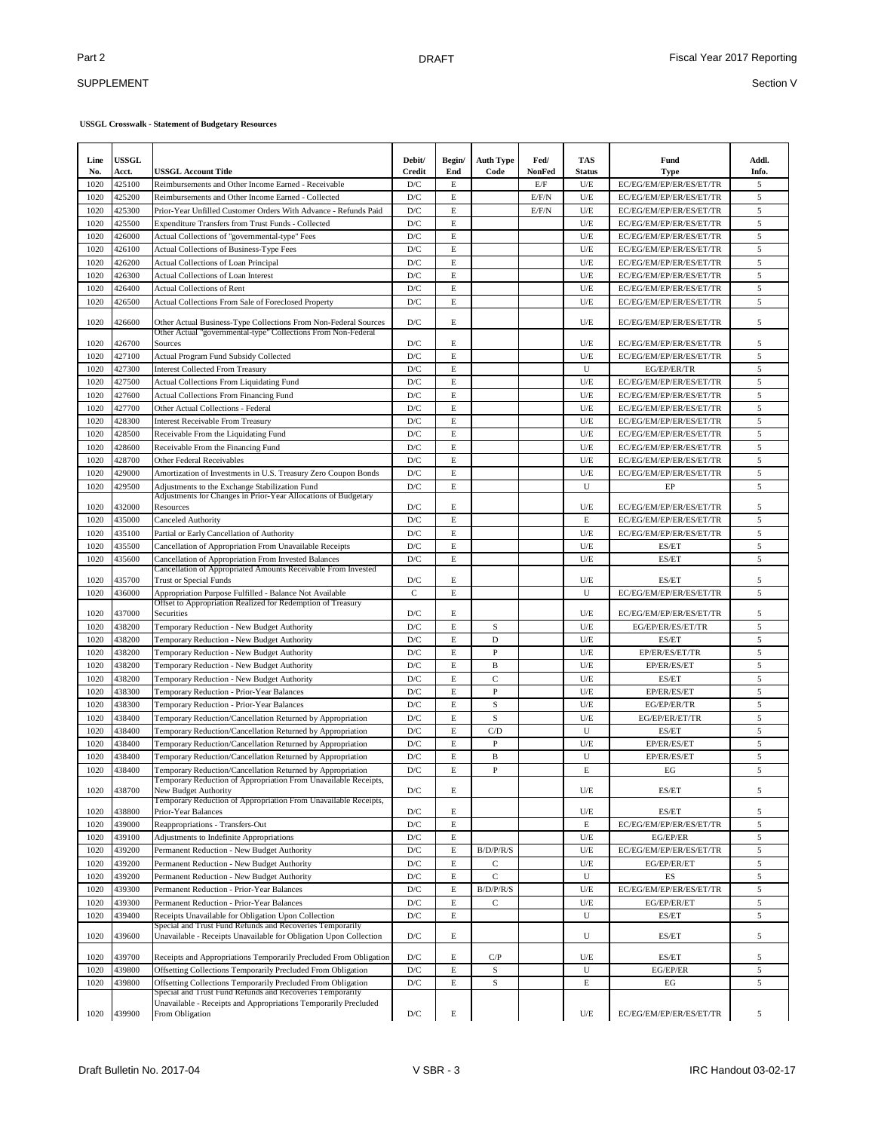## SUPPLEMENT

| Line         | <b>USSGL</b>     |                                                                                                                                  | Debit/                         | Begin/           | <b>Auth Type</b> | Fed/          | TAS                | Fund                                               | Addl.  |
|--------------|------------------|----------------------------------------------------------------------------------------------------------------------------------|--------------------------------|------------------|------------------|---------------|--------------------|----------------------------------------------------|--------|
| No.          | Acct.            | <b>USSGL Account Title</b>                                                                                                       | Credit                         | End              | Code             | <b>NonFed</b> | Status             | <b>Type</b>                                        | Info.  |
| 1020         | 425100           | Reimbursements and Other Income Earned - Receivable                                                                              | D/C                            | E                |                  | E/F           | U/E                | EC/EG/EM/EP/ER/ES/ET/TR                            | 5      |
| 1020         | 425200           | Reimbursements and Other Income Earned - Collected                                                                               | D/C                            | E                |                  | E/F/N         | U/E                | EC/EG/EM/EP/ER/ES/ET/TR                            | 5      |
| 1020         | 425300           | Prior-Year Unfilled Customer Orders With Advance - Refunds Paid                                                                  | D/C                            | E                |                  | E/F/N         | U/E                | EC/EG/EM/EP/ER/ES/ET/TR                            | 5      |
| 1020         | 425500           | Expenditure Transfers from Trust Funds - Collected                                                                               | D/C                            | E                |                  |               | U/E                | EC/EG/EM/EP/ER/ES/ET/TR                            | 5      |
| 1020         | 426000           | Actual Collections of "governmental-type" Fees                                                                                   | D/C                            | E                |                  |               | U/E                | EC/EG/EM/EP/ER/ES/ET/TR                            | 5      |
| 1020         | 426100           | Actual Collections of Business-Type Fees                                                                                         | $\mathbf{D}/\mathbf{C}$        | E<br>$\mathbf E$ |                  |               | U/E                | EC/EG/EM/EP/ER/ES/ET/TR                            | 5      |
| 1020<br>1020 | 426200<br>426300 | Actual Collections of Loan Principal<br><b>Actual Collections of Loan Interest</b>                                               | D/C<br>D/C                     | $\mathbf E$      |                  |               | U/E<br>U/E         | EC/EG/EM/EP/ER/ES/ET/TR<br>EC/EG/EM/EP/ER/ES/ET/TR | 5<br>5 |
| 1020         | 426400           | <b>Actual Collections of Rent</b>                                                                                                | D/C                            | E                |                  |               | U/E                | EC/EG/EM/EP/ER/ES/ET/TR                            | 5      |
| 1020         | 426500           | Actual Collections From Sale of Foreclosed Property                                                                              | D/C                            | E                |                  |               | U/E                | EC/EG/EM/EP/ER/ES/ET/TR                            | 5      |
|              |                  |                                                                                                                                  |                                |                  |                  |               |                    |                                                    |        |
| 1020         | 426600           | Other Actual Business-Type Collections From Non-Federal Sources<br>Other Actual "governmental-type" Collections From Non-Federal | $\mathbf{D}/\mathbf{C}$        | $\mathbf E$      |                  |               | U/E                | EC/EG/EM/EP/ER/ES/ET/TR                            | 5      |
| 1020         | 426700           | Sources                                                                                                                          | D/C                            | E                |                  |               | U/E                | EC/EG/EM/EP/ER/ES/ET/TR                            | 5      |
| 1020         | 427100           | Actual Program Fund Subsidy Collected                                                                                            | $\mathbf{D}/\mathbf{C}$        | E                |                  |               | U/E                | EC/EG/EM/EP/ER/ES/ET/TR                            | 5      |
| 1020         | 427300           | <b>Interest Collected From Treasury</b>                                                                                          | D/C                            | E                |                  |               | U                  | EG/EP/ER/TR                                        | 5      |
| 1020         | 427500           | Actual Collections From Liquidating Fund                                                                                         | D/C                            | E                |                  |               | U/E                | EC/EG/EM/EP/ER/ES/ET/TR                            | 5      |
| 1020         | 427600           | <b>Actual Collections From Financing Fund</b>                                                                                    | $\mathbf{D}/\mathbf{C}$        | $\mathbf E$      |                  |               | U/E                | EC/EG/EM/EP/ER/ES/ET/TR                            | 5      |
| 1020         | 427700           | Other Actual Collections - Federal                                                                                               | D/C                            | E                |                  |               | U/E                | EC/EG/EM/EP/ER/ES/ET/TR                            | 5      |
| 1020         | 428300           | <b>Interest Receivable From Treasury</b>                                                                                         | D/C                            | $\mathbf E$      |                  |               | U/E                | EC/EG/EM/EP/ER/ES/ET/TR                            | 5      |
| 1020         | 428500           | Receivable From the Liquidating Fund                                                                                             | D/C                            | $\mathbf E$      |                  |               | U/E                | EC/EG/EM/EP/ER/ES/ET/TR                            | 5      |
| 1020         | 428600           | Receivable From the Financing Fund                                                                                               | $\mathbf{D}/\mathbf{C}$        | $\mathbf E$      |                  |               | U/E                | EC/EG/EM/EP/ER/ES/ET/TR                            | 5      |
| 1020         | 428700           | Other Federal Receivables                                                                                                        | D/C                            | $\mathbf E$      |                  |               | U/E                | EC/EG/EM/EP/ER/ES/ET/TR                            | 5      |
| 1020         | 429000           | Amortization of Investments in U.S. Treasury Zero Coupon Bonds                                                                   | $\mathbf{D}/\mathbf{C}$        | E                |                  |               | U/E                | EC/EG/EM/EP/ER/ES/ET/TR                            | 5      |
| 1020         | 429500           | Adjustments to the Exchange Stabilization Fund                                                                                   | D/C                            | E                |                  |               | U                  | EP                                                 | 5      |
| 1020         | 432000           | Adjustments for Changes in Prior-Year Allocations of Budgetary<br>Resources                                                      | D/C                            | E                |                  |               | U/E                | EC/EG/EM/EP/ER/ES/ET/TR                            | 5      |
| 1020         | 435000           | Canceled Authority                                                                                                               | $\mathbf{D}/\mathbf{C}$        | $\mathbf E$      |                  |               | $\mathbf E$        | EC/EG/EM/EP/ER/ES/ET/TR                            | 5      |
| 1020         | 435100           | Partial or Early Cancellation of Authority                                                                                       | $\mathbf{D}/\mathbf{C}$        | E                |                  |               | U/E                | EC/EG/EM/EP/ER/ES/ET/TR                            | 5      |
| 1020         | 435500           | Cancellation of Appropriation From Unavailable Receipts                                                                          | $\mathbf{D}/\mathbf{C}$        | E                |                  |               | U/E                | ES/ET                                              | 5      |
| 1020         | 435600           | Cancellation of Appropriation From Invested Balances<br>Cancellation of Appropriated Amounts Receivable From Invested            | D/C                            | E                |                  |               | U/E                | ES/ET                                              | 5      |
| 1020         | 435700           | Trust or Special Funds                                                                                                           | D/C                            | E                |                  |               | U/E                | ES/ET                                              | 5      |
| 1020         | 436000           | Appropriation Purpose Fulfilled - Balance Not Available                                                                          | $\mathbf C$                    | $\mathbf E$      |                  |               | U                  | EC/EG/EM/EP/ER/ES/ET/TR                            | 5      |
| 1020         | 437000           | Offset to Appropriation Realized for Redemption of Treasury<br>Securities                                                        | D/C                            | $\mathbf E$      |                  |               | U/E                | EC/EG/EM/EP/ER/ES/ET/TR                            | 5      |
| 1020         | 438200           | Temporary Reduction - New Budget Authority                                                                                       | $\mathbf{D}/\mathbf{C}$        | E                | S                |               | U/E                | EG/EP/ER/ES/ET/TR                                  | 5      |
| 1020         | 438200           | Temporary Reduction - New Budget Authority                                                                                       | D/C                            | $\mathbf E$      | D                |               | U/E                | ES/ET                                              | 5      |
| 1020         | 438200           | Temporary Reduction - New Budget Authority                                                                                       | D/C                            | $\mathbf E$      | $\mathbf{P}$     |               | U/E                | EP/ER/ES/ET/TR                                     | 5      |
| 1020         | 438200           | Temporary Reduction - New Budget Authority                                                                                       | D/C                            | E                | $\mathbf B$      |               | U/E                | EP/ER/ES/ET                                        | 5      |
| 1020         | 438200           | Temporary Reduction - New Budget Authority                                                                                       | D/C                            | E                | $\mathcal{C}$    |               | U/E                | ES/ET                                              | 5      |
| 1020         | 438300           | Temporary Reduction - Prior-Year Balances                                                                                        | $\mathbf{D}/\mathbf{C}$        | E                | $\mathbf{P}$     |               | U/E                | EP/ER/ES/ET                                        | 5      |
| 1020         | 438300           | Temporary Reduction - Prior-Year Balances                                                                                        | D/C                            | E                | S                |               | U/E                | EG/EP/ER/TR                                        | 5      |
| 1020         | 438400           | Temporary Reduction/Cancellation Returned by Appropriation                                                                       | D/C                            | E                | S                |               | U/E                | EG/EP/ER/ET/TR                                     | 5      |
| 1020         | 438400           | Temporary Reduction/Cancellation Returned by Appropriation                                                                       | D/C                            | E                | C/D              |               | U                  | ES/ET                                              | 5      |
| 1020         | 438400           | Temporary Reduction/Cancellation Returned by Appropriation                                                                       | $\mathbf{D}/\mathbf{C}$        | E                | P                |               | U/E                | EP/ER/ES/ET                                        | 5      |
| 1020         | 438400           | Temporary Reduction/Cancellation Returned by Appropriation                                                                       | $\mathbf{D}/\mathbf{C}$        | E                | B                |               | U                  | EP/ER/ES/ET                                        | 5      |
| 1020         | 438400           | Temporary Reduction/Cancellation Returned by Appropriation                                                                       | D/C                            | E                | P                |               | E                  | EG                                                 | 5      |
| 1020         | 438700           | Temporary Reduction of Appropriation From Unavailable Receipts,<br>New Budget Authority                                          | D/C                            | Е                |                  |               | U/E                | ES/ET                                              | 5      |
|              |                  | Temporary Reduction of Appropriation From Unavailable Receipts,                                                                  |                                |                  |                  |               |                    |                                                    |        |
| 1020<br>1020 | 438800<br>439000 | Prior-Year Balances<br>Reappropriations - Transfers-Out                                                                          | D/C<br>$\mathbf{D}/\mathbf{C}$ | E<br>E           |                  |               | U/E<br>$\mathbf E$ | ES/ET<br>EC/EG/EM/EP/ER/ES/ET/TR                   | 5<br>5 |
| 1020         | 439100           | Adjustments to Indefinite Appropriations                                                                                         | D/C                            | E                |                  |               | U/E                | EG/EP/ER                                           | 5      |
| 1020         | 439200           | Permanent Reduction - New Budget Authority                                                                                       | D/C                            | E                | B/D/P/R/S        |               | U/E                | EC/EG/EM/EP/ER/ES/ET/TR                            | 5      |
| 1020         | 439200           | Permanent Reduction - New Budget Authority                                                                                       | D/C                            | E                | C                |               | U/E                | EG/EP/ER/ET                                        | 5      |
| 1020         | 439200           | Permanent Reduction - New Budget Authority                                                                                       | $\mathbf{D}/\mathbf{C}$        | E                | $\mathbf C$      |               | U                  | ES                                                 | 5      |
| 1020         | 439300           | Permanent Reduction - Prior-Year Balances                                                                                        | $\mathbf{D}/\mathbf{C}$        | E                | B/D/P/R/S        |               | U/E                | EC/EG/EM/EP/ER/ES/ET/TR                            | 5      |
| 1020         | 439300           | Permanent Reduction - Prior-Year Balances                                                                                        | $\mathbf{D}/\mathbf{C}$        | E                | $\rm{C}$         |               | U/E                | EG/EP/ER/ET                                        | 5      |
| 1020         | 439400           | Receipts Unavailable for Obligation Upon Collection                                                                              | $\mathbf{D}/\mathbf{C}$        | E                |                  |               | U                  | ES/ET                                              | 5      |
| 1020         | 439600           | Special and Trust Fund Refunds and Recoveries Temporarily<br>Unavailable - Receipts Unavailable for Obligation Upon Collection   | D/C                            | E                |                  |               | U                  | ES/ET                                              | 5      |
|              |                  |                                                                                                                                  |                                |                  |                  |               |                    |                                                    |        |
| 1020         | 439700           | Receipts and Appropriations Temporarily Precluded From Obligation                                                                | D/C                            | E                | C/P              |               | U/E                | ES/ET                                              | 5      |
| 1020         | 439800           | Offsetting Collections Temporarily Precluded From Obligation                                                                     | $\mathbf{D}/\mathbf{C}$        | E                | S                |               | U                  | EG/EP/ER                                           | 5      |
| 1020         | 439800           | Offsetting Collections Temporarily Precluded From Obligation<br>Special and Trust Fund Refunds and Recoveries Temporarily        | $\mathbf{D}/\mathbf{C}$        | E                | S                |               | E                  | EG                                                 | 5      |
| 1020         | 439900           | Unavailable - Receipts and Appropriations Temporarily Precluded<br>From Obligation                                               | $\mathbf{D}/\mathbf{C}$        | E                |                  |               | $U\!/\!\to$        | EC/EG/EM/EP/ER/ES/ET/TR                            | 5      |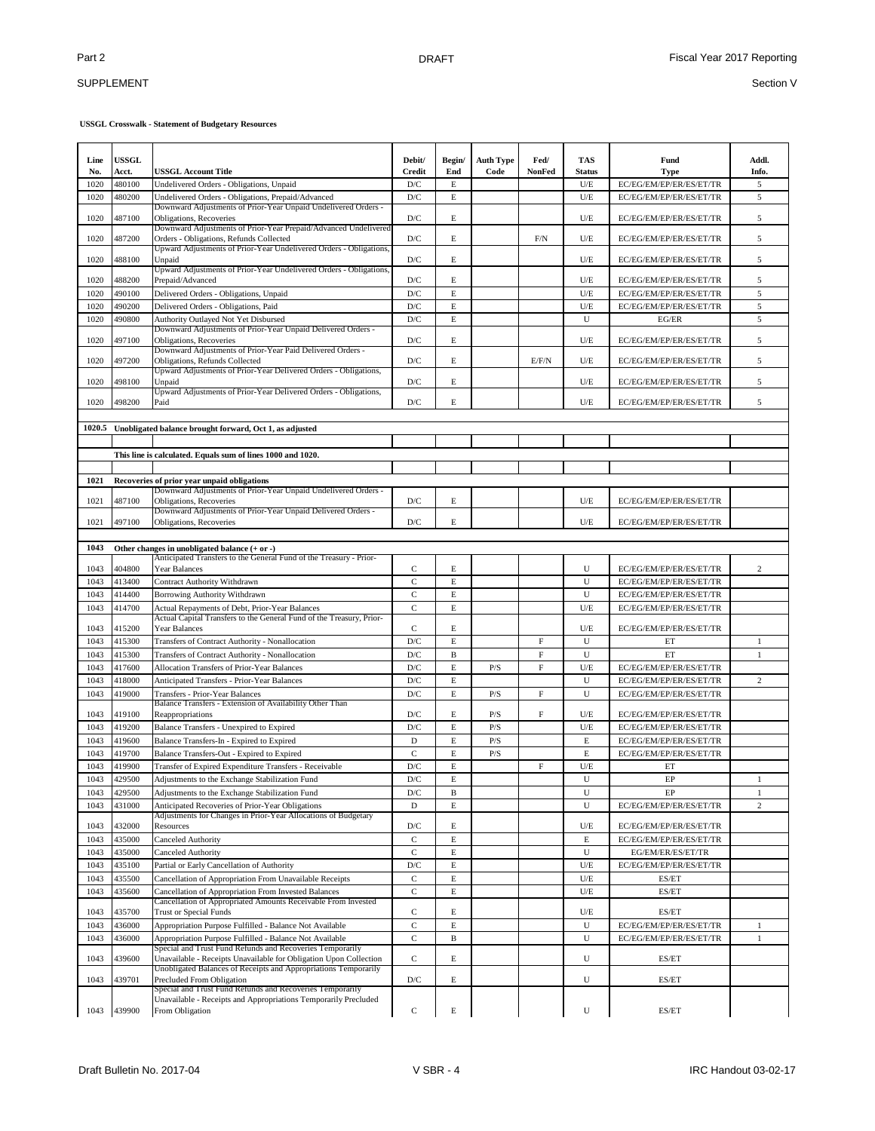### SUPPLEMENT

| Line<br>No. | <b>USSGL</b><br>Acct. | <b>USSGL Account Title</b>                                                                                                   | Debit/<br>Credit        | Begin/<br>End | <b>Auth Type</b><br>Code | Fed/<br>NonFed | <b>TAS</b><br><b>Status</b> | Fund<br><b>Type</b>     | Addl.<br>Info. |
|-------------|-----------------------|------------------------------------------------------------------------------------------------------------------------------|-------------------------|---------------|--------------------------|----------------|-----------------------------|-------------------------|----------------|
| 1020        | 480100                | Undelivered Orders - Obligations, Unpaid                                                                                     | $\mathbf{D}/\mathbf{C}$ | $\mathbf E$   |                          |                | $U\!/\!E$                   | EC/EG/EM/EP/ER/ES/ET/TR | 5              |
| 1020        | 480200                | Undelivered Orders - Obligations, Prepaid/Advanced                                                                           | D/C                     | $\mathbf E$   |                          |                | $U\!/\!E$                   | EC/EG/EM/EP/ER/ES/ET/TR | 5              |
|             |                       | Downward Adjustments of Prior-Year Unpaid Undelivered Orders -                                                               |                         |               |                          |                |                             |                         |                |
| 1020        | 487100                | Obligations, Recoveries                                                                                                      | D/C                     | E             |                          |                | U/E                         | EC/EG/EM/EP/ER/ES/ET/TR | 5              |
| 1020        | 487200                | Downward Adjustments of Prior-Year Prepaid/Advanced Undelivered<br>Orders - Obligations, Refunds Collected                   | D/C                     | E             |                          | F/N            | U/E                         | EC/EG/EM/EP/ER/ES/ET/TR | 5              |
|             |                       | Upward Adjustments of Prior-Year Undelivered Orders - Obligations,                                                           |                         |               |                          |                |                             |                         |                |
| 1020        | 488100                | Unpaid                                                                                                                       | $\mathbf{D}/\mathbf{C}$ | $\mathbf E$   |                          |                | U/E                         | EC/EG/EM/EP/ER/ES/ET/TR | 5              |
|             |                       | Upward Adjustments of Prior-Year Undelivered Orders - Obligations,                                                           |                         |               |                          |                |                             |                         |                |
| 1020        | 488200                | Prepaid/Advanced                                                                                                             | D/C                     | E             |                          |                | U/E                         | EC/EG/EM/EP/ER/ES/ET/TR | 5              |
| 1020        | 490100                | Delivered Orders - Obligations, Unpaid                                                                                       | D/C                     | $\mathbf E$   |                          |                | $U\!/\!\!E$                 | EC/EG/EM/EP/ER/ES/ET/TR | 5              |
| 1020        | 490200                | Delivered Orders - Obligations, Paid                                                                                         | $\mathbf{D}/\mathbf{C}$ | E             |                          |                | $U\!/\!\!E$                 | EC/EG/EM/EP/ER/ES/ET/TR | 5              |
| 1020        | 490800                | Authority Outlayed Not Yet Disbursed                                                                                         | $\mathbf{D}/\mathbf{C}$ | E             |                          |                | U                           | EG/ER                   | 5              |
|             |                       | Downward Adjustments of Prior-Year Unpaid Delivered Orders -                                                                 |                         |               |                          |                |                             |                         |                |
| 1020        | 497100                | Obligations, Recoveries                                                                                                      | D/C                     | E             |                          |                | U/E                         | EC/EG/EM/EP/ER/ES/ET/TR | 5              |
| 1020        | 497200                | Downward Adjustments of Prior-Year Paid Delivered Orders -                                                                   | D/C                     | $\mathbf E$   |                          | E/F/N          | U/E                         |                         | 5              |
|             |                       | Obligations, Refunds Collected<br>Upward Adjustments of Prior-Year Delivered Orders - Obligations,                           |                         |               |                          |                |                             | EC/EG/EM/EP/ER/ES/ET/TR |                |
| 1020        | 498100                | Unpaid                                                                                                                       | D/C                     | E             |                          |                | U/E                         | EC/EG/EM/EP/ER/ES/ET/TR | 5              |
|             |                       | Upward Adjustments of Prior-Year Delivered Orders - Obligations,                                                             |                         |               |                          |                |                             |                         |                |
| 1020        | 498200                | Paid                                                                                                                         | D/C                     | E             |                          |                | U/E                         | EC/EG/EM/EP/ER/ES/ET/TR | 5              |
|             |                       |                                                                                                                              |                         |               |                          |                |                             |                         |                |
| 1020.5      |                       | Unobligated balance brought forward, Oct 1, as adjusted                                                                      |                         |               |                          |                |                             |                         |                |
|             |                       |                                                                                                                              |                         |               |                          |                |                             |                         |                |
|             |                       | This line is calculated. Equals sum of lines 1000 and 1020.                                                                  |                         |               |                          |                |                             |                         |                |
|             |                       |                                                                                                                              |                         |               |                          |                |                             |                         |                |
| 1021        |                       | Recoveries of prior year unpaid obligations                                                                                  |                         |               |                          |                |                             |                         |                |
|             |                       | Downward Adjustments of Prior-Year Unpaid Undelivered Orders -                                                               |                         |               |                          |                |                             |                         |                |
| 1021        | 487100                | Obligations, Recoveries                                                                                                      | D/C                     | E             |                          |                | $U\!/\!E$                   | EC/EG/EM/EP/ER/ES/ET/TR |                |
|             |                       | Downward Adjustments of Prior-Year Unpaid Delivered Orders -                                                                 |                         |               |                          |                |                             |                         |                |
| 1021        | 497100                | Obligations, Recoveries                                                                                                      | D/C                     | E             |                          |                | U/E                         | EC/EG/EM/EP/ER/ES/ET/TR |                |
|             |                       |                                                                                                                              |                         |               |                          |                |                             |                         |                |
| 1043        |                       | Other changes in unobligated balance $(+ or -)$                                                                              |                         |               |                          |                |                             |                         |                |
|             |                       | Anticipated Transfers to the General Fund of the Treasury - Prior-                                                           |                         |               |                          |                |                             |                         |                |
| 1043        | 404800                | Year Balances                                                                                                                | C                       | E             |                          |                | U                           | EC/EG/EM/EP/ER/ES/ET/TR | $\mathfrak{2}$ |
| 1043        | 413400                | Contract Authority Withdrawn                                                                                                 | $\mathbf C$             | E             |                          |                | U                           | EC/EG/EM/EP/ER/ES/ET/TR |                |
| 1043        | 414400                | Borrowing Authority Withdrawn                                                                                                | $\mathbf C$             | $\mathbf E$   |                          |                | U                           | EC/EG/EM/EP/ER/ES/ET/TR |                |
| 1043        | 414700                | Actual Repayments of Debt, Prior-Year Balances                                                                               | $\mathbf C$             | E             |                          |                | $U/E$                       | EC/EG/EM/EP/ER/ES/ET/TR |                |
|             |                       | Actual Capital Transfers to the General Fund of the Treasury, Prior-                                                         |                         |               |                          |                |                             |                         |                |
| 1043        | 415200                | Year Balances                                                                                                                | $\mathbf C$             | E             |                          |                | U/E                         | EC/EG/EM/EP/ER/ES/ET/TR |                |
| 1043        | 415300                | Transfers of Contract Authority - Nonallocation                                                                              | D/C                     | E             |                          | F              | U                           | ET                      | $\mathbf{1}$   |
| 1043        | 415300                | Transfers of Contract Authority - Nonallocation                                                                              | D/C                     | $\bf{B}$      |                          | $\mathbf F$    | U                           | ET                      | $\mathbf{1}$   |
| 1043        | 417600                | Allocation Transfers of Prior-Year Balances                                                                                  | D/C                     | E             | P/S                      | F              | U/E                         | EC/EG/EM/EP/ER/ES/ET/TR |                |
| 1043        | 418000                | Anticipated Transfers - Prior-Year Balances                                                                                  | $\mathbf{D}/\mathbf{C}$ | $\mathbf E$   |                          |                | U                           | EC/EG/EM/EP/ER/ES/ET/TR | $\mathfrak{2}$ |
| 1043        | 419000                | Transfers - Prior-Year Balances                                                                                              | D/C                     | E             | P/S                      | $\mathbf F$    | U                           | EC/EG/EM/EP/ER/ES/ET/TR |                |
|             |                       | Balance Transfers - Extension of Availability Other Than                                                                     |                         |               |                          |                |                             |                         |                |
| 1043        | 419100                | Reappropriations                                                                                                             | D/C                     | E             | P/S                      | $\mathbf F$    | U/E                         | EC/EG/EM/EP/ER/ES/ET/TR |                |
| 1043        | 419200                | Balance Transfers - Unexpired to Expired                                                                                     | D/C                     | E             | P/S                      |                | U/E                         | EC/EG/EM/EP/ER/ES/ET/TR |                |
| 1043        | 419600                | Balance Transfers-In - Expired to Expired                                                                                    | D                       | $\mathbf E$   | P/S                      |                | E                           | EC/EG/EM/EP/ER/ES/ET/TR |                |
| 1043        | 419700                | Balance Transfers-Out - Expired to Expired                                                                                   | $\mathbf C$             | E             | P/S                      |                | $\mathbf E$                 | EC/EG/EM/EP/ER/ES/ET/TR |                |
| 1043        | 419900                | Transfer of Expired Expenditure Transfers - Receivable                                                                       | $\mathbf{D}/\mathbf{C}$ | E             |                          | F              | U/E                         | ET                      |                |
| 1043        | 429500                | Adjustments to the Exchange Stabilization Fund                                                                               | D/C                     | E             |                          |                | U                           | EP                      |                |
| 1043        | 429500                | Adjustments to the Exchange Stabilization Fund                                                                               | $\mathbf{D}/\mathbf{C}$ | $\, {\bf B}$  |                          |                | U                           | EP                      | $\mathbf{1}$   |
| 1043        | 431000                | Anticipated Recoveries of Prior-Year Obligations                                                                             | $\mathbf D$             | E             |                          |                | U                           | EC/EG/EM/EP/ER/ES/ET/TR | $\overline{c}$ |
|             |                       | Adjustments for Changes in Prior-Year Allocations of Budgetary                                                               |                         |               |                          |                |                             |                         |                |
| 1043        | 432000                | Resources                                                                                                                    | D/C                     | Е             |                          |                | U/E                         | EC/EG/EM/EP/ER/ES/ET/TR |                |
| 1043        | 435000                | Canceled Authority                                                                                                           | $\mathbf C$             | E             |                          |                | $\mathbf E$                 | EC/EG/EM/EP/ER/ES/ET/TR |                |
| 1043        | 435000                | Canceled Authority                                                                                                           | $\mathbf C$             | $\mathbf E$   |                          |                | U                           | EG/EM/ER/ES/ET/TR       |                |
| 1043        | 435100                | Partial or Early Cancellation of Authority                                                                                   | $\mathbf{D}/\mathbf{C}$ | $\mathbf E$   |                          |                | $U\!/\!E$                   | EC/EG/EM/EP/ER/ES/ET/TR |                |
| 1043        | 435500                | Cancellation of Appropriation From Unavailable Receipts                                                                      | $\mathbf C$             | $\mathbf E$   |                          |                | $U\!/\!E$                   | ES/ET                   |                |
| 1043        | 435600                | Cancellation of Appropriation From Invested Balances                                                                         | $\mathbf C$             | E             |                          |                | $U\!/\!E$                   | ES/ET                   |                |
|             |                       | Cancellation of Appropriated Amounts Receivable From Invested                                                                |                         |               |                          |                |                             |                         |                |
| 1043        | 435700                | <b>Trust or Special Funds</b>                                                                                                | C                       | Е             |                          |                | U/E                         | ES/ET                   |                |
| 1043        | 436000                | Appropriation Purpose Fulfilled - Balance Not Available                                                                      | $\mathbf C$             | E             |                          |                | U                           | EC/EG/EM/EP/ER/ES/ET/TR | $\mathbf{1}$   |
| 1043        | 436000                | Appropriation Purpose Fulfilled - Balance Not Available                                                                      | $\mathbf C$             | $\, {\bf B}$  |                          |                | U                           | EC/EG/EM/EP/ER/ES/ET/TR | $\mathbf{1}$   |
|             |                       | Special and Trust Fund Refunds and Recoveries Temporarily                                                                    |                         |               |                          |                |                             |                         |                |
| 1043        | 439600                | Unavailable - Receipts Unavailable for Obligation Upon Collection                                                            | $\mathbf C$             | E             |                          |                | U                           | ES/ET                   |                |
|             |                       | Unobligated Balances of Receipts and Appropriations Temporarily                                                              |                         |               |                          |                |                             |                         |                |
| 1043        | 439701                | Precluded From Obligation                                                                                                    | D/C                     | E             |                          |                | U                           | ES/ET                   |                |
|             |                       | Special and Trust Fund Refunds and Recoveries Temporarily<br>Unavailable - Receipts and Appropriations Temporarily Precluded |                         |               |                          |                |                             |                         |                |
| 1043        | 439900                | From Obligation                                                                                                              | $\mathbf C$             | E             |                          |                | ${\bf U}$                   | ES/ET                   |                |
|             |                       |                                                                                                                              |                         |               |                          |                |                             |                         |                |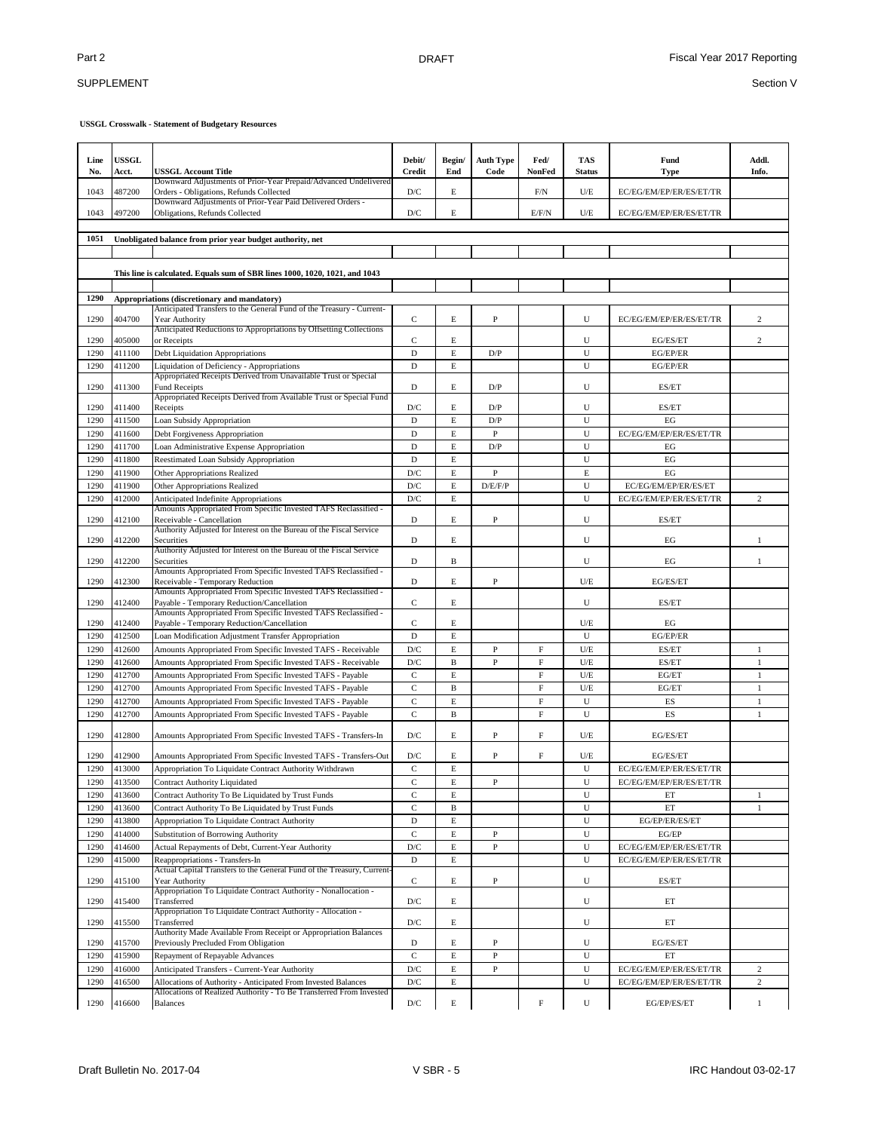## SUPPLEMENT

| Downward Adjustments of Prior-Year Prepaid/Advanced Undelivered<br>D/C<br>E<br>1043<br>487200<br>Orders - Obligations, Refunds Collected<br>F/N<br>U/E<br>EC/EG/EM/EP/ER/ES/ET/TR<br>Downward Adjustments of Prior-Year Paid Delivered Orders -<br>497200<br>D/C<br>E<br>EC/EG/EM/EP/ER/ES/ET/TR<br>1043<br>Obligations, Refunds Collected<br>E/F/N<br>U/E<br>1051<br>Unobligated balance from prior year budget authority, net<br>This line is calculated. Equals sum of SBR lines 1000, 1020, 1021, and 1043<br>1290<br>Appropriations (discretionary and mandatory)<br>Anticipated Transfers to the General Fund of the Treasury - Current-<br>$\mathbf C$<br>E<br>${\bf P}$<br>1290<br>404700<br>U<br>EC/EG/EM/EP/ER/ES/ET/TR<br>Year Authority<br>Anticipated Reductions to Appropriations by Offsetting Collections<br>$\mathbf C$<br>1290<br>405000<br>E<br>U<br>or Receipts<br>EG/ES/ET<br>$\mathbf E$<br>$\mathbf D$<br>U<br>EG/EP/ER<br>1290<br>411100<br>Debt Liquidation Appropriations<br>D/P<br>E<br>U<br>1290<br>411200<br>Liquidation of Deficiency - Appropriations<br>D<br>EG/EP/ER<br>Appropriated Receipts Derived from Unavailable Trust or Special<br>1290<br>411300<br>D<br>E<br>D/P<br>U<br>ES/ET<br><b>Fund Receipts</b><br>Appropriated Receipts Derived from Available Trust or Special Fund<br>D/C<br>E<br>U<br>1290<br>411400<br>Receipts<br>D/P<br>ES/ET<br>$\mathbf E$<br>D<br>$\mathbf{D}/\mathbf{P}$<br>U<br>EG<br>1290<br>411500<br>Loan Subsidy Appropriation<br>D<br>E<br>P<br>U<br>EC/EG/EM/EP/ER/ES/ET/TR<br>1290<br>411600<br>Debt Forgiveness Appropriation<br>E<br>411700<br>D<br>D/P<br>U<br>EG<br>1290<br>Loan Administrative Expense Appropriation<br>E<br>1290<br>411800<br>D<br>U<br>EG<br>Reestimated Loan Subsidy Appropriation<br>$\mathbf E$<br>411900<br>D/C<br>$\mathbf{P}$<br>$\mathbf E$<br>EG<br>1290<br>Other Appropriations Realized<br>$\mathbf{D}/\mathbf{C}$<br>E<br>U<br>1290<br>411900<br>D/E/F/P<br>EC/EG/EM/EP/ER/ES/ET<br>Other Appropriations Realized<br>U<br>D/C<br>E<br>EC/EG/EM/EP/ER/ES/ET/TR<br>1290<br>412000<br>Anticipated Indefinite Appropriations<br>Amounts Appropriated From Specific Invested TAFS Reclassified -<br>1290<br>412100<br>D<br>E<br>P<br>U<br>ES/ET<br>Receivable - Cancellation<br>Authority Adjusted for Interest on the Bureau of the Fiscal Service<br>E<br>1290<br>412200<br>Securities<br>D<br>U<br>EG<br>Authority Adjusted for Interest on the Bureau of the Fiscal Service<br>1290<br>412200<br>D<br>B<br>U<br>EG<br>Securities |                       |
|----------------------------------------------------------------------------------------------------------------------------------------------------------------------------------------------------------------------------------------------------------------------------------------------------------------------------------------------------------------------------------------------------------------------------------------------------------------------------------------------------------------------------------------------------------------------------------------------------------------------------------------------------------------------------------------------------------------------------------------------------------------------------------------------------------------------------------------------------------------------------------------------------------------------------------------------------------------------------------------------------------------------------------------------------------------------------------------------------------------------------------------------------------------------------------------------------------------------------------------------------------------------------------------------------------------------------------------------------------------------------------------------------------------------------------------------------------------------------------------------------------------------------------------------------------------------------------------------------------------------------------------------------------------------------------------------------------------------------------------------------------------------------------------------------------------------------------------------------------------------------------------------------------------------------------------------------------------------------------------------------------------------------------------------------------------------------------------------------------------------------------------------------------------------------------------------------------------------------------------------------------------------------------------------------------------------------------------------------------------------------------------------------------------------------------------------------------------------------------------------------------------------------------------|-----------------------|
|                                                                                                                                                                                                                                                                                                                                                                                                                                                                                                                                                                                                                                                                                                                                                                                                                                                                                                                                                                                                                                                                                                                                                                                                                                                                                                                                                                                                                                                                                                                                                                                                                                                                                                                                                                                                                                                                                                                                                                                                                                                                                                                                                                                                                                                                                                                                                                                                                                                                                                                                        |                       |
|                                                                                                                                                                                                                                                                                                                                                                                                                                                                                                                                                                                                                                                                                                                                                                                                                                                                                                                                                                                                                                                                                                                                                                                                                                                                                                                                                                                                                                                                                                                                                                                                                                                                                                                                                                                                                                                                                                                                                                                                                                                                                                                                                                                                                                                                                                                                                                                                                                                                                                                                        |                       |
|                                                                                                                                                                                                                                                                                                                                                                                                                                                                                                                                                                                                                                                                                                                                                                                                                                                                                                                                                                                                                                                                                                                                                                                                                                                                                                                                                                                                                                                                                                                                                                                                                                                                                                                                                                                                                                                                                                                                                                                                                                                                                                                                                                                                                                                                                                                                                                                                                                                                                                                                        |                       |
|                                                                                                                                                                                                                                                                                                                                                                                                                                                                                                                                                                                                                                                                                                                                                                                                                                                                                                                                                                                                                                                                                                                                                                                                                                                                                                                                                                                                                                                                                                                                                                                                                                                                                                                                                                                                                                                                                                                                                                                                                                                                                                                                                                                                                                                                                                                                                                                                                                                                                                                                        |                       |
|                                                                                                                                                                                                                                                                                                                                                                                                                                                                                                                                                                                                                                                                                                                                                                                                                                                                                                                                                                                                                                                                                                                                                                                                                                                                                                                                                                                                                                                                                                                                                                                                                                                                                                                                                                                                                                                                                                                                                                                                                                                                                                                                                                                                                                                                                                                                                                                                                                                                                                                                        |                       |
|                                                                                                                                                                                                                                                                                                                                                                                                                                                                                                                                                                                                                                                                                                                                                                                                                                                                                                                                                                                                                                                                                                                                                                                                                                                                                                                                                                                                                                                                                                                                                                                                                                                                                                                                                                                                                                                                                                                                                                                                                                                                                                                                                                                                                                                                                                                                                                                                                                                                                                                                        |                       |
|                                                                                                                                                                                                                                                                                                                                                                                                                                                                                                                                                                                                                                                                                                                                                                                                                                                                                                                                                                                                                                                                                                                                                                                                                                                                                                                                                                                                                                                                                                                                                                                                                                                                                                                                                                                                                                                                                                                                                                                                                                                                                                                                                                                                                                                                                                                                                                                                                                                                                                                                        |                       |
|                                                                                                                                                                                                                                                                                                                                                                                                                                                                                                                                                                                                                                                                                                                                                                                                                                                                                                                                                                                                                                                                                                                                                                                                                                                                                                                                                                                                                                                                                                                                                                                                                                                                                                                                                                                                                                                                                                                                                                                                                                                                                                                                                                                                                                                                                                                                                                                                                                                                                                                                        | $\mathfrak{2}$        |
|                                                                                                                                                                                                                                                                                                                                                                                                                                                                                                                                                                                                                                                                                                                                                                                                                                                                                                                                                                                                                                                                                                                                                                                                                                                                                                                                                                                                                                                                                                                                                                                                                                                                                                                                                                                                                                                                                                                                                                                                                                                                                                                                                                                                                                                                                                                                                                                                                                                                                                                                        | $\overline{c}$        |
|                                                                                                                                                                                                                                                                                                                                                                                                                                                                                                                                                                                                                                                                                                                                                                                                                                                                                                                                                                                                                                                                                                                                                                                                                                                                                                                                                                                                                                                                                                                                                                                                                                                                                                                                                                                                                                                                                                                                                                                                                                                                                                                                                                                                                                                                                                                                                                                                                                                                                                                                        |                       |
|                                                                                                                                                                                                                                                                                                                                                                                                                                                                                                                                                                                                                                                                                                                                                                                                                                                                                                                                                                                                                                                                                                                                                                                                                                                                                                                                                                                                                                                                                                                                                                                                                                                                                                                                                                                                                                                                                                                                                                                                                                                                                                                                                                                                                                                                                                                                                                                                                                                                                                                                        |                       |
|                                                                                                                                                                                                                                                                                                                                                                                                                                                                                                                                                                                                                                                                                                                                                                                                                                                                                                                                                                                                                                                                                                                                                                                                                                                                                                                                                                                                                                                                                                                                                                                                                                                                                                                                                                                                                                                                                                                                                                                                                                                                                                                                                                                                                                                                                                                                                                                                                                                                                                                                        |                       |
|                                                                                                                                                                                                                                                                                                                                                                                                                                                                                                                                                                                                                                                                                                                                                                                                                                                                                                                                                                                                                                                                                                                                                                                                                                                                                                                                                                                                                                                                                                                                                                                                                                                                                                                                                                                                                                                                                                                                                                                                                                                                                                                                                                                                                                                                                                                                                                                                                                                                                                                                        |                       |
|                                                                                                                                                                                                                                                                                                                                                                                                                                                                                                                                                                                                                                                                                                                                                                                                                                                                                                                                                                                                                                                                                                                                                                                                                                                                                                                                                                                                                                                                                                                                                                                                                                                                                                                                                                                                                                                                                                                                                                                                                                                                                                                                                                                                                                                                                                                                                                                                                                                                                                                                        |                       |
|                                                                                                                                                                                                                                                                                                                                                                                                                                                                                                                                                                                                                                                                                                                                                                                                                                                                                                                                                                                                                                                                                                                                                                                                                                                                                                                                                                                                                                                                                                                                                                                                                                                                                                                                                                                                                                                                                                                                                                                                                                                                                                                                                                                                                                                                                                                                                                                                                                                                                                                                        |                       |
|                                                                                                                                                                                                                                                                                                                                                                                                                                                                                                                                                                                                                                                                                                                                                                                                                                                                                                                                                                                                                                                                                                                                                                                                                                                                                                                                                                                                                                                                                                                                                                                                                                                                                                                                                                                                                                                                                                                                                                                                                                                                                                                                                                                                                                                                                                                                                                                                                                                                                                                                        |                       |
|                                                                                                                                                                                                                                                                                                                                                                                                                                                                                                                                                                                                                                                                                                                                                                                                                                                                                                                                                                                                                                                                                                                                                                                                                                                                                                                                                                                                                                                                                                                                                                                                                                                                                                                                                                                                                                                                                                                                                                                                                                                                                                                                                                                                                                                                                                                                                                                                                                                                                                                                        |                       |
|                                                                                                                                                                                                                                                                                                                                                                                                                                                                                                                                                                                                                                                                                                                                                                                                                                                                                                                                                                                                                                                                                                                                                                                                                                                                                                                                                                                                                                                                                                                                                                                                                                                                                                                                                                                                                                                                                                                                                                                                                                                                                                                                                                                                                                                                                                                                                                                                                                                                                                                                        |                       |
|                                                                                                                                                                                                                                                                                                                                                                                                                                                                                                                                                                                                                                                                                                                                                                                                                                                                                                                                                                                                                                                                                                                                                                                                                                                                                                                                                                                                                                                                                                                                                                                                                                                                                                                                                                                                                                                                                                                                                                                                                                                                                                                                                                                                                                                                                                                                                                                                                                                                                                                                        |                       |
|                                                                                                                                                                                                                                                                                                                                                                                                                                                                                                                                                                                                                                                                                                                                                                                                                                                                                                                                                                                                                                                                                                                                                                                                                                                                                                                                                                                                                                                                                                                                                                                                                                                                                                                                                                                                                                                                                                                                                                                                                                                                                                                                                                                                                                                                                                                                                                                                                                                                                                                                        | $\mathbf{2}$          |
|                                                                                                                                                                                                                                                                                                                                                                                                                                                                                                                                                                                                                                                                                                                                                                                                                                                                                                                                                                                                                                                                                                                                                                                                                                                                                                                                                                                                                                                                                                                                                                                                                                                                                                                                                                                                                                                                                                                                                                                                                                                                                                                                                                                                                                                                                                                                                                                                                                                                                                                                        |                       |
|                                                                                                                                                                                                                                                                                                                                                                                                                                                                                                                                                                                                                                                                                                                                                                                                                                                                                                                                                                                                                                                                                                                                                                                                                                                                                                                                                                                                                                                                                                                                                                                                                                                                                                                                                                                                                                                                                                                                                                                                                                                                                                                                                                                                                                                                                                                                                                                                                                                                                                                                        | 1                     |
|                                                                                                                                                                                                                                                                                                                                                                                                                                                                                                                                                                                                                                                                                                                                                                                                                                                                                                                                                                                                                                                                                                                                                                                                                                                                                                                                                                                                                                                                                                                                                                                                                                                                                                                                                                                                                                                                                                                                                                                                                                                                                                                                                                                                                                                                                                                                                                                                                                                                                                                                        | 1                     |
| Amounts Appropriated From Specific Invested TAFS Reclassified -<br>1290<br>412300<br>Receivable - Temporary Reduction<br>D<br>E<br>P<br>U/E<br>EG/ES/ET                                                                                                                                                                                                                                                                                                                                                                                                                                                                                                                                                                                                                                                                                                                                                                                                                                                                                                                                                                                                                                                                                                                                                                                                                                                                                                                                                                                                                                                                                                                                                                                                                                                                                                                                                                                                                                                                                                                                                                                                                                                                                                                                                                                                                                                                                                                                                                                |                       |
| Amounts Appropriated From Specific Invested TAFS Reclassified -<br>C<br>E<br>U<br>1290<br>412400<br>Payable - Temporary Reduction/Cancellation<br>ES/ET                                                                                                                                                                                                                                                                                                                                                                                                                                                                                                                                                                                                                                                                                                                                                                                                                                                                                                                                                                                                                                                                                                                                                                                                                                                                                                                                                                                                                                                                                                                                                                                                                                                                                                                                                                                                                                                                                                                                                                                                                                                                                                                                                                                                                                                                                                                                                                                |                       |
| Amounts Appropriated From Specific Invested TAFS Reclassified -<br>$\mathbf C$<br>1290<br>412400<br>E<br>U/E<br>EG<br>Payable - Temporary Reduction/Cancellation                                                                                                                                                                                                                                                                                                                                                                                                                                                                                                                                                                                                                                                                                                                                                                                                                                                                                                                                                                                                                                                                                                                                                                                                                                                                                                                                                                                                                                                                                                                                                                                                                                                                                                                                                                                                                                                                                                                                                                                                                                                                                                                                                                                                                                                                                                                                                                       |                       |
| $\mathbf D$<br>$\mathbf E$<br>U<br>412500<br>EG/EP/ER<br>1290<br>Loan Modification Adjustment Transfer Appropriation                                                                                                                                                                                                                                                                                                                                                                                                                                                                                                                                                                                                                                                                                                                                                                                                                                                                                                                                                                                                                                                                                                                                                                                                                                                                                                                                                                                                                                                                                                                                                                                                                                                                                                                                                                                                                                                                                                                                                                                                                                                                                                                                                                                                                                                                                                                                                                                                                   |                       |
| D/C<br>E<br>F<br>U/E<br>1290<br>412600<br>Amounts Appropriated From Specific Invested TAFS - Receivable<br>P<br>ES/ET                                                                                                                                                                                                                                                                                                                                                                                                                                                                                                                                                                                                                                                                                                                                                                                                                                                                                                                                                                                                                                                                                                                                                                                                                                                                                                                                                                                                                                                                                                                                                                                                                                                                                                                                                                                                                                                                                                                                                                                                                                                                                                                                                                                                                                                                                                                                                                                                                  | 1                     |
| $\mathbf F$<br>412600<br>D/C<br>$\, {\bf B}$<br>$\mathbf{P}$<br>U/E<br>ES/ET<br>1290<br>Amounts Appropriated From Specific Invested TAFS - Receivable                                                                                                                                                                                                                                                                                                                                                                                                                                                                                                                                                                                                                                                                                                                                                                                                                                                                                                                                                                                                                                                                                                                                                                                                                                                                                                                                                                                                                                                                                                                                                                                                                                                                                                                                                                                                                                                                                                                                                                                                                                                                                                                                                                                                                                                                                                                                                                                  | $\,1$                 |
| $\mathbf C$<br>E<br>F<br>1290<br>412700<br>Amounts Appropriated From Specific Invested TAFS - Payable<br>U/E<br>EG/ET                                                                                                                                                                                                                                                                                                                                                                                                                                                                                                                                                                                                                                                                                                                                                                                                                                                                                                                                                                                                                                                                                                                                                                                                                                                                                                                                                                                                                                                                                                                                                                                                                                                                                                                                                                                                                                                                                                                                                                                                                                                                                                                                                                                                                                                                                                                                                                                                                  | $\mathbf{1}$          |
| $\mathbf C$<br>$\, {\bf B}$<br>F<br>U/E<br>412700<br>Amounts Appropriated From Specific Invested TAFS - Payable<br>EG/ET<br>1290<br>$\mathbf C$<br>$\mathbf E$<br>$\boldsymbol{\mathrm{F}}$<br>U<br>412700<br>1290<br>Amounts Appropriated From Specific Invested TAFS - Payable<br>ES                                                                                                                                                                                                                                                                                                                                                                                                                                                                                                                                                                                                                                                                                                                                                                                                                                                                                                                                                                                                                                                                                                                                                                                                                                                                                                                                                                                                                                                                                                                                                                                                                                                                                                                                                                                                                                                                                                                                                                                                                                                                                                                                                                                                                                                 | $\mathbf{1}$<br>$\,1$ |
| $\mathbf C$<br>F<br>U<br>412700<br>B<br>ES<br>1290<br>Amounts Appropriated From Specific Invested TAFS - Payable                                                                                                                                                                                                                                                                                                                                                                                                                                                                                                                                                                                                                                                                                                                                                                                                                                                                                                                                                                                                                                                                                                                                                                                                                                                                                                                                                                                                                                                                                                                                                                                                                                                                                                                                                                                                                                                                                                                                                                                                                                                                                                                                                                                                                                                                                                                                                                                                                       | $\mathbf{1}$          |
| F<br>1290<br>D/C<br>E<br>P<br>EG/ES/ET<br>412800<br>Amounts Appropriated From Specific Invested TAFS - Transfers-In<br>U/E                                                                                                                                                                                                                                                                                                                                                                                                                                                                                                                                                                                                                                                                                                                                                                                                                                                                                                                                                                                                                                                                                                                                                                                                                                                                                                                                                                                                                                                                                                                                                                                                                                                                                                                                                                                                                                                                                                                                                                                                                                                                                                                                                                                                                                                                                                                                                                                                             |                       |
| 1290<br>412900<br>D/C<br>E<br>P<br>F<br>U/E<br>EG/ES/ET<br>Amounts Appropriated From Specific Invested TAFS - Transfers-Out                                                                                                                                                                                                                                                                                                                                                                                                                                                                                                                                                                                                                                                                                                                                                                                                                                                                                                                                                                                                                                                                                                                                                                                                                                                                                                                                                                                                                                                                                                                                                                                                                                                                                                                                                                                                                                                                                                                                                                                                                                                                                                                                                                                                                                                                                                                                                                                                            |                       |
| Appropriation To Liquidate Contract Authority Withdrawn<br>$\mathbf C$<br>$\mathbf E$<br>U<br>1290<br>413000<br>EC/EG/EM/EP/ER/ES/ET/TR                                                                                                                                                                                                                                                                                                                                                                                                                                                                                                                                                                                                                                                                                                                                                                                                                                                                                                                                                                                                                                                                                                                                                                                                                                                                                                                                                                                                                                                                                                                                                                                                                                                                                                                                                                                                                                                                                                                                                                                                                                                                                                                                                                                                                                                                                                                                                                                                |                       |
| $\mathbf C$<br>$\mathbf E$<br>1290<br>413500<br>Contract Authority Liquidated<br>P<br>${\bf U}$<br>EC/EG/EM/EP/ER/ES/ET/TR                                                                                                                                                                                                                                                                                                                                                                                                                                                                                                                                                                                                                                                                                                                                                                                                                                                                                                                                                                                                                                                                                                                                                                                                                                                                                                                                                                                                                                                                                                                                                                                                                                                                                                                                                                                                                                                                                                                                                                                                                                                                                                                                                                                                                                                                                                                                                                                                             |                       |
| $\mathbf C$<br>E<br>1290<br>413600<br>Contract Authority To Be Liquidated by Trust Funds<br>U<br>ET                                                                                                                                                                                                                                                                                                                                                                                                                                                                                                                                                                                                                                                                                                                                                                                                                                                                                                                                                                                                                                                                                                                                                                                                                                                                                                                                                                                                                                                                                                                                                                                                                                                                                                                                                                                                                                                                                                                                                                                                                                                                                                                                                                                                                                                                                                                                                                                                                                    | 1                     |
| 413600<br>$\mathbf C$<br>U<br>1290<br>Contract Authority To Be Liquidated by Trust Funds<br>B<br>ET                                                                                                                                                                                                                                                                                                                                                                                                                                                                                                                                                                                                                                                                                                                                                                                                                                                                                                                                                                                                                                                                                                                                                                                                                                                                                                                                                                                                                                                                                                                                                                                                                                                                                                                                                                                                                                                                                                                                                                                                                                                                                                                                                                                                                                                                                                                                                                                                                                    | $\mathbf{1}$          |
| $\mathbf D$<br>E<br>U<br>EG/EP/ER/ES/ET<br>1290<br>413800<br>Appropriation To Liquidate Contract Authority                                                                                                                                                                                                                                                                                                                                                                                                                                                                                                                                                                                                                                                                                                                                                                                                                                                                                                                                                                                                                                                                                                                                                                                                                                                                                                                                                                                                                                                                                                                                                                                                                                                                                                                                                                                                                                                                                                                                                                                                                                                                                                                                                                                                                                                                                                                                                                                                                             |                       |
| $\mathbf C$<br>$\mathbf E$<br>U<br>1290<br>414000<br>Substitution of Borrowing Authority<br>P<br>EG/EP<br>${\bf U}$                                                                                                                                                                                                                                                                                                                                                                                                                                                                                                                                                                                                                                                                                                                                                                                                                                                                                                                                                                                                                                                                                                                                                                                                                                                                                                                                                                                                                                                                                                                                                                                                                                                                                                                                                                                                                                                                                                                                                                                                                                                                                                                                                                                                                                                                                                                                                                                                                    |                       |
| E<br>$\, {\bf P}$<br>1290<br>414600<br>Actual Repayments of Debt, Current-Year Authority<br>D/C<br>EC/EG/EM/EP/ER/ES/ET/TR<br>U<br>415000<br>D<br>E<br>EC/EG/EM/EP/ER/ES/ET/TR<br>1290<br>Reappropriations - Transfers-In                                                                                                                                                                                                                                                                                                                                                                                                                                                                                                                                                                                                                                                                                                                                                                                                                                                                                                                                                                                                                                                                                                                                                                                                                                                                                                                                                                                                                                                                                                                                                                                                                                                                                                                                                                                                                                                                                                                                                                                                                                                                                                                                                                                                                                                                                                              |                       |
| Actual Capital Transfers to the General Fund of the Treasury, Current-                                                                                                                                                                                                                                                                                                                                                                                                                                                                                                                                                                                                                                                                                                                                                                                                                                                                                                                                                                                                                                                                                                                                                                                                                                                                                                                                                                                                                                                                                                                                                                                                                                                                                                                                                                                                                                                                                                                                                                                                                                                                                                                                                                                                                                                                                                                                                                                                                                                                 |                       |
| $\mathbf C$<br>$\, {\bf P}$<br>1290<br>415100<br>E<br>U<br>ES/ET<br>Year Authority<br>Appropriation To Liquidate Contract Authority - Nonallocation -                                                                                                                                                                                                                                                                                                                                                                                                                                                                                                                                                                                                                                                                                                                                                                                                                                                                                                                                                                                                                                                                                                                                                                                                                                                                                                                                                                                                                                                                                                                                                                                                                                                                                                                                                                                                                                                                                                                                                                                                                                                                                                                                                                                                                                                                                                                                                                                  |                       |
| 1290<br>415400<br>$\mathbf{D}/\mathbf{C}$<br>E<br>U<br>ET<br>Transferred<br>Appropriation To Liquidate Contract Authority - Allocation -                                                                                                                                                                                                                                                                                                                                                                                                                                                                                                                                                                                                                                                                                                                                                                                                                                                                                                                                                                                                                                                                                                                                                                                                                                                                                                                                                                                                                                                                                                                                                                                                                                                                                                                                                                                                                                                                                                                                                                                                                                                                                                                                                                                                                                                                                                                                                                                               |                       |
| 1290<br>415500<br>D/C<br>E<br>U<br>ET<br>Transferred<br>Authority Made Available From Receipt or Appropriation Balances                                                                                                                                                                                                                                                                                                                                                                                                                                                                                                                                                                                                                                                                                                                                                                                                                                                                                                                                                                                                                                                                                                                                                                                                                                                                                                                                                                                                                                                                                                                                                                                                                                                                                                                                                                                                                                                                                                                                                                                                                                                                                                                                                                                                                                                                                                                                                                                                                |                       |
| 1290<br>415700<br>E<br>P<br>U<br>EG/ES/ET<br>Previously Precluded From Obligation<br>D                                                                                                                                                                                                                                                                                                                                                                                                                                                                                                                                                                                                                                                                                                                                                                                                                                                                                                                                                                                                                                                                                                                                                                                                                                                                                                                                                                                                                                                                                                                                                                                                                                                                                                                                                                                                                                                                                                                                                                                                                                                                                                                                                                                                                                                                                                                                                                                                                                                 |                       |
| $\mathbf C$<br>$\mathbf E$<br>$\, {\bf P}$<br>U<br>1290<br>415900<br>Repayment of Repayable Advances<br>ET<br>$\mathbf E$<br>$\mathbf{P}$<br>U<br>416000<br>Anticipated Transfers - Current-Year Authority<br>D/C                                                                                                                                                                                                                                                                                                                                                                                                                                                                                                                                                                                                                                                                                                                                                                                                                                                                                                                                                                                                                                                                                                                                                                                                                                                                                                                                                                                                                                                                                                                                                                                                                                                                                                                                                                                                                                                                                                                                                                                                                                                                                                                                                                                                                                                                                                                      | $\overline{2}$        |
| EC/EG/EM/EP/ER/ES/ET/TR<br>1290<br>E<br>Allocations of Authority - Anticipated From Invested Balances<br>D/C<br>U<br>EC/EG/EM/EP/ER/ES/ET/TR<br>1290<br>416500                                                                                                                                                                                                                                                                                                                                                                                                                                                                                                                                                                                                                                                                                                                                                                                                                                                                                                                                                                                                                                                                                                                                                                                                                                                                                                                                                                                                                                                                                                                                                                                                                                                                                                                                                                                                                                                                                                                                                                                                                                                                                                                                                                                                                                                                                                                                                                         | $\overline{c}$        |
| Allocations of Realized Authority - To Be Transferred From Invested<br>F<br>416600<br>D/C<br>E<br>U<br>EG/EP/ES/ET<br>1290<br><b>Balances</b>                                                                                                                                                                                                                                                                                                                                                                                                                                                                                                                                                                                                                                                                                                                                                                                                                                                                                                                                                                                                                                                                                                                                                                                                                                                                                                                                                                                                                                                                                                                                                                                                                                                                                                                                                                                                                                                                                                                                                                                                                                                                                                                                                                                                                                                                                                                                                                                          |                       |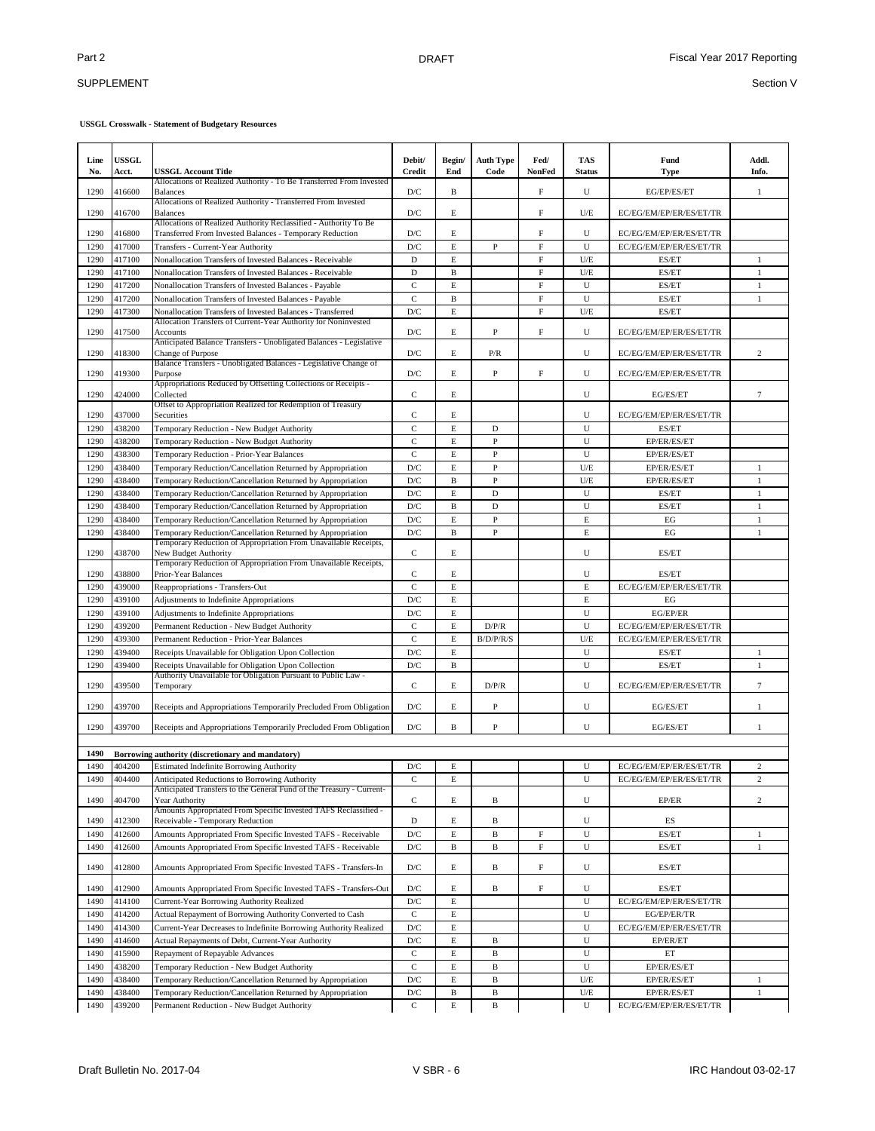### SUPPLEMENT

| Line<br>No.  | <b>USSGL</b><br>Acct. | <b>USSGL Account Title</b>                                                                                                   | Debit/<br><b>Credit</b> | Begin/<br>End | <b>Auth Type</b><br>Code | Fed/<br>NonFed | <b>TAS</b><br><b>Status</b> | Fund<br><b>Type</b>     | Addl.<br>Info.               |
|--------------|-----------------------|------------------------------------------------------------------------------------------------------------------------------|-------------------------|---------------|--------------------------|----------------|-----------------------------|-------------------------|------------------------------|
| 1290         | 416600                | Allocations of Realized Authority - To Be Transferred From Invested<br><b>Balances</b>                                       | D/C                     | B             |                          | F              | U                           | EG/EP/ES/ET             | 1                            |
| 1290         | 416700                | Allocations of Realized Authority - Transferred From Invested<br><b>Balances</b>                                             | D/C                     | E             |                          | $\mathbf F$    | U/E                         | EC/EG/EM/EP/ER/ES/ET/TR |                              |
| 1290         | 416800                | Allocations of Realized Authority Reclassified - Authority To Be<br>Transferred From Invested Balances - Temporary Reduction | $\mathbf{D}/\mathbf{C}$ | $\mathbf E$   |                          | $\mathbf F$    | U                           | EC/EG/EM/EP/ER/ES/ET/TR |                              |
| 1290         | 417000                | Transfers - Current-Year Authority                                                                                           | D/C                     | $\mathbf E$   | P                        | $\mathbf F$    | U                           | EC/EG/EM/EP/ER/ES/ET/TR |                              |
| 1290         | 417100                | Nonallocation Transfers of Invested Balances - Receivable                                                                    | D                       | $\mathbf E$   |                          | $\mathbf F$    | U/E                         | ES/ET                   | $\mathbf{1}$                 |
| 1290         | 417100                | Nonallocation Transfers of Invested Balances - Receivable                                                                    | D                       | $\, {\bf B}$  |                          | $\rm F$        | U/E                         | ES/ET                   | $\mathbf{1}$                 |
| 1290         | 417200                | Nonallocation Transfers of Invested Balances - Payable                                                                       | $\mathbf C$             | $\mathbf E$   |                          | $\rm F$        | U                           | ES/ET                   | $\mathbf{1}$                 |
| 1290         | 417200                | Nonallocation Transfers of Invested Balances - Payable                                                                       | $\mathbf C$             | $\, {\bf B}$  |                          | $\rm F$        | U                           | ES/ET                   | $\,1$                        |
| 1290         | 417300                | Nonallocation Transfers of Invested Balances - Transferred<br>Allocation Transfers of Current-Year Authority for Noninvested | D/C                     | E             |                          | $\mathbf F$    | U/E                         | ES/ET                   |                              |
| 1290         | 417500                | Accounts                                                                                                                     | D/C                     | E             | P                        | $\mathbf F$    | U                           | EC/EG/EM/EP/ER/ES/ET/TR |                              |
| 1290         | 418300                | Anticipated Balance Transfers - Unobligated Balances - Legislative<br>Change of Purpose                                      | D/C                     | Е             | P/R                      |                | U                           | EC/EG/EM/EP/ER/ES/ET/TR | $\mathbf{2}$                 |
| 1290         | 419300                | Balance Transfers - Unobligated Balances - Legislative Change of<br>Purpose                                                  | D/C                     | E             | P                        | $\mathbf F$    | U                           | EC/EG/EM/EP/ER/ES/ET/TR |                              |
| 1290         | 424000                | Appropriations Reduced by Offsetting Collections or Receipts -<br>Collected                                                  | C                       | Е             |                          |                | U                           | EG/ES/ET                | 7                            |
| 1290         | 437000                | Offset to Appropriation Realized for Redemption of Treasury<br>Securities                                                    | C                       | E             |                          |                | U                           | EC/EG/EM/EP/ER/ES/ET/TR |                              |
| 1290         | 438200                | Temporary Reduction - New Budget Authority                                                                                   | $\mathbf C$             | $\mathbf E$   | D                        |                | U                           | ES/ET                   |                              |
| 1290         | 438200                | Temporary Reduction - New Budget Authority                                                                                   | $\mathbf C$             | $\mathbf E$   | $\mathbf{P}$             |                | U                           | EP/ER/ES/ET             |                              |
| 1290         | 438300                | Temporary Reduction - Prior-Year Balances                                                                                    | $\mathbf C$             | $\mathbf E$   | $\mathbf{P}$             |                | U                           | EP/ER/ES/ET             |                              |
| 1290         | 438400                | Temporary Reduction/Cancellation Returned by Appropriation                                                                   | D/C                     | E             | P                        |                | U/E                         | EP/ER/ES/ET             | 1                            |
| 1290         | 438400                | Temporary Reduction/Cancellation Returned by Appropriation                                                                   | D/C                     | B             | $\mathbf{P}$             |                | U/E                         | EP/ER/ES/ET             | $\mathbf{1}$                 |
| 1290         | 438400                | Temporary Reduction/Cancellation Returned by Appropriation                                                                   | $\mathbf{D}/\mathbf{C}$ | E             | $\mathbf D$              |                | U                           | ES/ET                   | $\mathbf{1}$                 |
| 1290         | 438400<br>438400      | Temporary Reduction/Cancellation Returned by Appropriation                                                                   | D/C<br>D/C              | B<br>E        | $\mathbf D$<br>P         |                | U<br>E                      | ES/ET                   | $\mathbf{1}$<br>$\mathbf{1}$ |
| 1290<br>1290 | 438400                | Temporary Reduction/Cancellation Returned by Appropriation<br>Temporary Reduction/Cancellation Returned by Appropriation     | D/C                     | B             | $\mathbf{P}$             |                | E                           | EG<br>EG                | $\mathbf{1}$                 |
|              |                       | Temporary Reduction of Appropriation From Unavailable Receipts,                                                              |                         |               |                          |                |                             |                         |                              |
| 1290         | 438700                | New Budget Authority<br>Temporary Reduction of Appropriation From Unavailable Receipts,                                      | $\mathbf C$             | E             |                          |                | U                           | ES/ET                   |                              |
| 1290         | 438800                | Prior-Year Balances                                                                                                          | C                       | Е             |                          |                | U                           | ES/ET                   |                              |
| 1290         | 439000                | Reappropriations - Transfers-Out                                                                                             | $\mathbf C$             | $\mathbf E$   |                          |                | $\mathbf E$                 | EC/EG/EM/EP/ER/ES/ET/TR |                              |
| 1290         | 439100                | Adjustments to Indefinite Appropriations                                                                                     | $\mathbf{D}/\mathbf{C}$ | $\mathbf E$   |                          |                | $\mathbf E$                 | EG                      |                              |
| 1290         | 439100                | Adjustments to Indefinite Appropriations                                                                                     | $\mathbf{D}/\mathbf{C}$ | $\mathbf E$   |                          |                | U                           | EG/EP/ER                |                              |
| 1290         | 439200                | Permanent Reduction - New Budget Authority                                                                                   | $\mathbf C$             | E             | D/P/R                    |                | U                           | EC/EG/EM/EP/ER/ES/ET/TR |                              |
| 1290         | 439300                | Permanent Reduction - Prior-Year Balances                                                                                    | $\mathcal{C}$           | E             | B/D/P/R/S                |                | U/E                         | EC/EG/EM/EP/ER/ES/ET/TR |                              |
| 1290<br>1290 | 439400<br>439400      | Receipts Unavailable for Obligation Upon Collection<br>Receipts Unavailable for Obligation Upon Collection                   | D/C<br>D/C              | E<br>B        |                          |                | U<br>U                      | ES/ET<br>ES/ET          | 1<br>$\mathbf{1}$            |
| 1290         | 439500                | Authority Unavailable for Obligation Pursuant to Public Law -<br>Temporary                                                   | C                       | Е             | D/P/R                    |                | U                           | EC/EG/EM/EP/ER/ES/ET/TR | $\tau$                       |
| 1290         | 439700                | Receipts and Appropriations Temporarily Precluded From Obligation                                                            | D/C                     | E             | P                        |                | U                           | EG/ES/ET                | $\mathbf{1}$                 |
| 1290         | 439700                | Receipts and Appropriations Temporarily Precluded From Obligation                                                            | D/C                     | B             | P                        |                | U                           | EG/ES/ET                | 1                            |
|              |                       |                                                                                                                              |                         |               |                          |                |                             |                         |                              |
| 1490         |                       | Borrowing authority (discretionary and mandatory)                                                                            |                         |               |                          |                |                             |                         |                              |
| 1490         | 404200                | <b>Estimated Indefinite Borrowing Authority</b>                                                                              | D/C                     | Ε             |                          |                | U                           | EC/EG/EM/EP/ER/ES/ET/TR | 2                            |
| 1490         | 404400                | Anticipated Reductions to Borrowing Authority                                                                                | $\mathbf C$             | E             |                          |                | U                           | EC/EG/EM/EP/ER/ES/ET/TR | $\overline{c}$               |
| 1490         | 404700                | Anticipated Transfers to the General Fund of the Treasury - Current-<br>Year Authority                                       | C                       | Е             | В                        |                | U                           | $\rm EP/ER$             | $\overline{c}$               |
| 1490         | 412300                | Amounts Appropriated From Specific Invested TAFS Reclassified -<br>Receivable - Temporary Reduction                          | D                       | Е             | B                        |                | U                           | ES                      |                              |
| 1490         | 412600                | Amounts Appropriated From Specific Invested TAFS - Receivable                                                                | $\mathbf{D}/\mathbf{C}$ | E             | В                        | $\mathbf F$    | U                           | ES/ET                   | 1                            |
| 1490         | 412600                | Amounts Appropriated From Specific Invested TAFS - Receivable                                                                | D/C                     | $\, {\bf B}$  | B                        | $\rm F$        | U                           | ES/ET                   | $\,1$                        |
| 1490         | 412800                | Amounts Appropriated From Specific Invested TAFS - Transfers-In                                                              | $\mathbf{D}/\mathbf{C}$ | Е             | B                        | $\rm F$        | U                           | ES/ET                   |                              |
| 1490         | 412900                | Amounts Appropriated From Specific Invested TAFS - Transfers-Out                                                             | $\mathbf{D}/\mathbf{C}$ | E             | B                        | $\rm F$        | U                           | ES/ET                   |                              |
| 1490         | 414100                | Current-Year Borrowing Authority Realized                                                                                    | D/C                     | $\mathbf E$   |                          |                | U                           | EC/EG/EM/EP/ER/ES/ET/TR |                              |
| 1490         | 414200                | Actual Repayment of Borrowing Authority Converted to Cash                                                                    | $\mathbf C$             | Е             |                          |                | U                           | EG/EP/ER/TR             |                              |
| 1490         | 414300                | Current-Year Decreases to Indefinite Borrowing Authority Realized                                                            | D/C                     | E             |                          |                | U                           | EC/EG/EM/EP/ER/ES/ET/TR |                              |
| 1490         | 414600                | Actual Repayments of Debt, Current-Year Authority                                                                            | D/C                     | $\mathbf E$   | в                        |                | U                           | EP/ER/ET                |                              |
| 1490         | 415900                | Repayment of Repayable Advances                                                                                              | $\mathbf C$             | $\mathbf E$   | $\bf{B}$                 |                | U                           | ET                      |                              |
| 1490         | 438200                | Temporary Reduction - New Budget Authority                                                                                   | $\mathbf C$             | E             | $\bf{B}$                 |                | U                           | EP/ER/ES/ET             |                              |
| 1490         | 438400                | Temporary Reduction/Cancellation Returned by Appropriation                                                                   | $\mathbf{D}/\mathbf{C}$ | E             | B                        |                | U/E                         | EP/ER/ES/ET             | 1                            |
| 1490         | 438400                | Temporary Reduction/Cancellation Returned by Appropriation                                                                   | D/C                     | $\, {\bf B}$  | B                        |                | U/E                         | EP/ER/ES/ET             | $\mathbf{1}$                 |
| 1490         | 439200                | Permanent Reduction - New Budget Authority                                                                                   | $\mathbf C$             | E             | B                        |                | U                           | EC/EG/EM/EP/ER/ES/ET/TR |                              |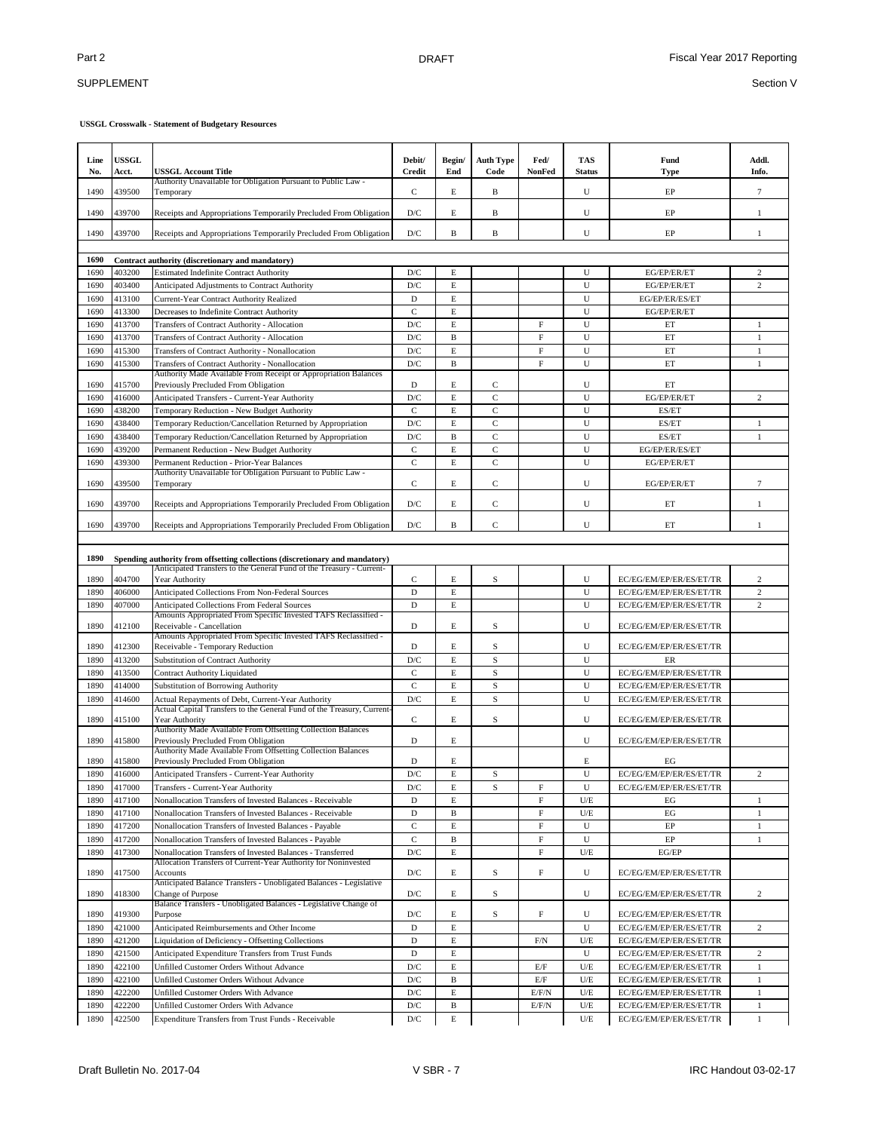## SUPPLEMENT

| Line<br>No.  | <b>USSGL</b><br>Acct. | <b>USSGL Account Title</b>                                                                      | Debit/<br><b>Credit</b> | Begin/<br>End    | <b>Auth Type</b><br>Code | Fed/<br><b>NonFed</b>     | <b>TAS</b><br><b>Status</b> | Fund<br><b>Type</b>           | Addl.<br>Info.                   |
|--------------|-----------------------|-------------------------------------------------------------------------------------------------|-------------------------|------------------|--------------------------|---------------------------|-----------------------------|-------------------------------|----------------------------------|
| 1490         | 439500                | Authority Unavailable for Obligation Pursuant to Public Law -<br>Temporary                      | C                       | E                | B                        |                           | U                           | EP                            | $7\phantom{.0}$                  |
| 1490         | 439700                | Receipts and Appropriations Temporarily Precluded From Obligation                               | D/C                     | E                | B                        |                           | U                           | EP                            | 1                                |
| 1490         | 439700                | Receipts and Appropriations Temporarily Precluded From Obligation                               | D/C                     | B                | B                        |                           | U                           | EP                            | $\mathbf{1}$                     |
|              |                       |                                                                                                 |                         |                  |                          |                           |                             |                               |                                  |
| 1690         |                       | Contract authority (discretionary and mandatory)                                                |                         |                  |                          |                           |                             |                               |                                  |
| 1690<br>1690 | 403200<br>403400      | <b>Estimated Indefinite Contract Authority</b>                                                  | D/C<br>D/C              | Ε<br>$\mathbf E$ |                          |                           | U<br>U                      | EG/EP/ER/ET<br>EG/EP/ER/ET    | $\mathfrak{2}$<br>$\overline{c}$ |
| 1690         | 413100                | Anticipated Adjustments to Contract Authority<br>Current-Year Contract Authority Realized       | D                       | E                |                          |                           | U                           | EG/EP/ER/ES/ET                |                                  |
| 1690         | 413300                | Decreases to Indefinite Contract Authority                                                      | $\mathbf{C}$            | E                |                          |                           | U                           | EG/EP/ER/ET                   |                                  |
| 1690         | 413700                |                                                                                                 | D/C                     | $\mathbf E$      |                          | F                         | U                           | ET                            | 1                                |
| 1690         | 413700                | Transfers of Contract Authority - Allocation<br>Transfers of Contract Authority - Allocation    | D/C                     | B                |                          | $\mathbf F$               | U                           | ET                            | $\mathbf{1}$                     |
| 1690         | 415300                | Transfers of Contract Authority - Nonallocation                                                 | D/C                     | $\mathbf E$      |                          | $\boldsymbol{\mathrm{F}}$ | U                           | ET                            | $\mathbf{1}$                     |
| 1690         | 415300                | Transfers of Contract Authority - Nonallocation                                                 | D/C                     | $\mathbf{B}$     |                          | F                         | U                           | ET                            | $\mathbf{1}$                     |
|              |                       | Authority Made Available From Receipt or Appropriation Balances                                 |                         |                  |                          |                           |                             |                               |                                  |
| 1690         | 415700                | Previously Precluded From Obligation                                                            | D                       | E                | C                        |                           | U                           | ET                            |                                  |
| 1690         | 416000                | Anticipated Transfers - Current-Year Authority                                                  | D/C                     | $\mathbf E$      | $\overline{C}$           |                           | U                           | EG/EP/ER/ET                   | $\overline{c}$                   |
| 1690         | 438200                | Temporary Reduction - New Budget Authority                                                      | $\mathbf C$             | E                | C                        |                           | U                           | ES/ET                         |                                  |
| 1690         | 438400                | Temporary Reduction/Cancellation Returned by Appropriation                                      | D/C                     | E                | $\overline{C}$           |                           | U                           | ES/ET                         | $\mathbf{1}$                     |
| 1690         | 438400                | Temporary Reduction/Cancellation Returned by Appropriation                                      | D/C                     | B                | $\mathsf{C}$             |                           | U                           | ES/ET                         | $\mathbf{1}$                     |
| 1690         | 439200                | Permanent Reduction - New Budget Authority                                                      | $\mathbf C$             | E                | $\mathsf{C}$             |                           | U                           | EG/EP/ER/ES/ET                |                                  |
| 1690         | 439300                | Permanent Reduction - Prior-Year Balances                                                       | $\mathbf C$             | E                | $\mathbf C$              |                           | U                           | EG/EP/ER/ET                   |                                  |
| 1690         | 439500                | Authority Unavailable for Obligation Pursuant to Public Law -<br>Temporary                      | C                       | E                | C                        |                           | U                           | EG/EP/ER/ET                   | $7\phantom{.0}$                  |
| 1690         | 439700                | Receipts and Appropriations Temporarily Precluded From Obligation                               | D/C                     | E                | $\mathbf C$              |                           | U                           | ET                            | 1                                |
| 1690         | 439700                | Receipts and Appropriations Temporarily Precluded From Obligation                               | D/C                     | B                | $\mathbf C$              |                           | U                           | ET                            | $\mathbf{1}$                     |
|              |                       |                                                                                                 |                         |                  |                          |                           |                             |                               |                                  |
| 1890         |                       | Spending authority from offsetting collections (discretionary and mandatory)                    |                         |                  |                          |                           |                             |                               |                                  |
| 1890         | 404700                | Anticipated Transfers to the General Fund of the Treasury - Current-<br>Year Authority          | C                       | E                | S                        |                           | U                           | EC/EG/EM/EP/ER/ES/ET/TR       | 2                                |
| 1890         | 406000                | Anticipated Collections From Non-Federal Sources                                                | $\mathbf D$             | E                |                          |                           | U                           | EC/EG/EM/EP/ER/ES/ET/TR       | $\overline{c}$                   |
| 1890         | 407000                | Anticipated Collections From Federal Sources                                                    | D                       | E                |                          |                           | U                           | EC/EG/EM/EP/ER/ES/ET/TR       | $\overline{c}$                   |
|              |                       | Amounts Appropriated From Specific Invested TAFS Reclassified -                                 |                         |                  |                          |                           |                             |                               |                                  |
| 1890         | 412100                | Receivable - Cancellation<br>Amounts Appropriated From Specific Invested TAFS Reclassified -    | D                       | Ε                | S                        |                           | U                           | EC/EG/EM/EP/ER/ES/ET/TR       |                                  |
| 1890         | 412300                | Receivable - Temporary Reduction                                                                | D                       | E                | S                        |                           | U                           | EC/EG/EM/EP/ER/ES/ET/TR       |                                  |
| 1890         | 413200                | Substitution of Contract Authority                                                              | D/C                     | E                | S                        |                           | U                           | ER                            |                                  |
| 1890         | 413500                | <b>Contract Authority Liquidated</b>                                                            | $\mathbf C$             | E                | S                        |                           | U                           | EC/EG/EM/EP/ER/ES/ET/TR       |                                  |
| 1890         | 414000                | <b>Substitution of Borrowing Authority</b>                                                      | $\mathbf C$             | E                | S                        |                           | U                           | EC/EG/EM/EP/ER/ES/ET/TR       |                                  |
| 1890         | 414600                | Actual Repayments of Debt, Current-Year Authority                                               | D/C                     | E                | S                        |                           | U                           | EC/EG/EM/EP/ER/ES/ET/TR       |                                  |
| 1890         | 415100                | Actual Capital Transfers to the General Fund of the Treasury, Current-<br>Year Authority        | С                       | E                | S                        |                           | U                           | EC/EG/EM/EP/ER/ES/ET/TR       |                                  |
|              |                       | Authority Made Available From Offsetting Collection Balances                                    |                         |                  |                          |                           |                             |                               |                                  |
| 1890         | 415800                | Previously Precluded From Obligation                                                            | D                       | E                |                          |                           | U                           | EC/EG/EM/EP/ER/ES/ET/TR       |                                  |
|              |                       | Authority Made Available From Offsetting Collection Balances                                    |                         |                  |                          |                           |                             |                               |                                  |
| 1890<br>1890 | 415800<br>416000      | Previously Precluded From Obligation<br>Anticipated Transfers - Current-Year Authority          | D<br>D/C                | Ε<br>$\mathbf E$ | S                        |                           | E<br>U                      | EG<br>EC/EG/EM/EP/ER/ES/ET/TR | $\overline{c}$                   |
|              | 417000                |                                                                                                 |                         |                  |                          | F                         |                             |                               |                                  |
| 1890<br>1890 | 417100                | Transfers - Current-Year Authority<br>Nonallocation Transfers of Invested Balances - Receivable | D/C<br>D                | Е<br>E           | S                        | $\mathbf F$               | U<br>U/E                    | EC/EG/EM/EP/ER/ES/ET/TR<br>EG | 1                                |
| 1890         | 417100                | Nonallocation Transfers of Invested Balances - Receivable                                       | D                       | B                |                          | $\mathbf F$               | U/E                         | EG                            | $\mathbf{1}$                     |
| 1890         | 417200                | Nonallocation Transfers of Invested Balances - Payable                                          | $\mathbf C$             | E                |                          | $\mathbf F$               | U                           | $\rm EP$                      | $\mathbf{1}$                     |
| 1890         | 417200                | Nonallocation Transfers of Invested Balances - Payable                                          | $\mathbf C$             | $\, {\bf B}$     |                          | $\mathbf F$               | U                           | EP                            | $\mathbf{1}$                     |
| 1890         | 417300                | Nonallocation Transfers of Invested Balances - Transferred                                      | D/C                     | $\mathbf E$      |                          | $\mathbf F$               | $U/E$                       | EG/EP                         |                                  |
|              |                       | Allocation Transfers of Current-Year Authority for Noninvested                                  |                         |                  |                          |                           |                             |                               |                                  |
| 1890         | 417500                | <b>Accounts</b><br>Anticipated Balance Transfers - Unobligated Balances - Legislative           | $\mathbf{D}/\mathbf{C}$ | Е                | S                        | F                         | U                           | EC/EG/EM/EP/ER/ES/ET/TR       |                                  |
| 1890         | 418300                | Change of Purpose<br>Balance Transfers - Unobligated Balances - Legislative Change of           | D/C                     | E                | S                        |                           | U                           | EC/EG/EM/EP/ER/ES/ET/TR       | $\overline{c}$                   |
| 1890         | 419300                | Purpose                                                                                         | D/C                     | E                | S                        | $\boldsymbol{\mathrm{F}}$ | U                           | EC/EG/EM/EP/ER/ES/ET/TR       |                                  |
| 1890         | 421000                | Anticipated Reimbursements and Other Income                                                     | $\mathbf D$             | E                |                          |                           | U                           | EC/EG/EM/EP/ER/ES/ET/TR       | $\overline{c}$                   |
| 1890         | 421200                | Liquidation of Deficiency - Offsetting Collections                                              | $\mathbf D$             | E                |                          | F/N                       | U/E                         | EC/EG/EM/EP/ER/ES/ET/TR       |                                  |
| 1890         | 421500                | Anticipated Expenditure Transfers from Trust Funds                                              | $\mathbf D$             | E                |                          |                           | U                           | EC/EG/EM/EP/ER/ES/ET/TR       | $\overline{c}$                   |
| 1890         | 422100                | Unfilled Customer Orders Without Advance                                                        | D/C                     | $\mathbf E$      |                          | E/F                       | $U\!/\!\!E$                 | EC/EG/EM/EP/ER/ES/ET/TR       | $\mathbf{1}$                     |
| 1890         | 422100                | Unfilled Customer Orders Without Advance                                                        | D/C                     | $\mathbf B$      |                          | E/F                       | $U\!/\!\!E$                 | EC/EG/EM/EP/ER/ES/ET/TR       | $\mathbf{1}$                     |
| 1890         | 422200                | Unfilled Customer Orders With Advance                                                           | D/C                     | E                |                          | E/F/N                     | U/E                         | EC/EG/EM/EP/ER/ES/ET/TR       | $\mathbf{1}$                     |
| 1890         | 422200                | Unfilled Customer Orders With Advance                                                           | D/C                     | B                |                          | E/F/N                     | $U/E$                       | EC/EG/EM/EP/ER/ES/ET/TR       | $\mathbf{1}$                     |
| 1890         | 422500                | Expenditure Transfers from Trust Funds - Receivable                                             | D/C                     | E                |                          |                           | U/E                         | EC/EG/EM/EP/ER/ES/ET/TR       | $\mathbf{1}$                     |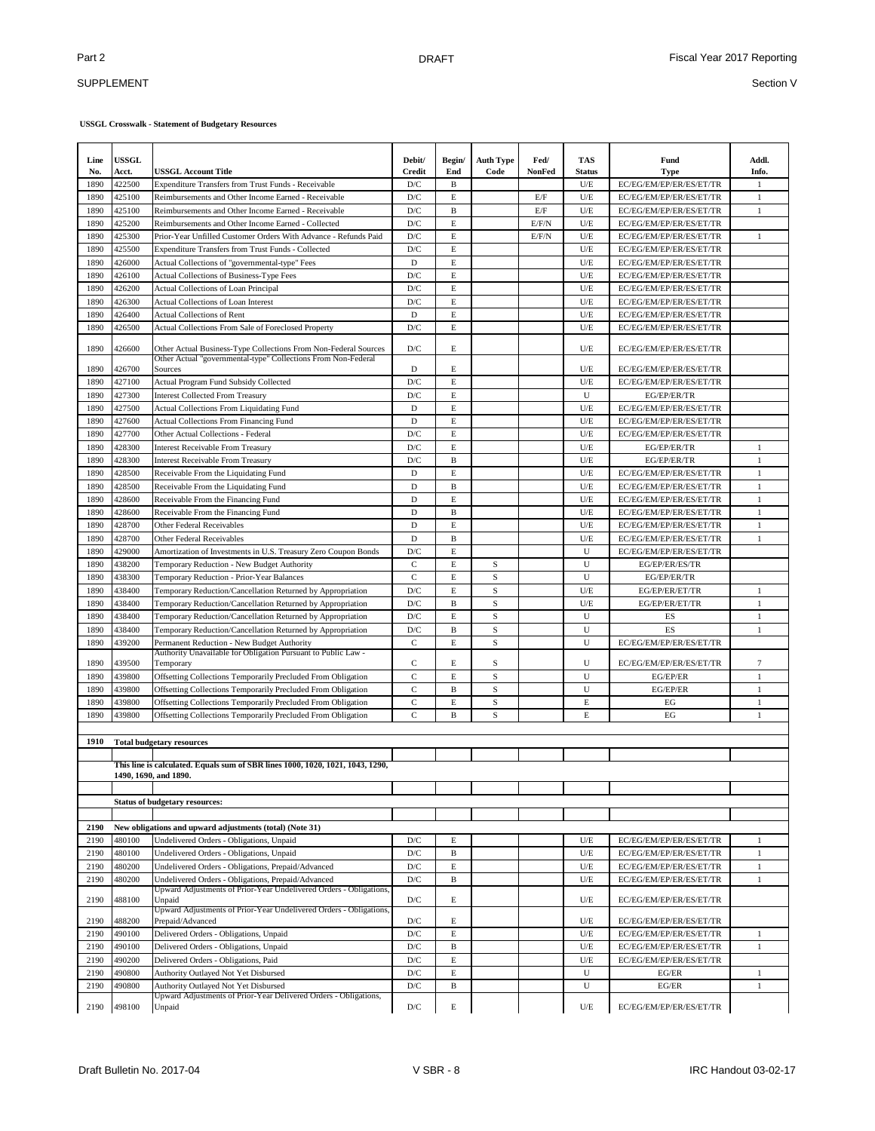### SUPPLEMENT

| Line<br>No.  | <b>USSGL</b><br>Acct. | <b>USSGL Account Title</b>                                                                                               | Debit/<br>Credit        | Begin/<br>End | <b>Auth Type</b><br>Code | Fed/<br>NonFed | <b>TAS</b><br><b>Status</b> | Fund<br><b>Type</b>                                | Addl.<br>Info. |
|--------------|-----------------------|--------------------------------------------------------------------------------------------------------------------------|-------------------------|---------------|--------------------------|----------------|-----------------------------|----------------------------------------------------|----------------|
| 1890         | 422500                | Expenditure Transfers from Trust Funds - Receivable                                                                      | D/C                     | B             |                          |                | U/E                         | EC/EG/EM/EP/ER/ES/ET/TR                            | 1              |
| 1890         | 425100                | Reimbursements and Other Income Earned - Receivable                                                                      | D/C                     | $\mathbf E$   |                          | E/F            | U/E                         | EC/EG/EM/EP/ER/ES/ET/TR                            | $\mathbf{1}$   |
| 1890         | 425100                | Reimbursements and Other Income Earned - Receivable                                                                      | D/C                     | B             |                          | E/F            | U/E                         | EC/EG/EM/EP/ER/ES/ET/TR                            | 1              |
| 1890         | 425200                | Reimbursements and Other Income Earned - Collected                                                                       | D/C                     | $\mathbf E$   |                          | E/F/N          | U/E                         | EC/EG/EM/EP/ER/ES/ET/TR                            |                |
| 1890         | 425300                | Prior-Year Unfilled Customer Orders With Advance - Refunds Paid                                                          | $\mathbf{D}/\mathbf{C}$ | $\mathbf E$   |                          | E/F/N          | U/E                         | EC/EG/EM/EP/ER/ES/ET/TR                            | $\mathbf{1}$   |
| 1890         | 425500                | Expenditure Transfers from Trust Funds - Collected                                                                       | D/C<br>D                | E<br>E        |                          |                | U/E<br>U/E                  | EC/EG/EM/EP/ER/ES/ET/TR                            |                |
| 1890<br>1890 | 426000<br>426100      | Actual Collections of "governmental-type" Fees<br>Actual Collections of Business-Type Fees                               | D/C                     | E             |                          |                | U/E                         | EC/EG/EM/EP/ER/ES/ET/TR<br>EC/EG/EM/EP/ER/ES/ET/TR |                |
| 1890         | 426200                | <b>Actual Collections of Loan Principal</b>                                                                              | D/C                     | $\mathbf E$   |                          |                | U/E                         | EC/EG/EM/EP/ER/ES/ET/TR                            |                |
| 1890         | 426300                | Actual Collections of Loan Interest                                                                                      | D/C                     | $\mathbf E$   |                          |                | U/E                         | EC/EG/EM/EP/ER/ES/ET/TR                            |                |
| 1890         | 426400                | <b>Actual Collections of Rent</b>                                                                                        | $\mathbf D$             | $\mathbf E$   |                          |                | U/E                         | EC/EG/EM/EP/ER/ES/ET/TR                            |                |
| 1890         | 426500                | Actual Collections From Sale of Foreclosed Property                                                                      | D/C                     | $\mathbf E$   |                          |                | U/E                         | EC/EG/EM/EP/ER/ES/ET/TR                            |                |
|              |                       |                                                                                                                          |                         |               |                          |                |                             |                                                    |                |
| 1890         | 426600                | Other Actual Business-Type Collections From Non-Federal Sources                                                          | D/C                     | E             |                          |                | U/E                         | EC/EG/EM/EP/ER/ES/ET/TR                            |                |
| 1890         | 426700                | Other Actual "governmental-type" Collections From Non-Federal<br>Sources                                                 | D                       | E             |                          |                | U/E                         | EC/EG/EM/EP/ER/ES/ET/TR                            |                |
| 1890         | 427100                | Actual Program Fund Subsidy Collected                                                                                    | D/C                     | $\mathbf E$   |                          |                | U/E                         | EC/EG/EM/EP/ER/ES/ET/TR                            |                |
| 1890         | 427300                | <b>Interest Collected From Treasury</b>                                                                                  | D/C                     | E             |                          |                | U                           | EG/EP/ER/TR                                        |                |
| 1890         | 427500                | Actual Collections From Liquidating Fund                                                                                 | D                       | E             |                          |                | U/E                         | EC/EG/EM/EP/ER/ES/ET/TR                            |                |
| 1890         | 427600                | Actual Collections From Financing Fund                                                                                   | D                       | E             |                          |                | U/E                         | EC/EG/EM/EP/ER/ES/ET/TR                            |                |
| 1890         | 427700                | Other Actual Collections - Federal                                                                                       | $\mathbf{D}/\mathbf{C}$ | $\mathbf E$   |                          |                | U/E                         | EC/EG/EM/EP/ER/ES/ET/TR                            |                |
| 1890         | 428300                | <b>Interest Receivable From Treasury</b>                                                                                 | D/C                     | $\mathbf E$   |                          |                | U/E                         | EG/EP/ER/TR                                        | $\mathbf{1}$   |
| 1890         | 428300                | <b>Interest Receivable From Treasury</b>                                                                                 | D/C                     | B             |                          |                | U/E                         | EG/EP/ER/TR                                        | $\mathbf{1}$   |
| 1890         | 428500                | Receivable From the Liquidating Fund                                                                                     | D                       | E             |                          |                | U/E                         | EC/EG/EM/EP/ER/ES/ET/TR                            | $\mathbf{1}$   |
| 1890         | 428500                | Receivable From the Liquidating Fund                                                                                     | D                       | $\, {\bf B}$  |                          |                | U/E                         | EC/EG/EM/EP/ER/ES/ET/TR                            | $\mathbf{1}$   |
| 1890         | 428600                | Receivable From the Financing Fund                                                                                       | D                       | E             |                          |                | U/E                         | EC/EG/EM/EP/ER/ES/ET/TR                            | $\mathbf{1}$   |
| 1890         | 428600                | Receivable From the Financing Fund                                                                                       | $\mathbf D$             | $\, {\bf B}$  |                          |                | U/E                         | EC/EG/EM/EP/ER/ES/ET/TR                            | $\mathbf{1}$   |
| 1890         | 428700                | Other Federal Receivables                                                                                                | $\mathbf D$             | E             |                          |                | U/E                         | EC/EG/EM/EP/ER/ES/ET/TR                            | $\mathbf{1}$   |
| 1890         | 428700                | <b>Other Federal Receivables</b>                                                                                         | $\mathbf D$             | $\, {\bf B}$  |                          |                | U/E                         | EC/EG/EM/EP/ER/ES/ET/TR                            | $\,1$          |
| 1890         | 429000                | Amortization of Investments in U.S. Treasury Zero Coupon Bonds                                                           | D/C                     | E             |                          |                | U                           | EC/EG/EM/EP/ER/ES/ET/TR                            |                |
| 1890         | 438200                | Temporary Reduction - New Budget Authority                                                                               | $\mathbf C$             | E             | S                        |                | U                           | EG/EP/ER/ES/TR                                     |                |
| 1890         | 438300                | Temporary Reduction - Prior-Year Balances                                                                                | $\mathbf C$             | E             | S                        |                | U                           | EG/EP/ER/TR                                        |                |
| 1890         | 438400                | Temporary Reduction/Cancellation Returned by Appropriation                                                               | D/C                     | $\mathbf E$   | S                        |                | U/E                         | EG/EP/ER/ET/TR                                     | 1              |
| 1890         | 438400                | Temporary Reduction/Cancellation Returned by Appropriation                                                               | $\mathbf{D}/\mathbf{C}$ | B             | S                        |                | U/E                         | EG/EP/ER/ET/TR                                     | $\mathbf{1}$   |
| 1890         | 438400                | Temporary Reduction/Cancellation Returned by Appropriation                                                               | $\mathbf{D}/\mathbf{C}$ | $\mathbf E$   | S                        |                | U                           | ES                                                 | $\mathbf{1}$   |
| 1890         | 438400                | Temporary Reduction/Cancellation Returned by Appropriation                                                               | $\mathbf{D}/\mathbf{C}$ | B             | S                        |                | U                           | ES                                                 | $\mathbf{1}$   |
| 1890         | 439200                | Permanent Reduction - New Budget Authority<br>Authority Unavailable for Obligation Pursuant to Public Law -              | $\mathbf C$             | $\mathbf E$   | S                        |                | U                           | EC/EG/EM/EP/ER/ES/ET/TR                            |                |
| 1890         | 439500                | Temporary                                                                                                                | $\mathbf C$             | E             | S                        |                | U                           | EC/EG/EM/EP/ER/ES/ET/TR                            | 7              |
| 1890         | 439800                | Offsetting Collections Temporarily Precluded From Obligation                                                             | $\mathbf C$             | E             | S                        |                | U                           | EG/EP/ER                                           | $\mathbf{1}$   |
| 1890         | 439800                | Offsetting Collections Temporarily Precluded From Obligation                                                             | $\mathbf C$             | B             | S                        |                | U                           | EG/EP/ER                                           | $\mathbf{1}$   |
| 1890         | 439800                | Offsetting Collections Temporarily Precluded From Obligation                                                             | $\rm{C}$                | $\mathbf E$   | S                        |                | E                           | $_{\rm EG}$                                        | $\mathbf{1}$   |
| 1890         | 439800                | Offsetting Collections Temporarily Precluded From Obligation                                                             | $\mathbf C$             | $\mathbf B$   | S                        |                | E                           | $_{\rm EG}$                                        | $\mathbf{1}$   |
|              |                       |                                                                                                                          |                         |               |                          |                |                             |                                                    |                |
| 1910         |                       | <b>Total budgetary resources</b>                                                                                         |                         |               |                          |                |                             |                                                    |                |
|              |                       | This line is calculated. Equals sum of SBR lines 1000, 1020, 1021, 1043, 1290,<br>1490, 1690, and 1890.                  |                         |               |                          |                |                             |                                                    |                |
|              |                       |                                                                                                                          |                         |               |                          |                |                             |                                                    |                |
|              |                       | <b>Status of budgetary resources:</b>                                                                                    |                         |               |                          |                |                             |                                                    |                |
|              |                       |                                                                                                                          |                         |               |                          |                |                             |                                                    |                |
| 2190         |                       | New obligations and upward adjustments (total) (Note 31)                                                                 |                         |               |                          |                |                             |                                                    |                |
| 2190         | 480100                | Undelivered Orders - Obligations, Unpaid                                                                                 | D/C                     | E             |                          |                | U/E                         | EC/EG/EM/EP/ER/ES/ET/TR                            | 1              |
| 2190         | 480100                | Undelivered Orders - Obligations, Unpaid                                                                                 | D/C                     | B             |                          |                | U/E                         | EC/EG/EM/EP/ER/ES/ET/TR                            | $\mathbf{1}$   |
| 2190         | 480200                | Undelivered Orders - Obligations, Prepaid/Advanced                                                                       | D/C                     | E             |                          |                | U/E                         | EC/EG/EM/EP/ER/ES/ET/TR                            | $\mathbf{1}$   |
| 2190         | 480200                | Undelivered Orders - Obligations, Prepaid/Advanced<br>Upward Adjustments of Prior-Year Undelivered Orders - Obligations, | D/C                     | B             |                          |                | U/E                         | EC/EG/EM/EP/ER/ES/ET/TR                            | $\mathbf{1}$   |
| 2190         | 488100                | Unpaid<br>Upward Adjustments of Prior-Year Undelivered Orders - Obligations,                                             | D/C                     | E             |                          |                | U/E                         | EC/EG/EM/EP/ER/ES/ET/TR                            |                |
| 2190         | 488200                | Prepaid/Advanced                                                                                                         | D/C                     | E             |                          |                | U/E                         | EC/EG/EM/EP/ER/ES/ET/TR                            |                |
| 2190         | 490100                | Delivered Orders - Obligations, Unpaid                                                                                   | D/C                     | $\mathbf E$   |                          |                | U/E                         | EC/EG/EM/EP/ER/ES/ET/TR                            | $\mathbf{1}$   |
| 2190         | 490100                | Delivered Orders - Obligations, Unpaid                                                                                   | D/C                     | B             |                          |                | U/E                         | EC/EG/EM/EP/ER/ES/ET/TR                            | 1              |
| 2190         | 490200                | Delivered Orders - Obligations, Paid                                                                                     | D/C                     | $\mathbf E$   |                          |                | U/E                         | EC/EG/EM/EP/ER/ES/ET/TR                            |                |
| 2190         | 490800                | Authority Outlayed Not Yet Disbursed                                                                                     | D/C                     | E             |                          |                | U                           | EG/ER                                              | 1              |
| 2190         | 490800                | Authority Outlayed Not Yet Disbursed                                                                                     | D/C                     | B             |                          |                | U                           | EG/ER                                              | $\mathbf{1}$   |
| 2190         | 498100                | Upward Adjustments of Prior-Year Delivered Orders - Obligations,<br>Unpaid                                               | D/C                     | $\mathbf E$   |                          |                | U/E                         | EC/EG/EM/EP/ER/ES/ET/TR                            |                |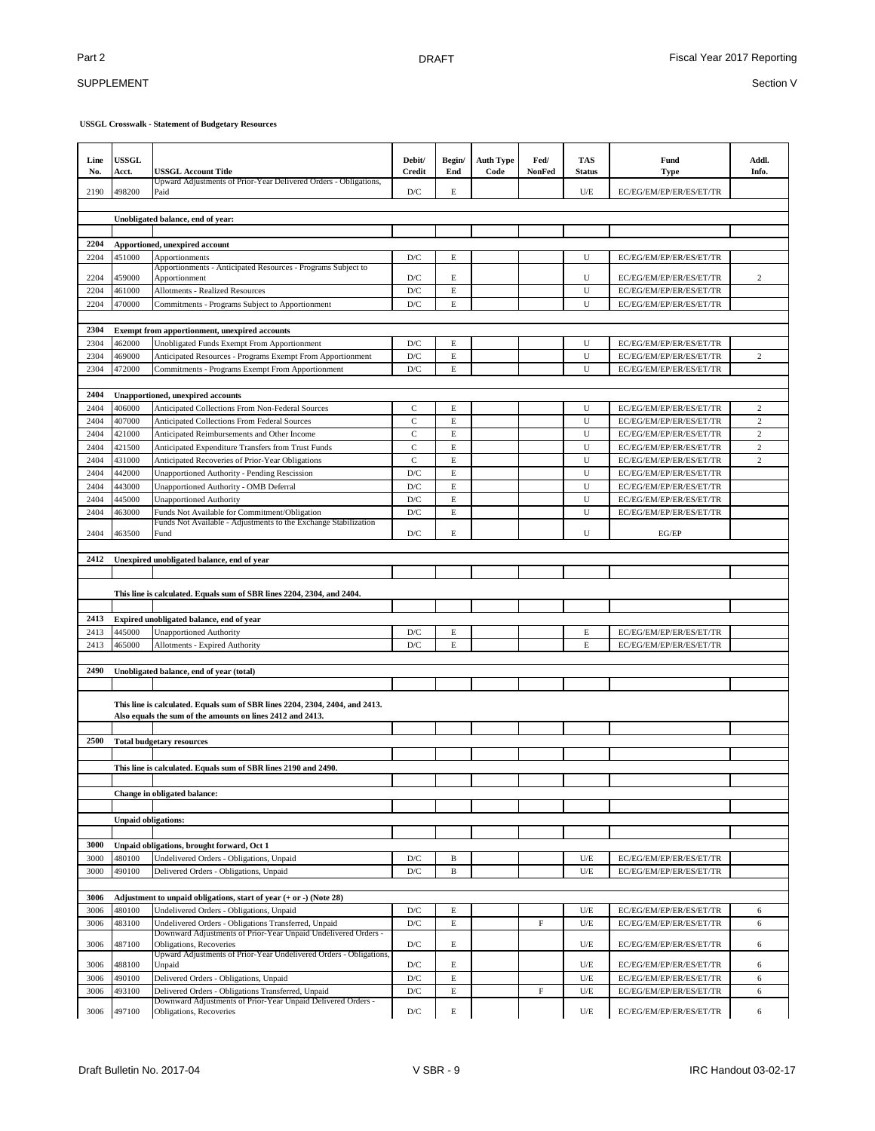## SUPPLEMENT

| Line<br>No.  | <b>USSGL</b><br>Acct.      | USSGL Account Title                                                                                                                        | Debit/<br><b>Credit</b>        | Begin/<br>End    | <b>Auth Type</b><br>Code | Fed/<br>NonFed            | <b>TAS</b><br><b>Status</b> | Fund<br><b>Type</b>                                | Addl.<br>Info. |
|--------------|----------------------------|--------------------------------------------------------------------------------------------------------------------------------------------|--------------------------------|------------------|--------------------------|---------------------------|-----------------------------|----------------------------------------------------|----------------|
| 2190         | 498200                     | Upward Adjustments of Prior-Year Delivered Orders - Obligations,<br>Paid                                                                   | D/C                            | E                |                          |                           | U/E                         | EC/EG/EM/EP/ER/ES/ET/TR                            |                |
|              |                            |                                                                                                                                            |                                |                  |                          |                           |                             |                                                    |                |
|              |                            | Unobligated balance, end of year:                                                                                                          |                                |                  |                          |                           |                             |                                                    |                |
| 2204         |                            | Apportioned, unexpired account                                                                                                             |                                |                  |                          |                           |                             |                                                    |                |
| 2204         | 451000                     | Apportionments                                                                                                                             | D/C                            | Е                |                          |                           | U                           | EC/EG/EM/EP/ER/ES/ET/TR                            |                |
|              |                            | Apportionments - Anticipated Resources - Programs Subject to                                                                               |                                |                  |                          |                           |                             |                                                    |                |
| 2204         | 459000                     | Apportionment                                                                                                                              | D/C                            | E                |                          |                           | U                           | EC/EG/EM/EP/ER/ES/ET/TR                            | $\overline{c}$ |
| 2204         | 461000                     | <b>Allotments - Realized Resources</b>                                                                                                     | $\mathbf{D}/\mathbf{C}$        | $\mathbf E$      |                          |                           | U<br>U                      | EC/EG/EM/EP/ER/ES/ET/TR                            |                |
| 2204         | 470000                     | Commitments - Programs Subject to Apportionment                                                                                            | D/C                            | E                |                          |                           |                             | EC/EG/EM/EP/ER/ES/ET/TR                            |                |
| 2304         |                            | Exempt from apportionment, unexpired accounts                                                                                              |                                |                  |                          |                           |                             |                                                    |                |
| 2304         | 462000                     | Unobligated Funds Exempt From Apportionment                                                                                                | D/C                            | E                |                          |                           | U                           | EC/EG/EM/EP/ER/ES/ET/TR                            |                |
| 2304         | 469000                     | Anticipated Resources - Programs Exempt From Apportionment                                                                                 | D/C                            | $\mathbf E$      |                          |                           | ${\bf U}$                   | EC/EG/EM/EP/ER/ES/ET/TR                            | $\,2$          |
| 2304         | 472000                     | Commitments - Programs Exempt From Apportionment                                                                                           | D/C                            | $\mathbf E$      |                          |                           | U                           | EC/EG/EM/EP/ER/ES/ET/TR                            |                |
|              |                            |                                                                                                                                            |                                |                  |                          |                           |                             |                                                    |                |
| 2404         |                            | Unapportioned, unexpired accounts                                                                                                          |                                |                  |                          |                           |                             |                                                    |                |
| 2404         | 406000                     | Anticipated Collections From Non-Federal Sources                                                                                           | C                              | E                |                          |                           | U                           | EC/EG/EM/EP/ER/ES/ET/TR                            | $\mathfrak{2}$ |
| 2404         | 407000                     | <b>Anticipated Collections From Federal Sources</b>                                                                                        | $\mathbf C$                    | $\mathbf E$      |                          |                           | U                           | EC/EG/EM/EP/ER/ES/ET/TR                            | $\overline{c}$ |
| 2404         | 421000                     | Anticipated Reimbursements and Other Income                                                                                                | $\mathbf C$                    | $\mathbf E$      |                          |                           | U                           | EC/EG/EM/EP/ER/ES/ET/TR                            | $\overline{c}$ |
| 2404         | 421500                     | Anticipated Expenditure Transfers from Trust Funds                                                                                         | $\mathbf{C}$                   | $\mathbf E$      |                          |                           | U                           | EC/EG/EM/EP/ER/ES/ET/TR                            | $\overline{c}$ |
| 2404         | 431000                     | Anticipated Recoveries of Prior-Year Obligations                                                                                           | $\mathbf C$                    | $\mathbf E$      |                          |                           | U                           | EC/EG/EM/EP/ER/ES/ET/TR                            | $\overline{c}$ |
| 2404         | 442000                     | Unapportioned Authority - Pending Rescission                                                                                               | D/C                            | E                |                          |                           | U                           | EC/EG/EM/EP/ER/ES/ET/TR                            |                |
| 2404         | 443000                     | Unapportioned Authority - OMB Deferral                                                                                                     | D/C<br>$\mathbf{D}/\mathbf{C}$ | $\mathbf E$      |                          |                           | U<br>U                      | EC/EG/EM/EP/ER/ES/ET/TR<br>EC/EG/EM/EP/ER/ES/ET/TR |                |
| 2404<br>2404 | 445000<br>463000           | <b>Unapportioned Authority</b>                                                                                                             | $\mathbf{D}/\mathbf{C}$        | E<br>$\mathbf E$ |                          |                           | U                           | EC/EG/EM/EP/ER/ES/ET/TR                            |                |
|              |                            | Funds Not Available for Commitment/Obligation<br>Funds Not Available - Adjustments to the Exchange Stabilization                           |                                |                  |                          |                           |                             |                                                    |                |
| 2404         | 463500                     | Fund                                                                                                                                       | D/C                            | E                |                          |                           | U                           | EG/EP                                              |                |
| 2412         |                            | Unexpired unobligated balance, end of year                                                                                                 |                                |                  |                          |                           |                             |                                                    |                |
|              |                            |                                                                                                                                            |                                |                  |                          |                           |                             |                                                    |                |
|              |                            | This line is calculated. Equals sum of SBR lines 2204, 2304, and 2404.                                                                     |                                |                  |                          |                           |                             |                                                    |                |
| 2413         |                            | Expired unobligated balance, end of year                                                                                                   |                                |                  |                          |                           |                             |                                                    |                |
| 2413         | 445000                     | <b>Unapportioned Authority</b>                                                                                                             | D/C                            | E                |                          |                           | E                           | EC/EG/EM/EP/ER/ES/ET/TR                            |                |
| 2413         | 465000                     | Allotments - Expired Authority                                                                                                             | D/C                            | E                |                          |                           | $\mathbf E$                 | EC/EG/EM/EP/ER/ES/ET/TR                            |                |
|              |                            |                                                                                                                                            |                                |                  |                          |                           |                             |                                                    |                |
| 2490         |                            | Unobligated balance, end of year (total)                                                                                                   |                                |                  |                          |                           |                             |                                                    |                |
|              |                            |                                                                                                                                            |                                |                  |                          |                           |                             |                                                    |                |
|              |                            | This line is calculated. Equals sum of SBR lines 2204, 2304, 2404, and 2413.<br>Also equals the sum of the amounts on lines 2412 and 2413. |                                |                  |                          |                           |                             |                                                    |                |
| 2500         |                            | <b>Total budgetary resources</b>                                                                                                           |                                |                  |                          |                           |                             |                                                    |                |
|              |                            |                                                                                                                                            |                                |                  |                          |                           |                             |                                                    |                |
|              |                            | This line is calculated. Equals sum of SBR lines 2190 and 2490.                                                                            |                                |                  |                          |                           |                             |                                                    |                |
|              |                            |                                                                                                                                            |                                |                  |                          |                           |                             |                                                    |                |
|              |                            | Change in obligated balance:                                                                                                               |                                |                  |                          |                           |                             |                                                    |                |
|              |                            |                                                                                                                                            |                                |                  |                          |                           |                             |                                                    |                |
|              | <b>Unpaid obligations:</b> |                                                                                                                                            |                                |                  |                          |                           |                             |                                                    |                |
|              |                            |                                                                                                                                            |                                |                  |                          |                           |                             |                                                    |                |
| 3000         |                            | Unpaid obligations, brought forward, Oct 1                                                                                                 |                                |                  |                          |                           |                             |                                                    |                |
| 3000         | 480100                     | Undelivered Orders - Obligations, Unpaid                                                                                                   | D/C                            | B                |                          |                           | U/E                         | EC/EG/EM/EP/ER/ES/ET/TR                            |                |
| 3000         | 490100                     | Delivered Orders - Obligations, Unpaid                                                                                                     | $\mathbf{D}/\mathbf{C}$        | B                |                          |                           | U/E                         | EC/EG/EM/EP/ER/ES/ET/TR                            |                |
|              |                            |                                                                                                                                            |                                |                  |                          |                           |                             |                                                    |                |
| 3006         |                            | Adjustment to unpaid obligations, start of year (+ or -) (Note 28)                                                                         |                                |                  |                          |                           |                             |                                                    |                |
| 3006         | 480100                     | Undelivered Orders - Obligations, Unpaid                                                                                                   | $\mathbf{D}/\mathbf{C}$        | E                |                          |                           | U/E                         | EC/EG/EM/EP/ER/ES/ET/TR                            | 6              |
| 3006         | 483100                     | Undelivered Orders - Obligations Transferred, Unpaid<br>Downward Adjustments of Prior-Year Unpaid Undelivered Orders -                     | $\mathbf{D}/\mathbf{C}$        | $\mathbf E$      |                          | $\boldsymbol{\mathrm{F}}$ | $U\!/\!\!E$                 | EC/EG/EM/EP/ER/ES/ET/TR                            | 6              |
| 3006         | 487100                     | Obligations, Recoveries<br>Upward Adjustments of Prior-Year Undelivered Orders - Obligations,                                              | D/C                            | E                |                          |                           | U/E                         | EC/EG/EM/EP/ER/ES/ET/TR                            | 6              |
| 3006         | 488100                     | Unpaid                                                                                                                                     | D/C                            | E                |                          |                           | U/E                         | EC/EG/EM/EP/ER/ES/ET/TR                            | 6              |
| 3006         | 490100                     | Delivered Orders - Obligations, Unpaid                                                                                                     | D/C                            | E                |                          |                           | U/E                         | EC/EG/EM/EP/ER/ES/ET/TR                            | 6              |
| 3006         | 493100                     | Delivered Orders - Obligations Transferred, Unpaid                                                                                         | D/C                            | $\mathbf E$      |                          | $\mathbf F$               | $U\!/\!E$                   | EC/EG/EM/EP/ER/ES/ET/TR                            | 6              |
|              |                            | Downward Adjustments of Prior-Year Unpaid Delivered Orders -                                                                               |                                |                  |                          |                           |                             |                                                    |                |
| 3006         | 497100                     | Obligations, Recoveries                                                                                                                    | $\mathbf{D}/\mathbf{C}$        | $\mathbf E$      |                          |                           | $U\!/\!\!E$                 | EC/EG/EM/EP/ER/ES/ET/TR                            | 6              |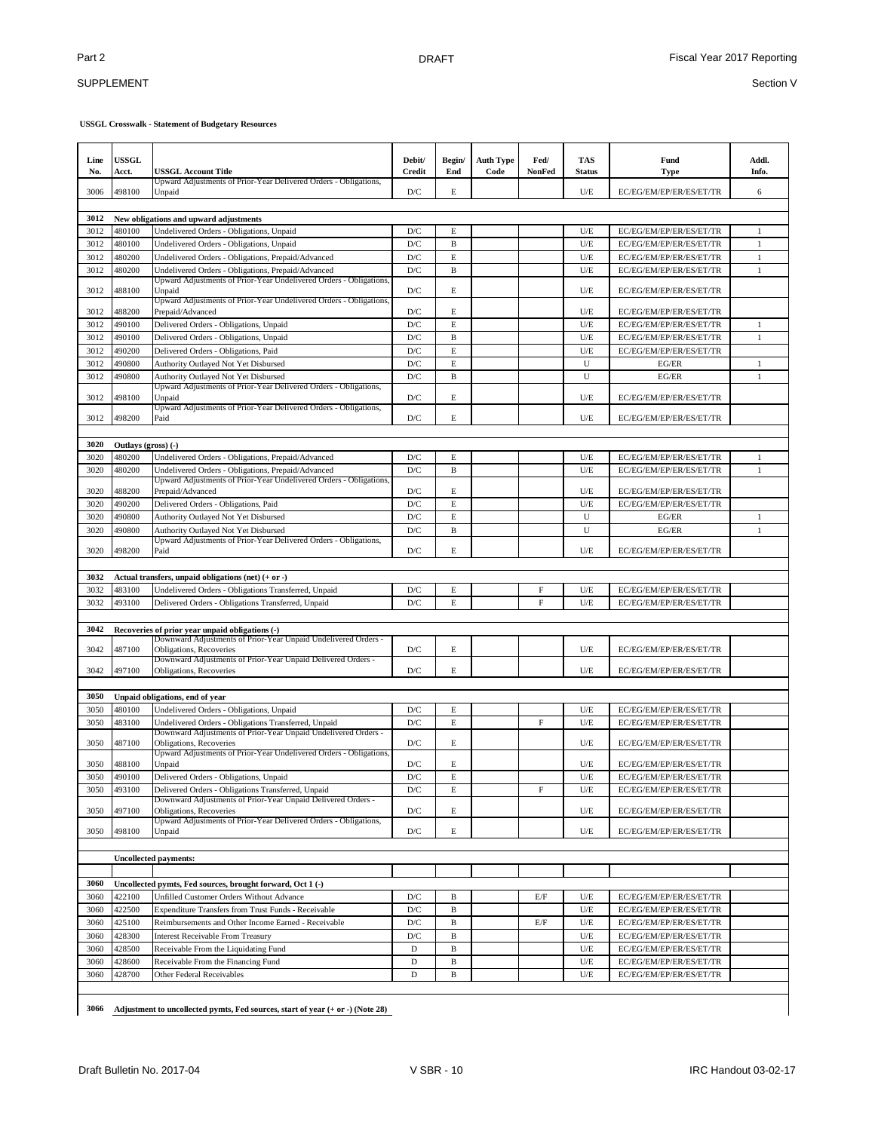### SUPPLEMENT

**USSGL Crosswalk - Statement of Budgetary Resources**

| 3006<br>498100<br>D/C<br>E<br>U/E<br>EC/EG/EM/EP/ER/ES/ET/TR<br>6<br>Unpaid<br>3012<br>New obligations and upward adjustments<br>480100<br>3012<br>Undelivered Orders - Obligations, Unpaid<br>D/C<br>E<br>U/E<br>EC/EG/EM/EP/ER/ES/ET/TR<br>1<br>$\mathbf{D}/\mathbf{C}$<br>U/E<br>3012<br>480100<br>Undelivered Orders - Obligations, Unpaid<br>B<br>EC/EG/EM/EP/ER/ES/ET/TR<br>1<br>$\mathbf E$<br>U/E<br>3012<br>480200<br>Undelivered Orders - Obligations, Prepaid/Advanced<br>D/C<br>$\mathbf{1}$<br>EC/EG/EM/EP/ER/ES/ET/TR<br>$\mathbf{D}/\mathbf{C}$<br>$\, {\bf B}$<br>$U/E$<br>3012<br>480200<br>Undelivered Orders - Obligations, Prepaid/Advanced<br>$\mathbf{1}$<br>EC/EG/EM/EP/ER/ES/ET/TR<br>Upward Adjustments of Prior-Year Undelivered Orders - Obligations,<br>3012<br>488100<br>D/C<br>Е<br>U/E<br>Unpaid<br>EC/EG/EM/EP/ER/ES/ET/TR<br>Upward Adjustments of Prior-Year Undelivered Orders - Obligations,<br>3012<br>488200<br>D/C<br>E<br>U/E<br>Prepaid/Advanced<br>EC/EG/EM/EP/ER/ES/ET/TR<br>U/E<br>3012<br>490100<br>Delivered Orders - Obligations, Unpaid<br>D/C<br>E<br>EC/EG/EM/EP/ER/ES/ET/TR<br>$\mathbf{1}$<br>$U/E$<br>3012<br>490100<br>Delivered Orders - Obligations, Unpaid<br>D/C<br>B<br>EC/EG/EM/EP/ER/ES/ET/TR<br>$\mathbf{1}$<br>E<br>$U/E$<br>3012<br>490200<br>Delivered Orders - Obligations, Paid<br>D/C<br>EC/EG/EM/EP/ER/ES/ET/TR<br>490800<br>Authority Outlayed Not Yet Disbursed<br>D/C<br>E<br>U<br>3012<br>EG/ER<br>1<br>$\, {\bf B}$<br>U<br>$\mathbf{1}$<br>490800<br>Authority Outlayed Not Yet Disbursed<br>D/C<br>EG/ER<br>3012<br>Upward Adjustments of Prior-Year Delivered Orders - Obligations,<br>3012<br>498100<br>D/C<br>E<br>U/E<br>EC/EG/EM/EP/ER/ES/ET/TR<br>Unpaid<br>Upward Adjustments of Prior-Year Delivered Orders - Obligations,<br>E<br>3012<br>498200<br>Paid<br>D/C<br>U/E<br>EC/EG/EM/EP/ER/ES/ET/TR<br>3020<br>Outlays (gross) (-)<br>U/E<br>3020<br>480200<br>Undelivered Orders - Obligations, Prepaid/Advanced<br>D/C<br>E<br>EC/EG/EM/EP/ER/ES/ET/TR<br>1<br>U/E<br>$\mathbf{1}$<br>3020<br>480200<br>Undelivered Orders - Obligations, Prepaid/Advanced<br>D/C<br>B<br>EC/EG/EM/EP/ER/ES/ET/TR<br>Upward Adjustments of Prior-Year Undelivered Orders - Obligations,<br>3020<br>488200<br>Prepaid/Advanced<br>D/C<br>E<br>U/E<br>EC/EG/EM/EP/ER/ES/ET/TR<br>3020<br>490200<br>Delivered Orders - Obligations, Paid<br>D/C<br>E<br>U/E<br>EC/EG/EM/EP/ER/ES/ET/TR<br>E<br>U<br>3020<br>490800<br>Authority Outlayed Not Yet Disbursed<br>D/C<br>EG/ER<br>$\mathbf{1}$<br>$\mathbf{D}/\mathbf{C}$<br>U<br>$\mathbf{1}$<br>3020<br>490800<br>Authority Outlayed Not Yet Disbursed<br>B<br>EG/ER<br>Upward Adjustments of Prior-Year Delivered Orders - Obligations,<br>E<br>498200<br>Paid<br>U/E<br>3020<br>D/C<br>EC/EG/EM/EP/ER/ES/ET/TR<br>3032<br>Actual transfers, unpaid obligations (net) (+ or -)<br>3032<br>483100<br>Undelivered Orders - Obligations Transferred, Unpaid<br>D/C<br>E<br>F<br>U/E<br>EC/EG/EM/EP/ER/ES/ET/TR<br>3032<br>493100<br>F<br>$U/E$<br>Delivered Orders - Obligations Transferred, Unpaid<br>D/C<br>E<br>EC/EG/EM/EP/ER/ES/ET/TR<br>3042<br>Recoveries of prior year unpaid obligations (-)<br>Downward Adjustments of Prior-Year Unpaid Undelivered Orders -<br>487100<br>D/C<br>U/E<br>3042<br>Obligations, Recoveries<br>Е<br>EC/EG/EM/EP/ER/ES/ET/TR<br>Downward Adjustments of Prior-Year Unpaid Delivered Orders -<br>E<br>497100<br>D/C<br>U/E<br>3042<br>Obligations, Recoveries<br>EC/EG/EM/EP/ER/ES/ET/TR<br>3050<br>Unpaid obligations, end of year<br>3050<br>480100<br>Undelivered Orders - Obligations, Unpaid<br>D/C<br>U/E<br>EC/EG/EM/EP/ER/ES/ET/TR<br>Е<br>3050<br>483100<br>Undelivered Orders - Obligations Transferred, Unpaid<br>D/C<br>E<br>F<br>U/E<br>EC/EG/EM/EP/ER/ES/ET/TR<br>Downward Adjustments of Prior-Year Unpaid Undelivered Orders -<br>Obligations, Recoveries<br>D/C<br>E<br>U/E<br>3050<br>487100<br>EC/EG/EM/EP/ER/ES/ET/TR<br>Upward Adjustments of Prior-Year Undelivered Orders - Obligations,<br>$\mathbf E$<br>D/C<br>U/E<br>3050<br>488100<br>EC/EG/EM/EP/ER/ES/ET/TR<br>Unpaid<br>490100<br>$\mathbf{D}/\mathbf{C}$<br>E<br>$U/E$<br>EC/EG/EM/EP/ER/ES/ET/TR<br>3050<br>Delivered Orders - Obligations, Unpaid<br>493100<br>3050<br>Delivered Orders - Obligations Transferred, Unpaid<br>D/C<br>Е<br>F<br>$U/E$<br>EC/EG/EM/EP/ER/ES/ET/TR<br>Downward Adjustments of Prior-Year Unpaid Delivered Orders -<br>497100<br>Obligations, Recoveries<br>3050<br>$\mathbf{D}/\mathbf{C}$<br>Е<br>$U/E$<br>EC/EG/EM/EP/ER/ES/ET/TR<br>Upward Adjustments of Prior-Year Delivered Orders - Obligations,<br>3050<br>498100<br>Unpaid<br>D/C<br>E<br>U/E<br>EC/EG/EM/EP/ER/ES/ET/TR<br><b>Uncollected payments:</b><br>3060<br>Uncollected pymts, Fed sources, brought forward, Oct 1 (-)<br>3060<br>422100<br>Unfilled Customer Orders Without Advance<br>$\mathbf{D}/\mathbf{C}$<br>EC/EG/EM/EP/ER/ES/ET/TR<br>B<br>E/F<br>U/E<br>422500<br>$U/E$<br>EC/EG/EM/EP/ER/ES/ET/TR<br>3060<br>Expenditure Transfers from Trust Funds - Receivable<br>D/C<br>B<br>425100<br>Reimbursements and Other Income Earned - Receivable<br>$U/E$<br>EC/EG/EM/EP/ER/ES/ET/TR<br>3060<br>D/C<br>B<br>E/F<br>428300<br>$U/E$<br>EC/EG/EM/EP/ER/ES/ET/TR<br>3060<br><b>Interest Receivable From Treasury</b><br>D/C<br>B<br>428500<br>Receivable From the Liquidating Fund<br>$U/E$<br>EC/EG/EM/EP/ER/ES/ET/TR<br>3060<br>D<br>B<br>$U/E$<br>3060<br>428600<br>Receivable From the Financing Fund<br>D<br>B<br>EC/EG/EM/EP/ER/ES/ET/TR<br>428700<br>$\mathbf D$<br>$\, {\bf B}$<br>$U/E$<br>EC/EG/EM/EP/ER/ES/ET/TR<br>3060<br>Other Federal Receivables | Line<br>No. | <b>USSGL</b><br>Acct. | <b>USSGL Account Title</b>                                       | Debit/<br><b>Credit</b> | Begin/<br>End | <b>Auth Type</b><br>Code | Fed/<br>NonFed | <b>TAS</b><br><b>Status</b> | Fund<br><b>Type</b> | Addl.<br>Info. |
|---------------------------------------------------------------------------------------------------------------------------------------------------------------------------------------------------------------------------------------------------------------------------------------------------------------------------------------------------------------------------------------------------------------------------------------------------------------------------------------------------------------------------------------------------------------------------------------------------------------------------------------------------------------------------------------------------------------------------------------------------------------------------------------------------------------------------------------------------------------------------------------------------------------------------------------------------------------------------------------------------------------------------------------------------------------------------------------------------------------------------------------------------------------------------------------------------------------------------------------------------------------------------------------------------------------------------------------------------------------------------------------------------------------------------------------------------------------------------------------------------------------------------------------------------------------------------------------------------------------------------------------------------------------------------------------------------------------------------------------------------------------------------------------------------------------------------------------------------------------------------------------------------------------------------------------------------------------------------------------------------------------------------------------------------------------------------------------------------------------------------------------------------------------------------------------------------------------------------------------------------------------------------------------------------------------------------------------------------------------------------------------------------------------------------------------------------------------------------------------------------------------------------------------------------------------------------------------------------------------------------------------------------------------------------------------------------------------------------------------------------------------------------------------------------------------------------------------------------------------------------------------------------------------------------------------------------------------------------------------------------------------------------------------------------------------------------------------------------------------------------------------------------------------------------------------------------------------------------------------------------------------------------------------------------------------------------------------------------------------------------------------------------------------------------------------------------------------------------------------------------------------------------------------------------------------------------------------------------------------------------------------------------------------------------------------------------------------------------------------------------------------------------------------------------------------------------------------------------------------------------------------------------------------------------------------------------------------------------------------------------------------------------------------------------------------------------------------------------------------------------------------------------------------------------------------------------------------------------------------------------------------------------------------------------------------------------------------------------------------------------------------------------------------------------------------------------------------------------------------------------------------------------------------------------------------------------------------------------------------------------------------------------------------------------------------------------------------------------------------------------------------------------------------------------------------------------------------------------------------------------------------------------------------------------------------------------------------------------------------------------------------------------------------------------------------------------------------------------------------------------------------------------------------------------------------------------------------------------------------------------------------------------------------------------------------------------------------------------------------------------------------------------------------------------------------------------------------------------------------------------------------------------------------------------------------------------------------------------------------------------------------------------------------------------------------------------------|-------------|-----------------------|------------------------------------------------------------------|-------------------------|---------------|--------------------------|----------------|-----------------------------|---------------------|----------------|
|                                                                                                                                                                                                                                                                                                                                                                                                                                                                                                                                                                                                                                                                                                                                                                                                                                                                                                                                                                                                                                                                                                                                                                                                                                                                                                                                                                                                                                                                                                                                                                                                                                                                                                                                                                                                                                                                                                                                                                                                                                                                                                                                                                                                                                                                                                                                                                                                                                                                                                                                                                                                                                                                                                                                                                                                                                                                                                                                                                                                                                                                                                                                                                                                                                                                                                                                                                                                                                                                                                                                                                                                                                                                                                                                                                                                                                                                                                                                                                                                                                                                                                                                                                                                                                                                                                                                                                                                                                                                                                                                                                                                                                                                                                                                                                                                                                                                                                                                                                                                                                                                                                                                                                                                                                                                                                                                                                                                                                                                                                                                                                                                                                                                                                         |             |                       | Upward Adjustments of Prior-Year Delivered Orders - Obligations, |                         |               |                          |                |                             |                     |                |
|                                                                                                                                                                                                                                                                                                                                                                                                                                                                                                                                                                                                                                                                                                                                                                                                                                                                                                                                                                                                                                                                                                                                                                                                                                                                                                                                                                                                                                                                                                                                                                                                                                                                                                                                                                                                                                                                                                                                                                                                                                                                                                                                                                                                                                                                                                                                                                                                                                                                                                                                                                                                                                                                                                                                                                                                                                                                                                                                                                                                                                                                                                                                                                                                                                                                                                                                                                                                                                                                                                                                                                                                                                                                                                                                                                                                                                                                                                                                                                                                                                                                                                                                                                                                                                                                                                                                                                                                                                                                                                                                                                                                                                                                                                                                                                                                                                                                                                                                                                                                                                                                                                                                                                                                                                                                                                                                                                                                                                                                                                                                                                                                                                                                                                         |             |                       |                                                                  |                         |               |                          |                |                             |                     |                |
|                                                                                                                                                                                                                                                                                                                                                                                                                                                                                                                                                                                                                                                                                                                                                                                                                                                                                                                                                                                                                                                                                                                                                                                                                                                                                                                                                                                                                                                                                                                                                                                                                                                                                                                                                                                                                                                                                                                                                                                                                                                                                                                                                                                                                                                                                                                                                                                                                                                                                                                                                                                                                                                                                                                                                                                                                                                                                                                                                                                                                                                                                                                                                                                                                                                                                                                                                                                                                                                                                                                                                                                                                                                                                                                                                                                                                                                                                                                                                                                                                                                                                                                                                                                                                                                                                                                                                                                                                                                                                                                                                                                                                                                                                                                                                                                                                                                                                                                                                                                                                                                                                                                                                                                                                                                                                                                                                                                                                                                                                                                                                                                                                                                                                                         |             |                       |                                                                  |                         |               |                          |                |                             |                     |                |
|                                                                                                                                                                                                                                                                                                                                                                                                                                                                                                                                                                                                                                                                                                                                                                                                                                                                                                                                                                                                                                                                                                                                                                                                                                                                                                                                                                                                                                                                                                                                                                                                                                                                                                                                                                                                                                                                                                                                                                                                                                                                                                                                                                                                                                                                                                                                                                                                                                                                                                                                                                                                                                                                                                                                                                                                                                                                                                                                                                                                                                                                                                                                                                                                                                                                                                                                                                                                                                                                                                                                                                                                                                                                                                                                                                                                                                                                                                                                                                                                                                                                                                                                                                                                                                                                                                                                                                                                                                                                                                                                                                                                                                                                                                                                                                                                                                                                                                                                                                                                                                                                                                                                                                                                                                                                                                                                                                                                                                                                                                                                                                                                                                                                                                         |             |                       |                                                                  |                         |               |                          |                |                             |                     |                |
|                                                                                                                                                                                                                                                                                                                                                                                                                                                                                                                                                                                                                                                                                                                                                                                                                                                                                                                                                                                                                                                                                                                                                                                                                                                                                                                                                                                                                                                                                                                                                                                                                                                                                                                                                                                                                                                                                                                                                                                                                                                                                                                                                                                                                                                                                                                                                                                                                                                                                                                                                                                                                                                                                                                                                                                                                                                                                                                                                                                                                                                                                                                                                                                                                                                                                                                                                                                                                                                                                                                                                                                                                                                                                                                                                                                                                                                                                                                                                                                                                                                                                                                                                                                                                                                                                                                                                                                                                                                                                                                                                                                                                                                                                                                                                                                                                                                                                                                                                                                                                                                                                                                                                                                                                                                                                                                                                                                                                                                                                                                                                                                                                                                                                                         |             |                       |                                                                  |                         |               |                          |                |                             |                     |                |
|                                                                                                                                                                                                                                                                                                                                                                                                                                                                                                                                                                                                                                                                                                                                                                                                                                                                                                                                                                                                                                                                                                                                                                                                                                                                                                                                                                                                                                                                                                                                                                                                                                                                                                                                                                                                                                                                                                                                                                                                                                                                                                                                                                                                                                                                                                                                                                                                                                                                                                                                                                                                                                                                                                                                                                                                                                                                                                                                                                                                                                                                                                                                                                                                                                                                                                                                                                                                                                                                                                                                                                                                                                                                                                                                                                                                                                                                                                                                                                                                                                                                                                                                                                                                                                                                                                                                                                                                                                                                                                                                                                                                                                                                                                                                                                                                                                                                                                                                                                                                                                                                                                                                                                                                                                                                                                                                                                                                                                                                                                                                                                                                                                                                                                         |             |                       |                                                                  |                         |               |                          |                |                             |                     |                |
|                                                                                                                                                                                                                                                                                                                                                                                                                                                                                                                                                                                                                                                                                                                                                                                                                                                                                                                                                                                                                                                                                                                                                                                                                                                                                                                                                                                                                                                                                                                                                                                                                                                                                                                                                                                                                                                                                                                                                                                                                                                                                                                                                                                                                                                                                                                                                                                                                                                                                                                                                                                                                                                                                                                                                                                                                                                                                                                                                                                                                                                                                                                                                                                                                                                                                                                                                                                                                                                                                                                                                                                                                                                                                                                                                                                                                                                                                                                                                                                                                                                                                                                                                                                                                                                                                                                                                                                                                                                                                                                                                                                                                                                                                                                                                                                                                                                                                                                                                                                                                                                                                                                                                                                                                                                                                                                                                                                                                                                                                                                                                                                                                                                                                                         |             |                       |                                                                  |                         |               |                          |                |                             |                     |                |
|                                                                                                                                                                                                                                                                                                                                                                                                                                                                                                                                                                                                                                                                                                                                                                                                                                                                                                                                                                                                                                                                                                                                                                                                                                                                                                                                                                                                                                                                                                                                                                                                                                                                                                                                                                                                                                                                                                                                                                                                                                                                                                                                                                                                                                                                                                                                                                                                                                                                                                                                                                                                                                                                                                                                                                                                                                                                                                                                                                                                                                                                                                                                                                                                                                                                                                                                                                                                                                                                                                                                                                                                                                                                                                                                                                                                                                                                                                                                                                                                                                                                                                                                                                                                                                                                                                                                                                                                                                                                                                                                                                                                                                                                                                                                                                                                                                                                                                                                                                                                                                                                                                                                                                                                                                                                                                                                                                                                                                                                                                                                                                                                                                                                                                         |             |                       |                                                                  |                         |               |                          |                |                             |                     |                |
|                                                                                                                                                                                                                                                                                                                                                                                                                                                                                                                                                                                                                                                                                                                                                                                                                                                                                                                                                                                                                                                                                                                                                                                                                                                                                                                                                                                                                                                                                                                                                                                                                                                                                                                                                                                                                                                                                                                                                                                                                                                                                                                                                                                                                                                                                                                                                                                                                                                                                                                                                                                                                                                                                                                                                                                                                                                                                                                                                                                                                                                                                                                                                                                                                                                                                                                                                                                                                                                                                                                                                                                                                                                                                                                                                                                                                                                                                                                                                                                                                                                                                                                                                                                                                                                                                                                                                                                                                                                                                                                                                                                                                                                                                                                                                                                                                                                                                                                                                                                                                                                                                                                                                                                                                                                                                                                                                                                                                                                                                                                                                                                                                                                                                                         |             |                       |                                                                  |                         |               |                          |                |                             |                     |                |
|                                                                                                                                                                                                                                                                                                                                                                                                                                                                                                                                                                                                                                                                                                                                                                                                                                                                                                                                                                                                                                                                                                                                                                                                                                                                                                                                                                                                                                                                                                                                                                                                                                                                                                                                                                                                                                                                                                                                                                                                                                                                                                                                                                                                                                                                                                                                                                                                                                                                                                                                                                                                                                                                                                                                                                                                                                                                                                                                                                                                                                                                                                                                                                                                                                                                                                                                                                                                                                                                                                                                                                                                                                                                                                                                                                                                                                                                                                                                                                                                                                                                                                                                                                                                                                                                                                                                                                                                                                                                                                                                                                                                                                                                                                                                                                                                                                                                                                                                                                                                                                                                                                                                                                                                                                                                                                                                                                                                                                                                                                                                                                                                                                                                                                         |             |                       |                                                                  |                         |               |                          |                |                             |                     |                |
|                                                                                                                                                                                                                                                                                                                                                                                                                                                                                                                                                                                                                                                                                                                                                                                                                                                                                                                                                                                                                                                                                                                                                                                                                                                                                                                                                                                                                                                                                                                                                                                                                                                                                                                                                                                                                                                                                                                                                                                                                                                                                                                                                                                                                                                                                                                                                                                                                                                                                                                                                                                                                                                                                                                                                                                                                                                                                                                                                                                                                                                                                                                                                                                                                                                                                                                                                                                                                                                                                                                                                                                                                                                                                                                                                                                                                                                                                                                                                                                                                                                                                                                                                                                                                                                                                                                                                                                                                                                                                                                                                                                                                                                                                                                                                                                                                                                                                                                                                                                                                                                                                                                                                                                                                                                                                                                                                                                                                                                                                                                                                                                                                                                                                                         |             |                       |                                                                  |                         |               |                          |                |                             |                     |                |
|                                                                                                                                                                                                                                                                                                                                                                                                                                                                                                                                                                                                                                                                                                                                                                                                                                                                                                                                                                                                                                                                                                                                                                                                                                                                                                                                                                                                                                                                                                                                                                                                                                                                                                                                                                                                                                                                                                                                                                                                                                                                                                                                                                                                                                                                                                                                                                                                                                                                                                                                                                                                                                                                                                                                                                                                                                                                                                                                                                                                                                                                                                                                                                                                                                                                                                                                                                                                                                                                                                                                                                                                                                                                                                                                                                                                                                                                                                                                                                                                                                                                                                                                                                                                                                                                                                                                                                                                                                                                                                                                                                                                                                                                                                                                                                                                                                                                                                                                                                                                                                                                                                                                                                                                                                                                                                                                                                                                                                                                                                                                                                                                                                                                                                         |             |                       |                                                                  |                         |               |                          |                |                             |                     |                |
|                                                                                                                                                                                                                                                                                                                                                                                                                                                                                                                                                                                                                                                                                                                                                                                                                                                                                                                                                                                                                                                                                                                                                                                                                                                                                                                                                                                                                                                                                                                                                                                                                                                                                                                                                                                                                                                                                                                                                                                                                                                                                                                                                                                                                                                                                                                                                                                                                                                                                                                                                                                                                                                                                                                                                                                                                                                                                                                                                                                                                                                                                                                                                                                                                                                                                                                                                                                                                                                                                                                                                                                                                                                                                                                                                                                                                                                                                                                                                                                                                                                                                                                                                                                                                                                                                                                                                                                                                                                                                                                                                                                                                                                                                                                                                                                                                                                                                                                                                                                                                                                                                                                                                                                                                                                                                                                                                                                                                                                                                                                                                                                                                                                                                                         |             |                       |                                                                  |                         |               |                          |                |                             |                     |                |
|                                                                                                                                                                                                                                                                                                                                                                                                                                                                                                                                                                                                                                                                                                                                                                                                                                                                                                                                                                                                                                                                                                                                                                                                                                                                                                                                                                                                                                                                                                                                                                                                                                                                                                                                                                                                                                                                                                                                                                                                                                                                                                                                                                                                                                                                                                                                                                                                                                                                                                                                                                                                                                                                                                                                                                                                                                                                                                                                                                                                                                                                                                                                                                                                                                                                                                                                                                                                                                                                                                                                                                                                                                                                                                                                                                                                                                                                                                                                                                                                                                                                                                                                                                                                                                                                                                                                                                                                                                                                                                                                                                                                                                                                                                                                                                                                                                                                                                                                                                                                                                                                                                                                                                                                                                                                                                                                                                                                                                                                                                                                                                                                                                                                                                         |             |                       |                                                                  |                         |               |                          |                |                             |                     |                |
|                                                                                                                                                                                                                                                                                                                                                                                                                                                                                                                                                                                                                                                                                                                                                                                                                                                                                                                                                                                                                                                                                                                                                                                                                                                                                                                                                                                                                                                                                                                                                                                                                                                                                                                                                                                                                                                                                                                                                                                                                                                                                                                                                                                                                                                                                                                                                                                                                                                                                                                                                                                                                                                                                                                                                                                                                                                                                                                                                                                                                                                                                                                                                                                                                                                                                                                                                                                                                                                                                                                                                                                                                                                                                                                                                                                                                                                                                                                                                                                                                                                                                                                                                                                                                                                                                                                                                                                                                                                                                                                                                                                                                                                                                                                                                                                                                                                                                                                                                                                                                                                                                                                                                                                                                                                                                                                                                                                                                                                                                                                                                                                                                                                                                                         |             |                       |                                                                  |                         |               |                          |                |                             |                     |                |
|                                                                                                                                                                                                                                                                                                                                                                                                                                                                                                                                                                                                                                                                                                                                                                                                                                                                                                                                                                                                                                                                                                                                                                                                                                                                                                                                                                                                                                                                                                                                                                                                                                                                                                                                                                                                                                                                                                                                                                                                                                                                                                                                                                                                                                                                                                                                                                                                                                                                                                                                                                                                                                                                                                                                                                                                                                                                                                                                                                                                                                                                                                                                                                                                                                                                                                                                                                                                                                                                                                                                                                                                                                                                                                                                                                                                                                                                                                                                                                                                                                                                                                                                                                                                                                                                                                                                                                                                                                                                                                                                                                                                                                                                                                                                                                                                                                                                                                                                                                                                                                                                                                                                                                                                                                                                                                                                                                                                                                                                                                                                                                                                                                                                                                         |             |                       |                                                                  |                         |               |                          |                |                             |                     |                |
|                                                                                                                                                                                                                                                                                                                                                                                                                                                                                                                                                                                                                                                                                                                                                                                                                                                                                                                                                                                                                                                                                                                                                                                                                                                                                                                                                                                                                                                                                                                                                                                                                                                                                                                                                                                                                                                                                                                                                                                                                                                                                                                                                                                                                                                                                                                                                                                                                                                                                                                                                                                                                                                                                                                                                                                                                                                                                                                                                                                                                                                                                                                                                                                                                                                                                                                                                                                                                                                                                                                                                                                                                                                                                                                                                                                                                                                                                                                                                                                                                                                                                                                                                                                                                                                                                                                                                                                                                                                                                                                                                                                                                                                                                                                                                                                                                                                                                                                                                                                                                                                                                                                                                                                                                                                                                                                                                                                                                                                                                                                                                                                                                                                                                                         |             |                       |                                                                  |                         |               |                          |                |                             |                     |                |
|                                                                                                                                                                                                                                                                                                                                                                                                                                                                                                                                                                                                                                                                                                                                                                                                                                                                                                                                                                                                                                                                                                                                                                                                                                                                                                                                                                                                                                                                                                                                                                                                                                                                                                                                                                                                                                                                                                                                                                                                                                                                                                                                                                                                                                                                                                                                                                                                                                                                                                                                                                                                                                                                                                                                                                                                                                                                                                                                                                                                                                                                                                                                                                                                                                                                                                                                                                                                                                                                                                                                                                                                                                                                                                                                                                                                                                                                                                                                                                                                                                                                                                                                                                                                                                                                                                                                                                                                                                                                                                                                                                                                                                                                                                                                                                                                                                                                                                                                                                                                                                                                                                                                                                                                                                                                                                                                                                                                                                                                                                                                                                                                                                                                                                         |             |                       |                                                                  |                         |               |                          |                |                             |                     |                |
|                                                                                                                                                                                                                                                                                                                                                                                                                                                                                                                                                                                                                                                                                                                                                                                                                                                                                                                                                                                                                                                                                                                                                                                                                                                                                                                                                                                                                                                                                                                                                                                                                                                                                                                                                                                                                                                                                                                                                                                                                                                                                                                                                                                                                                                                                                                                                                                                                                                                                                                                                                                                                                                                                                                                                                                                                                                                                                                                                                                                                                                                                                                                                                                                                                                                                                                                                                                                                                                                                                                                                                                                                                                                                                                                                                                                                                                                                                                                                                                                                                                                                                                                                                                                                                                                                                                                                                                                                                                                                                                                                                                                                                                                                                                                                                                                                                                                                                                                                                                                                                                                                                                                                                                                                                                                                                                                                                                                                                                                                                                                                                                                                                                                                                         |             |                       |                                                                  |                         |               |                          |                |                             |                     |                |
|                                                                                                                                                                                                                                                                                                                                                                                                                                                                                                                                                                                                                                                                                                                                                                                                                                                                                                                                                                                                                                                                                                                                                                                                                                                                                                                                                                                                                                                                                                                                                                                                                                                                                                                                                                                                                                                                                                                                                                                                                                                                                                                                                                                                                                                                                                                                                                                                                                                                                                                                                                                                                                                                                                                                                                                                                                                                                                                                                                                                                                                                                                                                                                                                                                                                                                                                                                                                                                                                                                                                                                                                                                                                                                                                                                                                                                                                                                                                                                                                                                                                                                                                                                                                                                                                                                                                                                                                                                                                                                                                                                                                                                                                                                                                                                                                                                                                                                                                                                                                                                                                                                                                                                                                                                                                                                                                                                                                                                                                                                                                                                                                                                                                                                         |             |                       |                                                                  |                         |               |                          |                |                             |                     |                |
|                                                                                                                                                                                                                                                                                                                                                                                                                                                                                                                                                                                                                                                                                                                                                                                                                                                                                                                                                                                                                                                                                                                                                                                                                                                                                                                                                                                                                                                                                                                                                                                                                                                                                                                                                                                                                                                                                                                                                                                                                                                                                                                                                                                                                                                                                                                                                                                                                                                                                                                                                                                                                                                                                                                                                                                                                                                                                                                                                                                                                                                                                                                                                                                                                                                                                                                                                                                                                                                                                                                                                                                                                                                                                                                                                                                                                                                                                                                                                                                                                                                                                                                                                                                                                                                                                                                                                                                                                                                                                                                                                                                                                                                                                                                                                                                                                                                                                                                                                                                                                                                                                                                                                                                                                                                                                                                                                                                                                                                                                                                                                                                                                                                                                                         |             |                       |                                                                  |                         |               |                          |                |                             |                     |                |
|                                                                                                                                                                                                                                                                                                                                                                                                                                                                                                                                                                                                                                                                                                                                                                                                                                                                                                                                                                                                                                                                                                                                                                                                                                                                                                                                                                                                                                                                                                                                                                                                                                                                                                                                                                                                                                                                                                                                                                                                                                                                                                                                                                                                                                                                                                                                                                                                                                                                                                                                                                                                                                                                                                                                                                                                                                                                                                                                                                                                                                                                                                                                                                                                                                                                                                                                                                                                                                                                                                                                                                                                                                                                                                                                                                                                                                                                                                                                                                                                                                                                                                                                                                                                                                                                                                                                                                                                                                                                                                                                                                                                                                                                                                                                                                                                                                                                                                                                                                                                                                                                                                                                                                                                                                                                                                                                                                                                                                                                                                                                                                                                                                                                                                         |             |                       |                                                                  |                         |               |                          |                |                             |                     |                |
|                                                                                                                                                                                                                                                                                                                                                                                                                                                                                                                                                                                                                                                                                                                                                                                                                                                                                                                                                                                                                                                                                                                                                                                                                                                                                                                                                                                                                                                                                                                                                                                                                                                                                                                                                                                                                                                                                                                                                                                                                                                                                                                                                                                                                                                                                                                                                                                                                                                                                                                                                                                                                                                                                                                                                                                                                                                                                                                                                                                                                                                                                                                                                                                                                                                                                                                                                                                                                                                                                                                                                                                                                                                                                                                                                                                                                                                                                                                                                                                                                                                                                                                                                                                                                                                                                                                                                                                                                                                                                                                                                                                                                                                                                                                                                                                                                                                                                                                                                                                                                                                                                                                                                                                                                                                                                                                                                                                                                                                                                                                                                                                                                                                                                                         |             |                       |                                                                  |                         |               |                          |                |                             |                     |                |
|                                                                                                                                                                                                                                                                                                                                                                                                                                                                                                                                                                                                                                                                                                                                                                                                                                                                                                                                                                                                                                                                                                                                                                                                                                                                                                                                                                                                                                                                                                                                                                                                                                                                                                                                                                                                                                                                                                                                                                                                                                                                                                                                                                                                                                                                                                                                                                                                                                                                                                                                                                                                                                                                                                                                                                                                                                                                                                                                                                                                                                                                                                                                                                                                                                                                                                                                                                                                                                                                                                                                                                                                                                                                                                                                                                                                                                                                                                                                                                                                                                                                                                                                                                                                                                                                                                                                                                                                                                                                                                                                                                                                                                                                                                                                                                                                                                                                                                                                                                                                                                                                                                                                                                                                                                                                                                                                                                                                                                                                                                                                                                                                                                                                                                         |             |                       |                                                                  |                         |               |                          |                |                             |                     |                |
|                                                                                                                                                                                                                                                                                                                                                                                                                                                                                                                                                                                                                                                                                                                                                                                                                                                                                                                                                                                                                                                                                                                                                                                                                                                                                                                                                                                                                                                                                                                                                                                                                                                                                                                                                                                                                                                                                                                                                                                                                                                                                                                                                                                                                                                                                                                                                                                                                                                                                                                                                                                                                                                                                                                                                                                                                                                                                                                                                                                                                                                                                                                                                                                                                                                                                                                                                                                                                                                                                                                                                                                                                                                                                                                                                                                                                                                                                                                                                                                                                                                                                                                                                                                                                                                                                                                                                                                                                                                                                                                                                                                                                                                                                                                                                                                                                                                                                                                                                                                                                                                                                                                                                                                                                                                                                                                                                                                                                                                                                                                                                                                                                                                                                                         |             |                       |                                                                  |                         |               |                          |                |                             |                     |                |
|                                                                                                                                                                                                                                                                                                                                                                                                                                                                                                                                                                                                                                                                                                                                                                                                                                                                                                                                                                                                                                                                                                                                                                                                                                                                                                                                                                                                                                                                                                                                                                                                                                                                                                                                                                                                                                                                                                                                                                                                                                                                                                                                                                                                                                                                                                                                                                                                                                                                                                                                                                                                                                                                                                                                                                                                                                                                                                                                                                                                                                                                                                                                                                                                                                                                                                                                                                                                                                                                                                                                                                                                                                                                                                                                                                                                                                                                                                                                                                                                                                                                                                                                                                                                                                                                                                                                                                                                                                                                                                                                                                                                                                                                                                                                                                                                                                                                                                                                                                                                                                                                                                                                                                                                                                                                                                                                                                                                                                                                                                                                                                                                                                                                                                         |             |                       |                                                                  |                         |               |                          |                |                             |                     |                |
|                                                                                                                                                                                                                                                                                                                                                                                                                                                                                                                                                                                                                                                                                                                                                                                                                                                                                                                                                                                                                                                                                                                                                                                                                                                                                                                                                                                                                                                                                                                                                                                                                                                                                                                                                                                                                                                                                                                                                                                                                                                                                                                                                                                                                                                                                                                                                                                                                                                                                                                                                                                                                                                                                                                                                                                                                                                                                                                                                                                                                                                                                                                                                                                                                                                                                                                                                                                                                                                                                                                                                                                                                                                                                                                                                                                                                                                                                                                                                                                                                                                                                                                                                                                                                                                                                                                                                                                                                                                                                                                                                                                                                                                                                                                                                                                                                                                                                                                                                                                                                                                                                                                                                                                                                                                                                                                                                                                                                                                                                                                                                                                                                                                                                                         |             |                       |                                                                  |                         |               |                          |                |                             |                     |                |
|                                                                                                                                                                                                                                                                                                                                                                                                                                                                                                                                                                                                                                                                                                                                                                                                                                                                                                                                                                                                                                                                                                                                                                                                                                                                                                                                                                                                                                                                                                                                                                                                                                                                                                                                                                                                                                                                                                                                                                                                                                                                                                                                                                                                                                                                                                                                                                                                                                                                                                                                                                                                                                                                                                                                                                                                                                                                                                                                                                                                                                                                                                                                                                                                                                                                                                                                                                                                                                                                                                                                                                                                                                                                                                                                                                                                                                                                                                                                                                                                                                                                                                                                                                                                                                                                                                                                                                                                                                                                                                                                                                                                                                                                                                                                                                                                                                                                                                                                                                                                                                                                                                                                                                                                                                                                                                                                                                                                                                                                                                                                                                                                                                                                                                         |             |                       |                                                                  |                         |               |                          |                |                             |                     |                |
|                                                                                                                                                                                                                                                                                                                                                                                                                                                                                                                                                                                                                                                                                                                                                                                                                                                                                                                                                                                                                                                                                                                                                                                                                                                                                                                                                                                                                                                                                                                                                                                                                                                                                                                                                                                                                                                                                                                                                                                                                                                                                                                                                                                                                                                                                                                                                                                                                                                                                                                                                                                                                                                                                                                                                                                                                                                                                                                                                                                                                                                                                                                                                                                                                                                                                                                                                                                                                                                                                                                                                                                                                                                                                                                                                                                                                                                                                                                                                                                                                                                                                                                                                                                                                                                                                                                                                                                                                                                                                                                                                                                                                                                                                                                                                                                                                                                                                                                                                                                                                                                                                                                                                                                                                                                                                                                                                                                                                                                                                                                                                                                                                                                                                                         |             |                       |                                                                  |                         |               |                          |                |                             |                     |                |
|                                                                                                                                                                                                                                                                                                                                                                                                                                                                                                                                                                                                                                                                                                                                                                                                                                                                                                                                                                                                                                                                                                                                                                                                                                                                                                                                                                                                                                                                                                                                                                                                                                                                                                                                                                                                                                                                                                                                                                                                                                                                                                                                                                                                                                                                                                                                                                                                                                                                                                                                                                                                                                                                                                                                                                                                                                                                                                                                                                                                                                                                                                                                                                                                                                                                                                                                                                                                                                                                                                                                                                                                                                                                                                                                                                                                                                                                                                                                                                                                                                                                                                                                                                                                                                                                                                                                                                                                                                                                                                                                                                                                                                                                                                                                                                                                                                                                                                                                                                                                                                                                                                                                                                                                                                                                                                                                                                                                                                                                                                                                                                                                                                                                                                         |             |                       |                                                                  |                         |               |                          |                |                             |                     |                |
|                                                                                                                                                                                                                                                                                                                                                                                                                                                                                                                                                                                                                                                                                                                                                                                                                                                                                                                                                                                                                                                                                                                                                                                                                                                                                                                                                                                                                                                                                                                                                                                                                                                                                                                                                                                                                                                                                                                                                                                                                                                                                                                                                                                                                                                                                                                                                                                                                                                                                                                                                                                                                                                                                                                                                                                                                                                                                                                                                                                                                                                                                                                                                                                                                                                                                                                                                                                                                                                                                                                                                                                                                                                                                                                                                                                                                                                                                                                                                                                                                                                                                                                                                                                                                                                                                                                                                                                                                                                                                                                                                                                                                                                                                                                                                                                                                                                                                                                                                                                                                                                                                                                                                                                                                                                                                                                                                                                                                                                                                                                                                                                                                                                                                                         |             |                       |                                                                  |                         |               |                          |                |                             |                     |                |
|                                                                                                                                                                                                                                                                                                                                                                                                                                                                                                                                                                                                                                                                                                                                                                                                                                                                                                                                                                                                                                                                                                                                                                                                                                                                                                                                                                                                                                                                                                                                                                                                                                                                                                                                                                                                                                                                                                                                                                                                                                                                                                                                                                                                                                                                                                                                                                                                                                                                                                                                                                                                                                                                                                                                                                                                                                                                                                                                                                                                                                                                                                                                                                                                                                                                                                                                                                                                                                                                                                                                                                                                                                                                                                                                                                                                                                                                                                                                                                                                                                                                                                                                                                                                                                                                                                                                                                                                                                                                                                                                                                                                                                                                                                                                                                                                                                                                                                                                                                                                                                                                                                                                                                                                                                                                                                                                                                                                                                                                                                                                                                                                                                                                                                         |             |                       |                                                                  |                         |               |                          |                |                             |                     |                |
|                                                                                                                                                                                                                                                                                                                                                                                                                                                                                                                                                                                                                                                                                                                                                                                                                                                                                                                                                                                                                                                                                                                                                                                                                                                                                                                                                                                                                                                                                                                                                                                                                                                                                                                                                                                                                                                                                                                                                                                                                                                                                                                                                                                                                                                                                                                                                                                                                                                                                                                                                                                                                                                                                                                                                                                                                                                                                                                                                                                                                                                                                                                                                                                                                                                                                                                                                                                                                                                                                                                                                                                                                                                                                                                                                                                                                                                                                                                                                                                                                                                                                                                                                                                                                                                                                                                                                                                                                                                                                                                                                                                                                                                                                                                                                                                                                                                                                                                                                                                                                                                                                                                                                                                                                                                                                                                                                                                                                                                                                                                                                                                                                                                                                                         |             |                       |                                                                  |                         |               |                          |                |                             |                     |                |
|                                                                                                                                                                                                                                                                                                                                                                                                                                                                                                                                                                                                                                                                                                                                                                                                                                                                                                                                                                                                                                                                                                                                                                                                                                                                                                                                                                                                                                                                                                                                                                                                                                                                                                                                                                                                                                                                                                                                                                                                                                                                                                                                                                                                                                                                                                                                                                                                                                                                                                                                                                                                                                                                                                                                                                                                                                                                                                                                                                                                                                                                                                                                                                                                                                                                                                                                                                                                                                                                                                                                                                                                                                                                                                                                                                                                                                                                                                                                                                                                                                                                                                                                                                                                                                                                                                                                                                                                                                                                                                                                                                                                                                                                                                                                                                                                                                                                                                                                                                                                                                                                                                                                                                                                                                                                                                                                                                                                                                                                                                                                                                                                                                                                                                         |             |                       |                                                                  |                         |               |                          |                |                             |                     |                |
|                                                                                                                                                                                                                                                                                                                                                                                                                                                                                                                                                                                                                                                                                                                                                                                                                                                                                                                                                                                                                                                                                                                                                                                                                                                                                                                                                                                                                                                                                                                                                                                                                                                                                                                                                                                                                                                                                                                                                                                                                                                                                                                                                                                                                                                                                                                                                                                                                                                                                                                                                                                                                                                                                                                                                                                                                                                                                                                                                                                                                                                                                                                                                                                                                                                                                                                                                                                                                                                                                                                                                                                                                                                                                                                                                                                                                                                                                                                                                                                                                                                                                                                                                                                                                                                                                                                                                                                                                                                                                                                                                                                                                                                                                                                                                                                                                                                                                                                                                                                                                                                                                                                                                                                                                                                                                                                                                                                                                                                                                                                                                                                                                                                                                                         |             |                       |                                                                  |                         |               |                          |                |                             |                     |                |
|                                                                                                                                                                                                                                                                                                                                                                                                                                                                                                                                                                                                                                                                                                                                                                                                                                                                                                                                                                                                                                                                                                                                                                                                                                                                                                                                                                                                                                                                                                                                                                                                                                                                                                                                                                                                                                                                                                                                                                                                                                                                                                                                                                                                                                                                                                                                                                                                                                                                                                                                                                                                                                                                                                                                                                                                                                                                                                                                                                                                                                                                                                                                                                                                                                                                                                                                                                                                                                                                                                                                                                                                                                                                                                                                                                                                                                                                                                                                                                                                                                                                                                                                                                                                                                                                                                                                                                                                                                                                                                                                                                                                                                                                                                                                                                                                                                                                                                                                                                                                                                                                                                                                                                                                                                                                                                                                                                                                                                                                                                                                                                                                                                                                                                         |             |                       |                                                                  |                         |               |                          |                |                             |                     |                |
|                                                                                                                                                                                                                                                                                                                                                                                                                                                                                                                                                                                                                                                                                                                                                                                                                                                                                                                                                                                                                                                                                                                                                                                                                                                                                                                                                                                                                                                                                                                                                                                                                                                                                                                                                                                                                                                                                                                                                                                                                                                                                                                                                                                                                                                                                                                                                                                                                                                                                                                                                                                                                                                                                                                                                                                                                                                                                                                                                                                                                                                                                                                                                                                                                                                                                                                                                                                                                                                                                                                                                                                                                                                                                                                                                                                                                                                                                                                                                                                                                                                                                                                                                                                                                                                                                                                                                                                                                                                                                                                                                                                                                                                                                                                                                                                                                                                                                                                                                                                                                                                                                                                                                                                                                                                                                                                                                                                                                                                                                                                                                                                                                                                                                                         |             |                       |                                                                  |                         |               |                          |                |                             |                     |                |
|                                                                                                                                                                                                                                                                                                                                                                                                                                                                                                                                                                                                                                                                                                                                                                                                                                                                                                                                                                                                                                                                                                                                                                                                                                                                                                                                                                                                                                                                                                                                                                                                                                                                                                                                                                                                                                                                                                                                                                                                                                                                                                                                                                                                                                                                                                                                                                                                                                                                                                                                                                                                                                                                                                                                                                                                                                                                                                                                                                                                                                                                                                                                                                                                                                                                                                                                                                                                                                                                                                                                                                                                                                                                                                                                                                                                                                                                                                                                                                                                                                                                                                                                                                                                                                                                                                                                                                                                                                                                                                                                                                                                                                                                                                                                                                                                                                                                                                                                                                                                                                                                                                                                                                                                                                                                                                                                                                                                                                                                                                                                                                                                                                                                                                         |             |                       |                                                                  |                         |               |                          |                |                             |                     |                |
|                                                                                                                                                                                                                                                                                                                                                                                                                                                                                                                                                                                                                                                                                                                                                                                                                                                                                                                                                                                                                                                                                                                                                                                                                                                                                                                                                                                                                                                                                                                                                                                                                                                                                                                                                                                                                                                                                                                                                                                                                                                                                                                                                                                                                                                                                                                                                                                                                                                                                                                                                                                                                                                                                                                                                                                                                                                                                                                                                                                                                                                                                                                                                                                                                                                                                                                                                                                                                                                                                                                                                                                                                                                                                                                                                                                                                                                                                                                                                                                                                                                                                                                                                                                                                                                                                                                                                                                                                                                                                                                                                                                                                                                                                                                                                                                                                                                                                                                                                                                                                                                                                                                                                                                                                                                                                                                                                                                                                                                                                                                                                                                                                                                                                                         |             |                       |                                                                  |                         |               |                          |                |                             |                     |                |
|                                                                                                                                                                                                                                                                                                                                                                                                                                                                                                                                                                                                                                                                                                                                                                                                                                                                                                                                                                                                                                                                                                                                                                                                                                                                                                                                                                                                                                                                                                                                                                                                                                                                                                                                                                                                                                                                                                                                                                                                                                                                                                                                                                                                                                                                                                                                                                                                                                                                                                                                                                                                                                                                                                                                                                                                                                                                                                                                                                                                                                                                                                                                                                                                                                                                                                                                                                                                                                                                                                                                                                                                                                                                                                                                                                                                                                                                                                                                                                                                                                                                                                                                                                                                                                                                                                                                                                                                                                                                                                                                                                                                                                                                                                                                                                                                                                                                                                                                                                                                                                                                                                                                                                                                                                                                                                                                                                                                                                                                                                                                                                                                                                                                                                         |             |                       |                                                                  |                         |               |                          |                |                             |                     |                |
|                                                                                                                                                                                                                                                                                                                                                                                                                                                                                                                                                                                                                                                                                                                                                                                                                                                                                                                                                                                                                                                                                                                                                                                                                                                                                                                                                                                                                                                                                                                                                                                                                                                                                                                                                                                                                                                                                                                                                                                                                                                                                                                                                                                                                                                                                                                                                                                                                                                                                                                                                                                                                                                                                                                                                                                                                                                                                                                                                                                                                                                                                                                                                                                                                                                                                                                                                                                                                                                                                                                                                                                                                                                                                                                                                                                                                                                                                                                                                                                                                                                                                                                                                                                                                                                                                                                                                                                                                                                                                                                                                                                                                                                                                                                                                                                                                                                                                                                                                                                                                                                                                                                                                                                                                                                                                                                                                                                                                                                                                                                                                                                                                                                                                                         |             |                       |                                                                  |                         |               |                          |                |                             |                     |                |
|                                                                                                                                                                                                                                                                                                                                                                                                                                                                                                                                                                                                                                                                                                                                                                                                                                                                                                                                                                                                                                                                                                                                                                                                                                                                                                                                                                                                                                                                                                                                                                                                                                                                                                                                                                                                                                                                                                                                                                                                                                                                                                                                                                                                                                                                                                                                                                                                                                                                                                                                                                                                                                                                                                                                                                                                                                                                                                                                                                                                                                                                                                                                                                                                                                                                                                                                                                                                                                                                                                                                                                                                                                                                                                                                                                                                                                                                                                                                                                                                                                                                                                                                                                                                                                                                                                                                                                                                                                                                                                                                                                                                                                                                                                                                                                                                                                                                                                                                                                                                                                                                                                                                                                                                                                                                                                                                                                                                                                                                                                                                                                                                                                                                                                         |             |                       |                                                                  |                         |               |                          |                |                             |                     |                |
|                                                                                                                                                                                                                                                                                                                                                                                                                                                                                                                                                                                                                                                                                                                                                                                                                                                                                                                                                                                                                                                                                                                                                                                                                                                                                                                                                                                                                                                                                                                                                                                                                                                                                                                                                                                                                                                                                                                                                                                                                                                                                                                                                                                                                                                                                                                                                                                                                                                                                                                                                                                                                                                                                                                                                                                                                                                                                                                                                                                                                                                                                                                                                                                                                                                                                                                                                                                                                                                                                                                                                                                                                                                                                                                                                                                                                                                                                                                                                                                                                                                                                                                                                                                                                                                                                                                                                                                                                                                                                                                                                                                                                                                                                                                                                                                                                                                                                                                                                                                                                                                                                                                                                                                                                                                                                                                                                                                                                                                                                                                                                                                                                                                                                                         |             |                       |                                                                  |                         |               |                          |                |                             |                     |                |
|                                                                                                                                                                                                                                                                                                                                                                                                                                                                                                                                                                                                                                                                                                                                                                                                                                                                                                                                                                                                                                                                                                                                                                                                                                                                                                                                                                                                                                                                                                                                                                                                                                                                                                                                                                                                                                                                                                                                                                                                                                                                                                                                                                                                                                                                                                                                                                                                                                                                                                                                                                                                                                                                                                                                                                                                                                                                                                                                                                                                                                                                                                                                                                                                                                                                                                                                                                                                                                                                                                                                                                                                                                                                                                                                                                                                                                                                                                                                                                                                                                                                                                                                                                                                                                                                                                                                                                                                                                                                                                                                                                                                                                                                                                                                                                                                                                                                                                                                                                                                                                                                                                                                                                                                                                                                                                                                                                                                                                                                                                                                                                                                                                                                                                         |             |                       |                                                                  |                         |               |                          |                |                             |                     |                |
|                                                                                                                                                                                                                                                                                                                                                                                                                                                                                                                                                                                                                                                                                                                                                                                                                                                                                                                                                                                                                                                                                                                                                                                                                                                                                                                                                                                                                                                                                                                                                                                                                                                                                                                                                                                                                                                                                                                                                                                                                                                                                                                                                                                                                                                                                                                                                                                                                                                                                                                                                                                                                                                                                                                                                                                                                                                                                                                                                                                                                                                                                                                                                                                                                                                                                                                                                                                                                                                                                                                                                                                                                                                                                                                                                                                                                                                                                                                                                                                                                                                                                                                                                                                                                                                                                                                                                                                                                                                                                                                                                                                                                                                                                                                                                                                                                                                                                                                                                                                                                                                                                                                                                                                                                                                                                                                                                                                                                                                                                                                                                                                                                                                                                                         |             |                       |                                                                  |                         |               |                          |                |                             |                     |                |
|                                                                                                                                                                                                                                                                                                                                                                                                                                                                                                                                                                                                                                                                                                                                                                                                                                                                                                                                                                                                                                                                                                                                                                                                                                                                                                                                                                                                                                                                                                                                                                                                                                                                                                                                                                                                                                                                                                                                                                                                                                                                                                                                                                                                                                                                                                                                                                                                                                                                                                                                                                                                                                                                                                                                                                                                                                                                                                                                                                                                                                                                                                                                                                                                                                                                                                                                                                                                                                                                                                                                                                                                                                                                                                                                                                                                                                                                                                                                                                                                                                                                                                                                                                                                                                                                                                                                                                                                                                                                                                                                                                                                                                                                                                                                                                                                                                                                                                                                                                                                                                                                                                                                                                                                                                                                                                                                                                                                                                                                                                                                                                                                                                                                                                         |             |                       |                                                                  |                         |               |                          |                |                             |                     |                |
|                                                                                                                                                                                                                                                                                                                                                                                                                                                                                                                                                                                                                                                                                                                                                                                                                                                                                                                                                                                                                                                                                                                                                                                                                                                                                                                                                                                                                                                                                                                                                                                                                                                                                                                                                                                                                                                                                                                                                                                                                                                                                                                                                                                                                                                                                                                                                                                                                                                                                                                                                                                                                                                                                                                                                                                                                                                                                                                                                                                                                                                                                                                                                                                                                                                                                                                                                                                                                                                                                                                                                                                                                                                                                                                                                                                                                                                                                                                                                                                                                                                                                                                                                                                                                                                                                                                                                                                                                                                                                                                                                                                                                                                                                                                                                                                                                                                                                                                                                                                                                                                                                                                                                                                                                                                                                                                                                                                                                                                                                                                                                                                                                                                                                                         |             |                       |                                                                  |                         |               |                          |                |                             |                     |                |
|                                                                                                                                                                                                                                                                                                                                                                                                                                                                                                                                                                                                                                                                                                                                                                                                                                                                                                                                                                                                                                                                                                                                                                                                                                                                                                                                                                                                                                                                                                                                                                                                                                                                                                                                                                                                                                                                                                                                                                                                                                                                                                                                                                                                                                                                                                                                                                                                                                                                                                                                                                                                                                                                                                                                                                                                                                                                                                                                                                                                                                                                                                                                                                                                                                                                                                                                                                                                                                                                                                                                                                                                                                                                                                                                                                                                                                                                                                                                                                                                                                                                                                                                                                                                                                                                                                                                                                                                                                                                                                                                                                                                                                                                                                                                                                                                                                                                                                                                                                                                                                                                                                                                                                                                                                                                                                                                                                                                                                                                                                                                                                                                                                                                                                         |             |                       |                                                                  |                         |               |                          |                |                             |                     |                |
|                                                                                                                                                                                                                                                                                                                                                                                                                                                                                                                                                                                                                                                                                                                                                                                                                                                                                                                                                                                                                                                                                                                                                                                                                                                                                                                                                                                                                                                                                                                                                                                                                                                                                                                                                                                                                                                                                                                                                                                                                                                                                                                                                                                                                                                                                                                                                                                                                                                                                                                                                                                                                                                                                                                                                                                                                                                                                                                                                                                                                                                                                                                                                                                                                                                                                                                                                                                                                                                                                                                                                                                                                                                                                                                                                                                                                                                                                                                                                                                                                                                                                                                                                                                                                                                                                                                                                                                                                                                                                                                                                                                                                                                                                                                                                                                                                                                                                                                                                                                                                                                                                                                                                                                                                                                                                                                                                                                                                                                                                                                                                                                                                                                                                                         |             |                       |                                                                  |                         |               |                          |                |                             |                     |                |
|                                                                                                                                                                                                                                                                                                                                                                                                                                                                                                                                                                                                                                                                                                                                                                                                                                                                                                                                                                                                                                                                                                                                                                                                                                                                                                                                                                                                                                                                                                                                                                                                                                                                                                                                                                                                                                                                                                                                                                                                                                                                                                                                                                                                                                                                                                                                                                                                                                                                                                                                                                                                                                                                                                                                                                                                                                                                                                                                                                                                                                                                                                                                                                                                                                                                                                                                                                                                                                                                                                                                                                                                                                                                                                                                                                                                                                                                                                                                                                                                                                                                                                                                                                                                                                                                                                                                                                                                                                                                                                                                                                                                                                                                                                                                                                                                                                                                                                                                                                                                                                                                                                                                                                                                                                                                                                                                                                                                                                                                                                                                                                                                                                                                                                         |             |                       |                                                                  |                         |               |                          |                |                             |                     |                |
|                                                                                                                                                                                                                                                                                                                                                                                                                                                                                                                                                                                                                                                                                                                                                                                                                                                                                                                                                                                                                                                                                                                                                                                                                                                                                                                                                                                                                                                                                                                                                                                                                                                                                                                                                                                                                                                                                                                                                                                                                                                                                                                                                                                                                                                                                                                                                                                                                                                                                                                                                                                                                                                                                                                                                                                                                                                                                                                                                                                                                                                                                                                                                                                                                                                                                                                                                                                                                                                                                                                                                                                                                                                                                                                                                                                                                                                                                                                                                                                                                                                                                                                                                                                                                                                                                                                                                                                                                                                                                                                                                                                                                                                                                                                                                                                                                                                                                                                                                                                                                                                                                                                                                                                                                                                                                                                                                                                                                                                                                                                                                                                                                                                                                                         |             |                       |                                                                  |                         |               |                          |                |                             |                     |                |
|                                                                                                                                                                                                                                                                                                                                                                                                                                                                                                                                                                                                                                                                                                                                                                                                                                                                                                                                                                                                                                                                                                                                                                                                                                                                                                                                                                                                                                                                                                                                                                                                                                                                                                                                                                                                                                                                                                                                                                                                                                                                                                                                                                                                                                                                                                                                                                                                                                                                                                                                                                                                                                                                                                                                                                                                                                                                                                                                                                                                                                                                                                                                                                                                                                                                                                                                                                                                                                                                                                                                                                                                                                                                                                                                                                                                                                                                                                                                                                                                                                                                                                                                                                                                                                                                                                                                                                                                                                                                                                                                                                                                                                                                                                                                                                                                                                                                                                                                                                                                                                                                                                                                                                                                                                                                                                                                                                                                                                                                                                                                                                                                                                                                                                         |             |                       |                                                                  |                         |               |                          |                |                             |                     |                |
|                                                                                                                                                                                                                                                                                                                                                                                                                                                                                                                                                                                                                                                                                                                                                                                                                                                                                                                                                                                                                                                                                                                                                                                                                                                                                                                                                                                                                                                                                                                                                                                                                                                                                                                                                                                                                                                                                                                                                                                                                                                                                                                                                                                                                                                                                                                                                                                                                                                                                                                                                                                                                                                                                                                                                                                                                                                                                                                                                                                                                                                                                                                                                                                                                                                                                                                                                                                                                                                                                                                                                                                                                                                                                                                                                                                                                                                                                                                                                                                                                                                                                                                                                                                                                                                                                                                                                                                                                                                                                                                                                                                                                                                                                                                                                                                                                                                                                                                                                                                                                                                                                                                                                                                                                                                                                                                                                                                                                                                                                                                                                                                                                                                                                                         |             |                       |                                                                  |                         |               |                          |                |                             |                     |                |
|                                                                                                                                                                                                                                                                                                                                                                                                                                                                                                                                                                                                                                                                                                                                                                                                                                                                                                                                                                                                                                                                                                                                                                                                                                                                                                                                                                                                                                                                                                                                                                                                                                                                                                                                                                                                                                                                                                                                                                                                                                                                                                                                                                                                                                                                                                                                                                                                                                                                                                                                                                                                                                                                                                                                                                                                                                                                                                                                                                                                                                                                                                                                                                                                                                                                                                                                                                                                                                                                                                                                                                                                                                                                                                                                                                                                                                                                                                                                                                                                                                                                                                                                                                                                                                                                                                                                                                                                                                                                                                                                                                                                                                                                                                                                                                                                                                                                                                                                                                                                                                                                                                                                                                                                                                                                                                                                                                                                                                                                                                                                                                                                                                                                                                         |             |                       |                                                                  |                         |               |                          |                |                             |                     |                |
|                                                                                                                                                                                                                                                                                                                                                                                                                                                                                                                                                                                                                                                                                                                                                                                                                                                                                                                                                                                                                                                                                                                                                                                                                                                                                                                                                                                                                                                                                                                                                                                                                                                                                                                                                                                                                                                                                                                                                                                                                                                                                                                                                                                                                                                                                                                                                                                                                                                                                                                                                                                                                                                                                                                                                                                                                                                                                                                                                                                                                                                                                                                                                                                                                                                                                                                                                                                                                                                                                                                                                                                                                                                                                                                                                                                                                                                                                                                                                                                                                                                                                                                                                                                                                                                                                                                                                                                                                                                                                                                                                                                                                                                                                                                                                                                                                                                                                                                                                                                                                                                                                                                                                                                                                                                                                                                                                                                                                                                                                                                                                                                                                                                                                                         |             |                       |                                                                  |                         |               |                          |                |                             |                     |                |

**3066 Adjustment to uncollected pymts, Fed sources, start of year (+ or -) (Note 28)**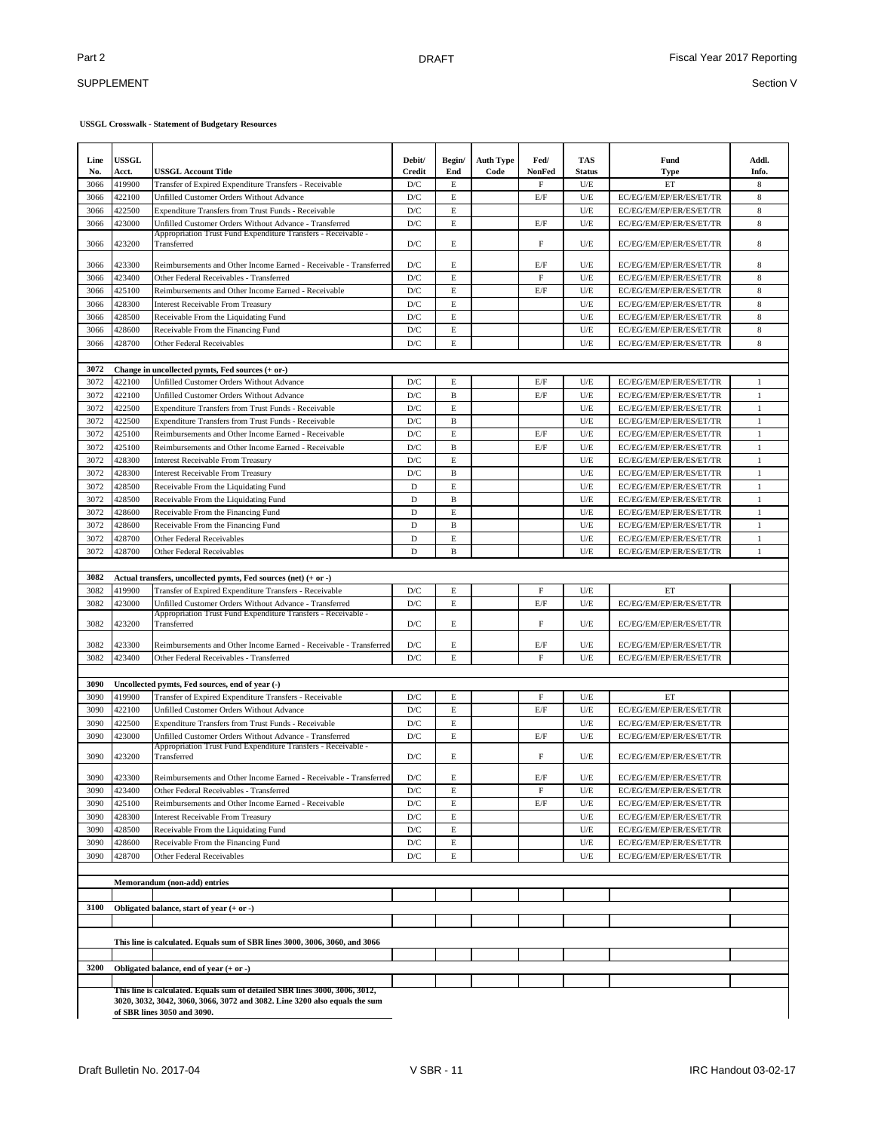### SUPPLEMENT

| Line<br>No.  | USSGL<br>Acct.   | USSGL Account Title                                                                                          | Debit/<br>Credit               | Begin/<br>End | <b>Auth Type</b><br>Code | Fed/<br>NonFed | <b>TAS</b><br><b>Status</b> | Fund<br><b>Type</b>                                | Addl.<br>Info. |
|--------------|------------------|--------------------------------------------------------------------------------------------------------------|--------------------------------|---------------|--------------------------|----------------|-----------------------------|----------------------------------------------------|----------------|
| 3066         | 419900           | Transfer of Expired Expenditure Transfers - Receivable                                                       | D/C                            | E             |                          | F              | U/E                         | ET                                                 | 8              |
| 3066         | 422100           | Unfilled Customer Orders Without Advance                                                                     | D/C                            | E             |                          | E/F            | U/E                         | EC/EG/EM/EP/ER/ES/ET/TR                            | 8              |
| 3066         | 422500           | Expenditure Transfers from Trust Funds - Receivable                                                          | D/C                            | E             |                          |                | U/E                         | EC/EG/EM/EP/ER/ES/ET/TR                            | $\,$ 8 $\,$    |
| 3066         | 423000           | Unfilled Customer Orders Without Advance - Transferred                                                       | $\mathbf{D}/\mathbf{C}$        | $\mathbf E$   |                          | E/F            | U/E                         | EC/EG/EM/EP/ER/ES/ET/TR                            | $\,$ 8 $\,$    |
| 3066         | 423200           | Appropriation Trust Fund Expenditure Transfers - Receivable -<br>Transferred                                 | D/C                            | E             |                          | $\mathbf F$    | U/E                         | EC/EG/EM/EP/ER/ES/ET/TR                            | 8              |
| 3066         | 423300           | Reimbursements and Other Income Earned - Receivable - Transferred                                            | D/C                            | E             |                          | E/F            | U/E                         | EC/EG/EM/EP/ER/ES/ET/TR                            | 8              |
| 3066         | 423400           | Other Federal Receivables - Transferred                                                                      | D/C                            | $\mathbf E$   |                          | $\mathbf{F}$   | U/E                         | EC/EG/EM/EP/ER/ES/ET/TR                            | $\,$ 8 $\,$    |
| 3066         | 425100           | Reimbursements and Other Income Earned - Receivable                                                          | D/C                            | $\mathbf E$   |                          | $\rm E/F$      | U/E                         | EC/EG/EM/EP/ER/ES/ET/TR                            | $\,$ 8 $\,$    |
| 3066         | 428300           | <b>Interest Receivable From Treasury</b>                                                                     | D/C                            | $\mathbf E$   |                          |                | U/E                         | EC/EG/EM/EP/ER/ES/ET/TR                            | $\,$ 8 $\,$    |
| 3066         | 428500           | Receivable From the Liquidating Fund                                                                         | D/C                            | E             |                          |                | U/E                         | EC/EG/EM/EP/ER/ES/ET/TR                            | 8              |
| 3066         | 428600           | Receivable From the Financing Fund                                                                           | D/C                            | E             |                          |                | U/E                         | EC/EG/EM/EP/ER/ES/ET/TR                            | 8              |
| 3066         | 428700           | Other Federal Receivables                                                                                    | D/C                            | E             |                          |                | U/E                         | EC/EG/EM/EP/ER/ES/ET/TR                            | 8              |
|              |                  |                                                                                                              |                                |               |                          |                |                             |                                                    |                |
| 3072         |                  | Change in uncollected pymts, Fed sources (+ or-)                                                             |                                |               |                          |                |                             |                                                    |                |
| 3072         | 422100           | Unfilled Customer Orders Without Advance                                                                     | D/C                            | E             |                          | E/F            | U/E                         | EC/EG/EM/EP/ER/ES/ET/TR                            | 1              |
| 3072         | 422100           | Unfilled Customer Orders Without Advance                                                                     | $\mathbf{D}/\mathbf{C}$        | $\, {\bf B}$  |                          | $\rm E/F$      | U/E                         | EC/EG/EM/EP/ER/ES/ET/TR                            | $\mathbf{1}$   |
| 3072         | 422500           | <b>Expenditure Transfers from Trust Funds - Receivable</b>                                                   | D/C                            | E             |                          |                | U/E                         | EC/EG/EM/EP/ER/ES/ET/TR                            | $\mathbf{1}$   |
| 3072         | 422500           | <b>Expenditure Transfers from Trust Funds - Receivable</b>                                                   | D/C                            | B             |                          |                | U/E                         | EC/EG/EM/EP/ER/ES/ET/TR                            | $\mathbf{1}$   |
| 3072         | 425100           | Reimbursements and Other Income Earned - Receivable                                                          | D/C                            | $\mathbf E$   |                          | E/F            | U/E                         | EC/EG/EM/EP/ER/ES/ET/TR                            | $1\,$          |
| 3072         | 425100           | Reimbursements and Other Income Earned - Receivable                                                          | D/C                            | $\, {\bf B}$  |                          | $\rm E/F$      | U/E                         | EC/EG/EM/EP/ER/ES/ET/TR                            | $\mathbf{1}$   |
| 3072         | 428300           | <b>Interest Receivable From Treasury</b>                                                                     | D/C                            | E             |                          |                | U/E                         | EC/EG/EM/EP/ER/ES/ET/TR                            | $\mathbf{1}$   |
| 3072         | 428300           | <b>Interest Receivable From Treasury</b>                                                                     | $\mathbf{D}/\mathbf{C}$        | $\, {\bf B}$  |                          |                | U/E                         | EC/EG/EM/EP/ER/ES/ET/TR                            | $\mathbf{1}$   |
| 3072         | 428500           | Receivable From the Liquidating Fund                                                                         | D                              | E             |                          |                | U/E                         | EC/EG/EM/EP/ER/ES/ET/TR                            | 1              |
| 3072         | 428500           | Receivable From the Liquidating Fund                                                                         | D                              | B             |                          |                | U/E                         | EC/EG/EM/EP/ER/ES/ET/TR                            | $\mathbf{1}$   |
| 3072         | 428600           | Receivable From the Financing Fund                                                                           | D                              | $\mathbf E$   |                          |                | U/E                         | EC/EG/EM/EP/ER/ES/ET/TR                            | $\mathbf{1}$   |
| 3072         | 428600           | Receivable From the Financing Fund                                                                           | D                              | B             |                          |                | U/E                         | EC/EG/EM/EP/ER/ES/ET/TR                            | 1              |
| 3072         | 428700           | Other Federal Receivables                                                                                    | D                              | E             |                          |                | U/E                         | EC/EG/EM/EP/ER/ES/ET/TR                            | $\mathbf{1}$   |
| 3072         | 428700           | Other Federal Receivables                                                                                    | D                              | B             |                          |                | $U/E$                       | EC/EG/EM/EP/ER/ES/ET/TR                            | $\mathbf{1}$   |
|              |                  |                                                                                                              |                                |               |                          |                |                             |                                                    |                |
| 3082         |                  | Actual transfers, uncollected pymts, Fed sources (net) (+ or -)                                              |                                |               |                          |                |                             |                                                    |                |
| 3082         | 419900           | Transfer of Expired Expenditure Transfers - Receivable                                                       | D/C                            | E             |                          | $\rm F$        | U/E                         | ET                                                 |                |
| 3082         | 423000           | Unfilled Customer Orders Without Advance - Transferred                                                       | D/C                            | $\mathbf E$   |                          | E/F            | U/E                         | EC/EG/EM/EP/ER/ES/ET/TR                            |                |
|              |                  | Appropriation Trust Fund Expenditure Transfers - Receivable -                                                |                                |               |                          |                |                             |                                                    |                |
| 3082         | 423200           | Transferred                                                                                                  | D/C                            | E             |                          | F              | U/E                         | EC/EG/EM/EP/ER/ES/ET/TR                            |                |
| 3082         | 423300           | Reimbursements and Other Income Earned - Receivable - Transferred                                            | D/C                            | E             |                          | E/F            | U/E                         | EC/EG/EM/EP/ER/ES/ET/TR                            |                |
| 3082         | 423400           | Other Federal Receivables - Transferred                                                                      | D/C                            | E             |                          | $\mathbf F$    | U/E                         | EC/EG/EM/EP/ER/ES/ET/TR                            |                |
|              |                  |                                                                                                              |                                |               |                          |                |                             |                                                    |                |
| 3090         |                  | Uncollected pymts, Fed sources, end of year (-)                                                              |                                |               |                          |                |                             |                                                    |                |
| 3090         | 419900           | Transfer of Expired Expenditure Transfers - Receivable                                                       | D/C                            | E             |                          | F              | U/E                         | ET                                                 |                |
| 3090         | 422100           | Unfilled Customer Orders Without Advance                                                                     | D/C                            | E             |                          | E/F            | $U/E$                       | EC/EG/EM/EP/ER/ES/ET/TR                            |                |
| 3090         | 422500           | <b>Expenditure Transfers from Trust Funds - Receivable</b>                                                   | D/C                            | E             |                          |                | $U/E$                       | EC/EG/EM/EP/ER/ES/ET/TR                            |                |
| 3090         | 423000           | Unfilled Customer Orders Without Advance - Transferred                                                       | D/C                            | $\mathbf E$   |                          | E/F            | U/E                         | EC/EG/EM/EP/ER/ES/ET/TR                            |                |
|              |                  | Appropriation Trust Fund Expenditure Transfers - Receivable -                                                |                                |               |                          |                |                             |                                                    |                |
| 3090         | 423200           | Transferred                                                                                                  | D/C                            | E             |                          | F              | U/E                         | EC/EG/EM/EP/ER/ES/ET/TR                            |                |
| 3090         | 423300           |                                                                                                              | D/C                            | E             |                          | E/F            | U/E                         |                                                    |                |
| 3090         | 423400           | Reimbursements and Other Income Earned - Receivable - Transferred<br>Other Federal Receivables - Transferred | D/C                            |               |                          | F              | U/E                         | EC/EG/EM/EP/ER/ES/ET/TR<br>EC/EG/EM/EP/ER/ES/ET/TR |                |
| 3090         | 425100           | Reimbursements and Other Income Earned - Receivable                                                          | D/C                            | Е<br>E        |                          | $\rm E/F$      | U/E                         | EC/EG/EM/EP/ER/ES/ET/TR                            |                |
|              |                  |                                                                                                              |                                |               |                          |                | $U/E$                       | EC/EG/EM/EP/ER/ES/ET/TR                            |                |
| 3090<br>3090 | 428300<br>428500 | <b>Interest Receivable From Treasury</b><br>Receivable From the Liquidating Fund                             | D/C                            | E             |                          |                | $U\!/\!\to$                 |                                                    |                |
| 3090         | 428600           | Receivable From the Financing Fund                                                                           | $\mathbf{D}/\mathbf{C}$<br>D/C | E<br>E        |                          |                | $U/E$                       | EC/EG/EM/EP/ER/ES/ET/TR<br>EC/EG/EM/EP/ER/ES/ET/TR |                |
|              |                  |                                                                                                              |                                |               |                          |                |                             |                                                    |                |
| 3090         | 428700           | Other Federal Receivables                                                                                    | $\mathbf{D}/\mathbf{C}$        | E             |                          |                | $U/E$                       | EC/EG/EM/EP/ER/ES/ET/TR                            |                |
|              |                  |                                                                                                              |                                |               |                          |                |                             |                                                    |                |
|              |                  | Memorandum (non-add) entries                                                                                 |                                |               |                          |                |                             |                                                    |                |
|              |                  |                                                                                                              |                                |               |                          |                |                             |                                                    |                |
| 3100         |                  | Obligated balance, start of year (+ or -)                                                                    |                                |               |                          |                |                             |                                                    |                |
|              |                  |                                                                                                              |                                |               |                          |                |                             |                                                    |                |
|              |                  | This line is calculated. Equals sum of SBR lines 3000, 3006, 3060, and 3066                                  |                                |               |                          |                |                             |                                                    |                |
|              |                  |                                                                                                              |                                |               |                          |                |                             |                                                    |                |
| 3200         |                  | Obligated balance, end of year (+ or -)                                                                      |                                |               |                          |                |                             |                                                    |                |
|              |                  |                                                                                                              |                                |               |                          |                |                             |                                                    |                |
|              |                  | This line is calculated. Equals sum of detailed SBR lines 3000, 3006, 3012,                                  |                                |               |                          |                |                             |                                                    |                |
|              |                  | 3020, 3032, 3042, 3060, 3066, 3072 and 3082. Line 3200 also equals the sum                                   |                                |               |                          |                |                             |                                                    |                |
|              |                  | of SBR lines 3050 and 3090.                                                                                  |                                |               |                          |                |                             |                                                    |                |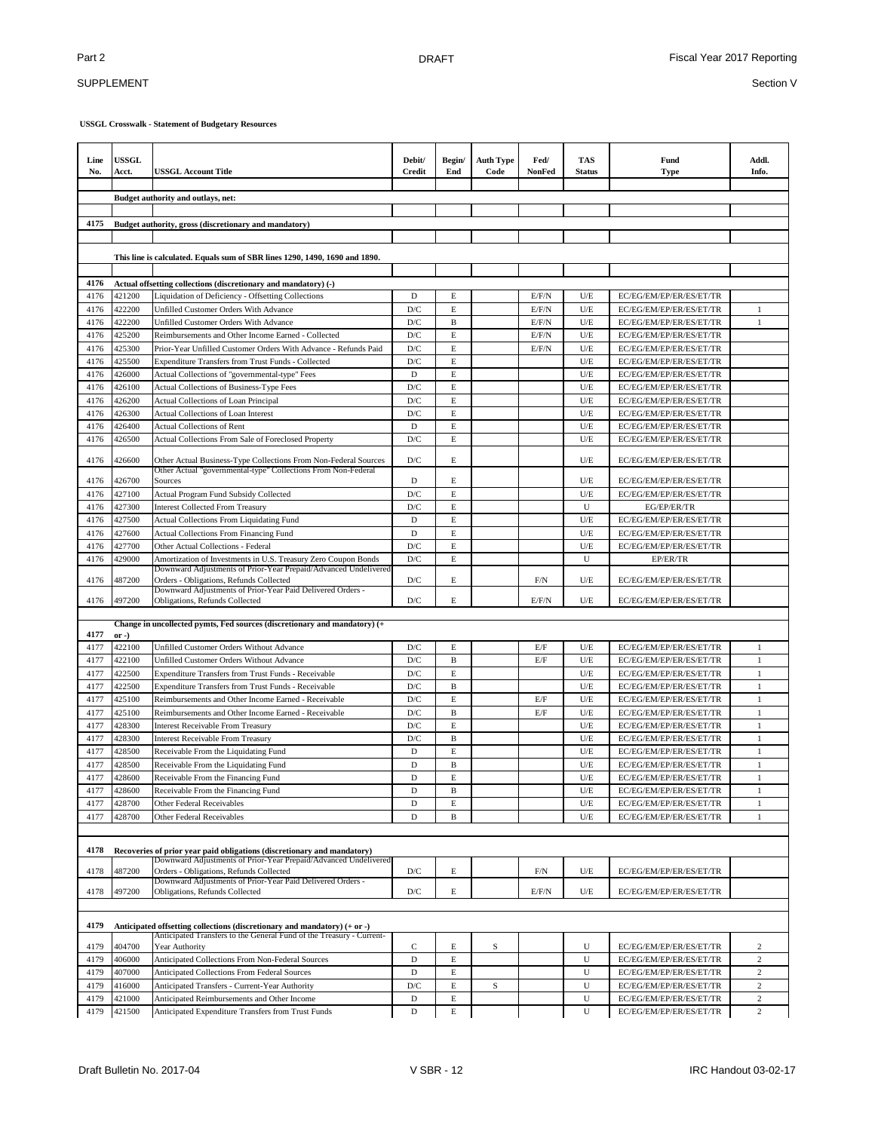# SUPPLEMENT

**USSGL Crosswalk - Statement of Budgetary Resources**

| Line<br>No.  | USSGL<br>Acct.    | <b>USSGL Account Title</b>                                                                                                                        | Debit/<br><b>Credit</b>        | Begin/<br>End | <b>Auth Type</b><br>Code | Fed/<br>NonFed | <b>TAS</b><br><b>Status</b> | Fund<br><b>Type</b>                                | Addl.<br>Info. |
|--------------|-------------------|---------------------------------------------------------------------------------------------------------------------------------------------------|--------------------------------|---------------|--------------------------|----------------|-----------------------------|----------------------------------------------------|----------------|
|              |                   | Budget authority and outlays, net:                                                                                                                |                                |               |                          |                |                             |                                                    |                |
|              |                   |                                                                                                                                                   |                                |               |                          |                |                             |                                                    |                |
| 4175         |                   | Budget authority, gross (discretionary and mandatory)                                                                                             |                                |               |                          |                |                             |                                                    |                |
|              |                   |                                                                                                                                                   |                                |               |                          |                |                             |                                                    |                |
|              |                   | This line is calculated. Equals sum of SBR lines 1290, 1490, 1690 and 1890.                                                                       |                                |               |                          |                |                             |                                                    |                |
|              |                   |                                                                                                                                                   |                                |               |                          |                |                             |                                                    |                |
| 4176         |                   | Actual offsetting collections (discretionary and mandatory) (-)                                                                                   |                                |               |                          |                |                             |                                                    |                |
| 4176         | 421200            | Liquidation of Deficiency - Offsetting Collections                                                                                                | D                              | E             |                          | E/F/N          | U/E                         | EC/EG/EM/EP/ER/ES/ET/TR                            |                |
| 4176         | 422200            | Unfilled Customer Orders With Advance                                                                                                             | D/C                            | E             |                          | E/F/N          | U/E                         | EC/EG/EM/EP/ER/ES/ET/TR                            | 1              |
| 4176         | 422200            | Unfilled Customer Orders With Advance                                                                                                             | $\mathbf{D}/\mathbf{C}$        | B             |                          | E/F/N          | U/E                         | EC/EG/EM/EP/ER/ES/ET/TR                            | $\mathbf{1}$   |
| 4176<br>4176 | 425200<br>425300  | Reimbursements and Other Income Earned - Collected<br>Prior-Year Unfilled Customer Orders With Advance - Refunds Paid                             | $\mathbf{D}/\mathbf{C}$<br>D/C | E<br>E        |                          | E/F/N<br>E/F/N | U/E<br>U/E                  | EC/EG/EM/EP/ER/ES/ET/TR<br>EC/EG/EM/EP/ER/ES/ET/TR |                |
| 4176         | 425500            | Expenditure Transfers from Trust Funds - Collected                                                                                                | $\mathbf{D}/\mathbf{C}$        | E             |                          |                | U/E                         | EC/EG/EM/EP/ER/ES/ET/TR                            |                |
| 4176         | 426000            | Actual Collections of "governmental-type" Fees                                                                                                    | $\mathbf D$                    | $\mathbf E$   |                          |                | U/E                         | EC/EG/EM/EP/ER/ES/ET/TR                            |                |
| 4176         | 426100            | Actual Collections of Business-Type Fees                                                                                                          | $\mathbf{D}/\mathbf{C}$        | $\mathbf E$   |                          |                | U/E                         | EC/EG/EM/EP/ER/ES/ET/TR                            |                |
| 4176         | 426200            | Actual Collections of Loan Principal                                                                                                              | $\mathbf{D}/\mathbf{C}$        | $\mathbf E$   |                          |                | U/E                         | EC/EG/EM/EP/ER/ES/ET/TR                            |                |
| 4176         | 426300            | <b>Actual Collections of Loan Interest</b>                                                                                                        | D/C                            | $\mathbf E$   |                          |                | U/E                         | EC/EG/EM/EP/ER/ES/ET/TR                            |                |
| 4176         | 426400            | <b>Actual Collections of Rent</b>                                                                                                                 | $\mathbf D$                    | $\mathbf E$   |                          |                | U/E                         | EC/EG/EM/EP/ER/ES/ET/TR                            |                |
| 4176         | 426500            | Actual Collections From Sale of Foreclosed Property                                                                                               | D/C                            | E             |                          |                | U/E                         | EC/EG/EM/EP/ER/ES/ET/TR                            |                |
| 4176         | 426600            | Other Actual Business-Type Collections From Non-Federal Sources<br>Other Actual "governmental-type" Collections From Non-Federal                  | D/C                            | E             |                          |                | U/E                         | EC/EG/EM/EP/ER/ES/ET/TR                            |                |
| 4176         | 426700            | Sources                                                                                                                                           | D                              | E             |                          |                | U/E                         | EC/EG/EM/EP/ER/ES/ET/TR                            |                |
| 4176         | 427100            | Actual Program Fund Subsidy Collected                                                                                                             | D/C                            | E             |                          |                | U/E                         | EC/EG/EM/EP/ER/ES/ET/TR                            |                |
| 4176         | 427300            | <b>Interest Collected From Treasury</b>                                                                                                           | D/C                            | E             |                          |                | U                           | EG/EP/ER/TR                                        |                |
| 4176         | 427500            | <b>Actual Collections From Liquidating Fund</b>                                                                                                   | D                              | E             |                          |                | U/E                         | EC/EG/EM/EP/ER/ES/ET/TR                            |                |
| 4176         | 427600            | <b>Actual Collections From Financing Fund</b>                                                                                                     | D                              | $\mathbf E$   |                          |                | U/E                         | EC/EG/EM/EP/ER/ES/ET/TR                            |                |
| 4176         | 427700            | Other Actual Collections - Federal                                                                                                                | $\mathbf{D}/\mathbf{C}$        | $\mathbf E$   |                          |                | U/E                         | EC/EG/EM/EP/ER/ES/ET/TR                            |                |
| 4176         | 429000            | Amortization of Investments in U.S. Treasury Zero Coupon Bonds                                                                                    | $\mathbf{D}/\mathbf{C}$        | E             |                          |                | U                           | EP/ER/TR                                           |                |
| 4176         | 487200            | Downward Adjustments of Prior-Year Prepaid/Advanced Undelivered<br>Orders - Obligations, Refunds Collected                                        | D/C                            | E             |                          | F/N            | U/E                         | EC/EG/EM/EP/ER/ES/ET/TR                            |                |
| 4176         | 497200            | Downward Adjustments of Prior-Year Paid Delivered Orders -<br>Obligations, Refunds Collected                                                      | D/C                            | E             |                          | E/F/N          | U/E                         | EC/EG/EM/EP/ER/ES/ET/TR                            |                |
|              |                   |                                                                                                                                                   |                                |               |                          |                |                             |                                                    |                |
|              |                   | Change in uncollected pymts, Fed sources (discretionary and mandatory) (+                                                                         |                                |               |                          |                |                             |                                                    |                |
| 4177<br>4177 | $or -)$<br>422100 | Unfilled Customer Orders Without Advance                                                                                                          | D/C                            | E             |                          | E/F            | U/E                         | EC/EG/EM/EP/ER/ES/ET/TR                            | 1              |
| 4177         | 422100            | Unfilled Customer Orders Without Advance                                                                                                          | D/C                            | B             |                          | E/F            | U/E                         | EC/EG/EM/EP/ER/ES/ET/TR                            | $\mathbf{1}$   |
| 4177         | 422500            | Expenditure Transfers from Trust Funds - Receivable                                                                                               | D/C                            | E             |                          |                | U/E                         | EC/EG/EM/EP/ER/ES/ET/TR                            | 1              |
| 4177         | 422500            | Expenditure Transfers from Trust Funds - Receivable                                                                                               | $\mathbf{D}/\mathbf{C}$        | B             |                          |                | U/E                         | EC/EG/EM/EP/ER/ES/ET/TR                            | 1              |
| 4177         | 425100            | Reimbursements and Other Income Earned - Receivable                                                                                               | D/C                            | E             |                          | E/F            | U/E                         | EC/EG/EM/EP/ER/ES/ET/TR                            | 1              |
| 4177         | 425100            | Reimbursements and Other Income Earned - Receivable                                                                                               | $\mathbf{D}/\mathbf{C}$        | B             |                          | E/F            | U/E                         | EC/EG/EM/EP/ER/ES/ET/TR                            | $\mathbf{1}$   |
| 4177         | 428300            | <b>Interest Receivable From Treasury</b>                                                                                                          | D/C                            | E             |                          |                | U/E                         | EC/EG/EM/EP/ER/ES/ET/TR                            | 1              |
| 4177         | 428300            | <b>Interest Receivable From Treasury</b>                                                                                                          | D/C                            | $\, {\bf B}$  |                          |                | U/E                         | EC/EG/EM/EP/ER/ES/ET/TR                            | $1\,$          |
| 4177         | 428500            | Receivable From the Liquidating Fund                                                                                                              | D                              | E             |                          |                | U/E                         | EC/EG/EM/EP/ER/ES/ET/TR                            | 1              |
| 4177         | 428500            | Receivable From the Liquidating Fund                                                                                                              | D                              | $\, {\bf B}$  |                          |                | U/E                         | EC/EG/EM/EP/ER/ES/ET/TR                            | $\mathbf{1}$   |
| 4177         | 428600            | Receivable From the Financing Fund                                                                                                                | D                              | E             |                          |                | U/E                         | EC/EG/EM/EP/ER/ES/ET/TR                            | $\mathbf{1}$   |
| 4177         | 428600            | Receivable From the Financing Fund                                                                                                                | D                              | B             |                          |                | U/E                         | EC/EG/EM/EP/ER/ES/ET/TR                            | $\mathbf{1}$   |
| 4177         | 428700            | Other Federal Receivables                                                                                                                         | D                              | E             |                          |                | U/E                         | EC/EG/EM/EP/ER/ES/ET/TR                            | $\mathbf{1}$   |
| 4177         | 428700            | Other Federal Receivables                                                                                                                         | D                              | B             |                          |                | U/E                         | EC/EG/EM/EP/ER/ES/ET/TR                            | $\mathbf{1}$   |
| 4178         |                   | Recoveries of prior year paid obligations (discretionary and mandatory)                                                                           |                                |               |                          |                |                             |                                                    |                |
|              |                   | Downward Adjustments of Prior-Year Prepaid/Advanced Undelivered                                                                                   |                                |               |                          |                |                             |                                                    |                |
| 4178         | 487200            | Orders - Obligations, Refunds Collected                                                                                                           | $\mathbf{D}/\mathbf{C}$        | E             |                          | F/N            | U/E                         | EC/EG/EM/EP/ER/ES/ET/TR                            |                |
| 4178         | 497200            | Downward Adjustments of Prior-Year Paid Delivered Orders -<br>Obligations, Refunds Collected                                                      | D/C                            | E             |                          | E/F/N          | U/E                         | EC/EG/EM/EP/ER/ES/ET/TR                            |                |
|              |                   |                                                                                                                                                   |                                |               |                          |                |                             |                                                    |                |
| 4179         |                   | Anticipated offsetting collections (discretionary and mandatory) (+ or -)<br>Anticipated Transfers to the General Fund of the Treasury - Current- |                                |               |                          |                |                             |                                                    |                |
| 4179         | 404700            | Year Authority                                                                                                                                    | С                              | E             | S                        |                | U                           | EC/EG/EM/EP/ER/ES/ET/TR                            | $\sqrt{2}$     |
| 4179         | 406000            | Anticipated Collections From Non-Federal Sources                                                                                                  | $\mathbf D$                    | E             |                          |                | U                           | EC/EG/EM/EP/ER/ES/ET/TR                            | $\sqrt{2}$     |
| 4179         | 407000            | Anticipated Collections From Federal Sources                                                                                                      | D                              | $\mathbf E$   |                          |                | U                           | EC/EG/EM/EP/ER/ES/ET/TR                            | $\mathbf{2}$   |
| 4179         | 416000            | Anticipated Transfers - Current-Year Authority                                                                                                    | D/C                            | $\mathbf E$   | $\mathbf S$              |                | U                           | EC/EG/EM/EP/ER/ES/ET/TR                            | $\overline{c}$ |
| 4179         | 421000            | Anticipated Reimbursements and Other Income                                                                                                       | D                              | E             |                          |                | U                           | EC/EG/EM/EP/ER/ES/ET/TR                            | $\mathbf{2}$   |
| 4179         | 421500            | Anticipated Expenditure Transfers from Trust Funds                                                                                                | $\mathbf D$                    | $\mathbf E$   |                          |                | U                           | EC/EG/EM/EP/ER/ES/ET/TR                            | $\mathfrak{2}$ |

Draft Bulletin No. 2017-04 V SBR - 12 IRC Handout 03-02-17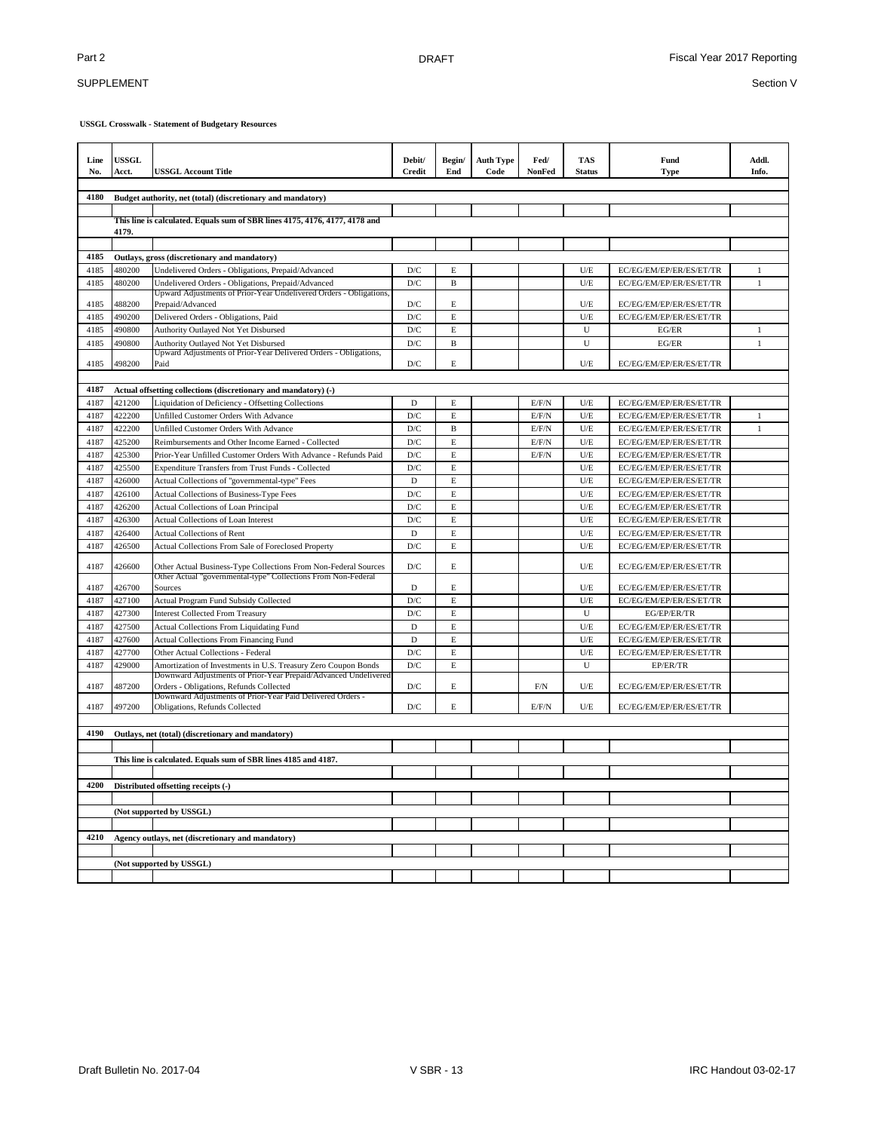## SUPPLEMENT

| Line<br>No. | <b>USSGL</b><br>Acct.                                           | <b>USSGL Account Title</b>                                                                                                        | Debit/<br><b>Credit</b> | Begin/<br>End | <b>Auth Type</b><br>Code | Fed/<br>NonFed | <b>TAS</b><br><b>Status</b> | Fund<br><b>Type</b>     | Addl.<br>Info. |
|-------------|-----------------------------------------------------------------|-----------------------------------------------------------------------------------------------------------------------------------|-------------------------|---------------|--------------------------|----------------|-----------------------------|-------------------------|----------------|
| 4180        | Budget authority, net (total) (discretionary and mandatory)     |                                                                                                                                   |                         |               |                          |                |                             |                         |                |
|             |                                                                 |                                                                                                                                   |                         |               |                          |                |                             |                         |                |
|             | 4179.                                                           | This line is calculated. Equals sum of SBR lines 4175, 4176, 4177, 4178 and                                                       |                         |               |                          |                |                             |                         |                |
|             |                                                                 |                                                                                                                                   |                         |               |                          |                |                             |                         |                |
| 4185        |                                                                 | Outlays, gross (discretionary and mandatory)                                                                                      |                         |               |                          |                |                             |                         |                |
| 4185        | 480200                                                          | Undelivered Orders - Obligations, Prepaid/Advanced                                                                                | D/C                     | E             |                          |                | U/E                         | EC/EG/EM/EP/ER/ES/ET/TR | $\mathbf{1}$   |
| 4185        | 480200                                                          | Undelivered Orders - Obligations, Prepaid/Advanced<br>Upward Adjustments of Prior-Year Undelivered Orders - Obligations           | $\mathbf{D}/\mathbf{C}$ | $\, {\bf B}$  |                          |                | U/E                         | EC/EG/EM/EP/ER/ES/ET/TR | $\mathbf{1}$   |
| 4185        | 488200                                                          | Prepaid/Advanced                                                                                                                  | $\mathbf{D}/\mathbf{C}$ | E             |                          |                | U/E                         | EC/EG/EM/EP/ER/ES/ET/TR |                |
| 4185        | 490200                                                          | Delivered Orders - Obligations, Paid                                                                                              | D/C                     | $\mathbf E$   |                          |                | U/E                         | EC/EG/EM/EP/ER/ES/ET/TR |                |
| 4185        | 490800                                                          | Authority Outlayed Not Yet Disbursed                                                                                              | $\mathbf{D}/\mathbf{C}$ | E             |                          |                | U                           | EG/ER                   | 1              |
| 4185        | 490800                                                          | Authority Outlayed Not Yet Disbursed                                                                                              | $\mathbf{D}/\mathbf{C}$ | $\, {\bf B}$  |                          |                | ${\bf U}$                   | EG/ER                   | $\,1\,$        |
| 4185        | 498200                                                          | Upward Adjustments of Prior-Year Delivered Orders - Obligations,<br>Paid                                                          | $\mathbf{D}/\mathbf{C}$ | $\mathbf E$   |                          |                | U/E                         | EC/EG/EM/EP/ER/ES/ET/TR |                |
|             |                                                                 |                                                                                                                                   |                         |               |                          |                |                             |                         |                |
| 4187        | Actual offsetting collections (discretionary and mandatory) (-) |                                                                                                                                   |                         |               |                          |                |                             |                         |                |
| 4187        | 421200                                                          | Liquidation of Deficiency - Offsetting Collections                                                                                | D                       | E             |                          | E/F/N          | U/E                         | EC/EG/EM/EP/ER/ES/ET/TR |                |
| 4187        | 422200                                                          | Unfilled Customer Orders With Advance                                                                                             | D/C                     | $\mathbf E$   |                          | E/F/N          | U/E                         | EC/EG/EM/EP/ER/ES/ET/TR | $\mathbf{1}$   |
| 4187        | 422200                                                          | Unfilled Customer Orders With Advance                                                                                             | D/C                     | $\mathbf B$   |                          | E/F/N          | U/E                         | EC/EG/EM/EP/ER/ES/ET/TR | $\mathbf{1}$   |
| 4187        | 425200                                                          | Reimbursements and Other Income Earned - Collected                                                                                | $\mathbf{D}/\mathbf{C}$ | $\mathbf E$   |                          | E/F/N          | $U\!/\!\to$                 | EC/EG/EM/EP/ER/ES/ET/TR |                |
| 4187        | 425300                                                          | Prior-Year Unfilled Customer Orders With Advance - Refunds Paid                                                                   | D/C                     | $\mathbf E$   |                          | E/F/N          | U/E                         | EC/EG/EM/EP/ER/ES/ET/TR |                |
| 4187        | 425500                                                          | Expenditure Transfers from Trust Funds - Collected                                                                                | D/C                     | $\mathbf E$   |                          |                | U/E                         | EC/EG/EM/EP/ER/ES/ET/TR |                |
| 4187        | 426000                                                          | Actual Collections of "governmental-type" Fees                                                                                    | $\mathbf D$             | E             |                          |                | U/E                         | EC/EG/EM/EP/ER/ES/ET/TR |                |
| 4187        | 426100                                                          | Actual Collections of Business-Type Fees                                                                                          | $\mathbf{D}/\mathbf{C}$ | $\mathbf E$   |                          |                | U/E                         | EC/EG/EM/EP/ER/ES/ET/TR |                |
| 4187        | 426200                                                          | <b>Actual Collections of Loan Principal</b>                                                                                       | $\mathbf{D}/\mathbf{C}$ | $\mathbf E$   |                          |                | U/E                         | EC/EG/EM/EP/ER/ES/ET/TR |                |
| 4187        | 426300                                                          | <b>Actual Collections of Loan Interest</b>                                                                                        | $\mathbf{D}/\mathbf{C}$ | E             |                          |                | U/E                         | EC/EG/EM/EP/ER/ES/ET/TR |                |
| 4187        | 426400                                                          | <b>Actual Collections of Rent</b>                                                                                                 | D                       | E             |                          |                | U/E                         | EC/EG/EM/EP/ER/ES/ET/TR |                |
| 4187        | 426500                                                          | Actual Collections From Sale of Foreclosed Property                                                                               | D/C                     | $\mathbf E$   |                          |                | U/E                         | EC/EG/EM/EP/ER/ES/ET/TR |                |
| 4187        | 426600                                                          | Other Actual Business-Type Collections From Non-Federal Sources<br>Other Actual "governmental-type" Collections From Non-Federal  | D/C                     | E             |                          |                | U/E                         | EC/EG/EM/EP/ER/ES/ET/TR |                |
| 4187        | 426700                                                          | Sources                                                                                                                           | D                       | E             |                          |                | U/E                         | EC/EG/EM/EP/ER/ES/ET/TR |                |
| 4187        | 427100                                                          | Actual Program Fund Subsidy Collected                                                                                             | D/C                     | $\mathbf E$   |                          |                | U/E                         | EC/EG/EM/EP/ER/ES/ET/TR |                |
| 4187        | 427300                                                          | <b>Interest Collected From Treasury</b>                                                                                           | $\mathbf{D}/\mathbf{C}$ | $\mathbf E$   |                          |                | U                           | EG/EP/ER/TR             |                |
| 4187        | 427500                                                          | Actual Collections From Liquidating Fund                                                                                          | D                       | $\mathbf E$   |                          |                | U/E                         | EC/EG/EM/EP/ER/ES/ET/TR |                |
| 4187        | 427600                                                          | <b>Actual Collections From Financing Fund</b>                                                                                     | $\mathbf D$             | $\mathbf E$   |                          |                | U/E                         | EC/EG/EM/EP/ER/ES/ET/TR |                |
| 4187        | 427700                                                          | Other Actual Collections - Federal                                                                                                | D/C                     | $\mathbf E$   |                          |                | U/E                         | EC/EG/EM/EP/ER/ES/ET/TR |                |
| 4187        | 429000                                                          | Amortization of Investments in U.S. Treasury Zero Coupon Bonds<br>Downward Adjustments of Prior-Year Prepaid/Advanced Undelivered | $\mathbf{D}/\mathbf{C}$ | $\mathbf E$   |                          |                | ${\bf U}$                   | EP/ER/TR                |                |
| 4187        | 487200                                                          | Orders - Obligations, Refunds Collected<br>Downward Adjustments of Prior-Year Paid Delivered Orders -                             | $\mathbf{D}/\mathbf{C}$ | E             |                          | $\rm{F/N}$     | U/E                         | EC/EG/EM/EP/ER/ES/ET/TR |                |
| 4187        | 497200                                                          | Obligations, Refunds Collected                                                                                                    | D/C                     | $\mathbf E$   |                          | E/F/N          | U/E                         | EC/EG/EM/EP/ER/ES/ET/TR |                |
|             |                                                                 |                                                                                                                                   |                         |               |                          |                |                             |                         |                |
| 4190        |                                                                 | Outlays, net (total) (discretionary and mandatory)                                                                                |                         |               |                          |                |                             |                         |                |
|             |                                                                 |                                                                                                                                   |                         |               |                          |                |                             |                         |                |
|             |                                                                 | This line is calculated. Equals sum of SBR lines 4185 and 4187.                                                                   |                         |               |                          |                |                             |                         |                |
|             |                                                                 |                                                                                                                                   |                         |               |                          |                |                             |                         |                |
| 4200        |                                                                 | Distributed offsetting receipts (-)                                                                                               |                         |               |                          |                |                             |                         |                |
|             |                                                                 |                                                                                                                                   |                         |               |                          |                |                             |                         |                |
|             |                                                                 | (Not supported by USSGL)                                                                                                          |                         |               |                          |                |                             |                         |                |
|             |                                                                 |                                                                                                                                   |                         |               |                          |                |                             |                         |                |
| 4210        |                                                                 | Agency outlays, net (discretionary and mandatory)                                                                                 |                         |               |                          |                |                             |                         |                |
|             | (Not supported by USSGL)                                        |                                                                                                                                   |                         |               |                          |                |                             |                         |                |
|             |                                                                 |                                                                                                                                   |                         |               |                          |                |                             |                         |                |
|             |                                                                 |                                                                                                                                   |                         |               |                          |                |                             |                         |                |